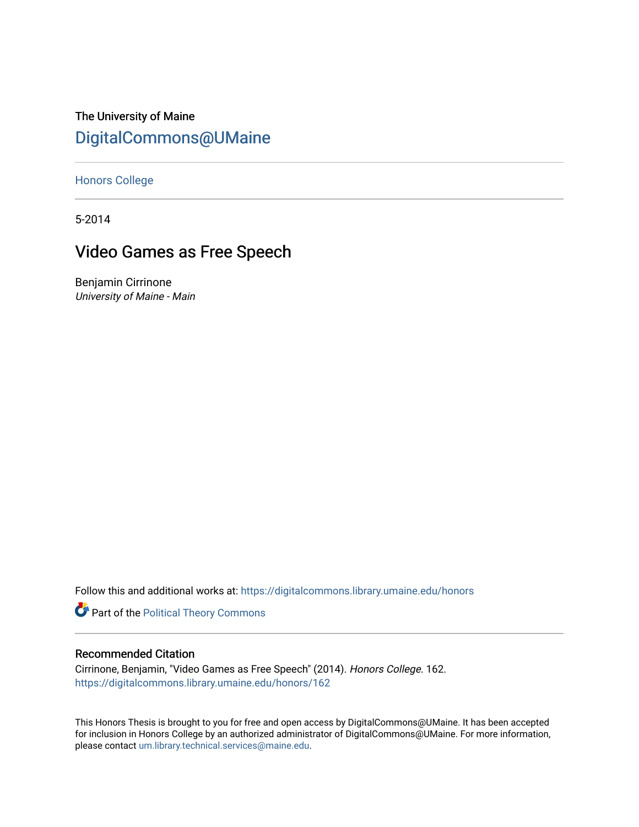The University of Maine [DigitalCommons@UMaine](https://digitalcommons.library.umaine.edu/)

[Honors College](https://digitalcommons.library.umaine.edu/honors)

5-2014

# Video Games as Free Speech

Benjamin Cirrinone University of Maine - Main

Follow this and additional works at: [https://digitalcommons.library.umaine.edu/honors](https://digitalcommons.library.umaine.edu/honors?utm_source=digitalcommons.library.umaine.edu%2Fhonors%2F162&utm_medium=PDF&utm_campaign=PDFCoverPages) 

Part of the [Political Theory Commons](http://network.bepress.com/hgg/discipline/391?utm_source=digitalcommons.library.umaine.edu%2Fhonors%2F162&utm_medium=PDF&utm_campaign=PDFCoverPages) 

# Recommended Citation

Cirrinone, Benjamin, "Video Games as Free Speech" (2014). Honors College. 162. [https://digitalcommons.library.umaine.edu/honors/162](https://digitalcommons.library.umaine.edu/honors/162?utm_source=digitalcommons.library.umaine.edu%2Fhonors%2F162&utm_medium=PDF&utm_campaign=PDFCoverPages) 

This Honors Thesis is brought to you for free and open access by DigitalCommons@UMaine. It has been accepted for inclusion in Honors College by an authorized administrator of DigitalCommons@UMaine. For more information, please contact [um.library.technical.services@maine.edu.](mailto:um.library.technical.services@maine.edu)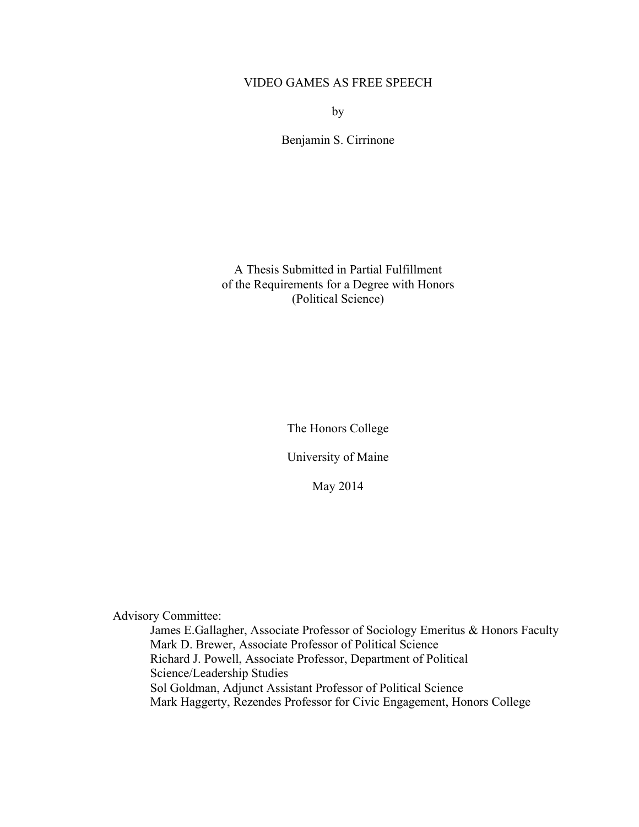# VIDEO GAMES AS FREE SPEECH

by

Benjamin S. Cirrinone

A Thesis Submitted in Partial Fulfillment of the Requirements for a Degree with Honors (Political Science)

The Honors College

University of Maine

May 2014

Advisory Committee:

James E.Gallagher, Associate Professor of Sociology Emeritus & Honors Faculty Mark D. Brewer, Associate Professor of Political Science Richard J. Powell, Associate Professor, Department of Political Science/Leadership Studies Sol Goldman, Adjunct Assistant Professor of Political Science Mark Haggerty, Rezendes Professor for Civic Engagement, Honors College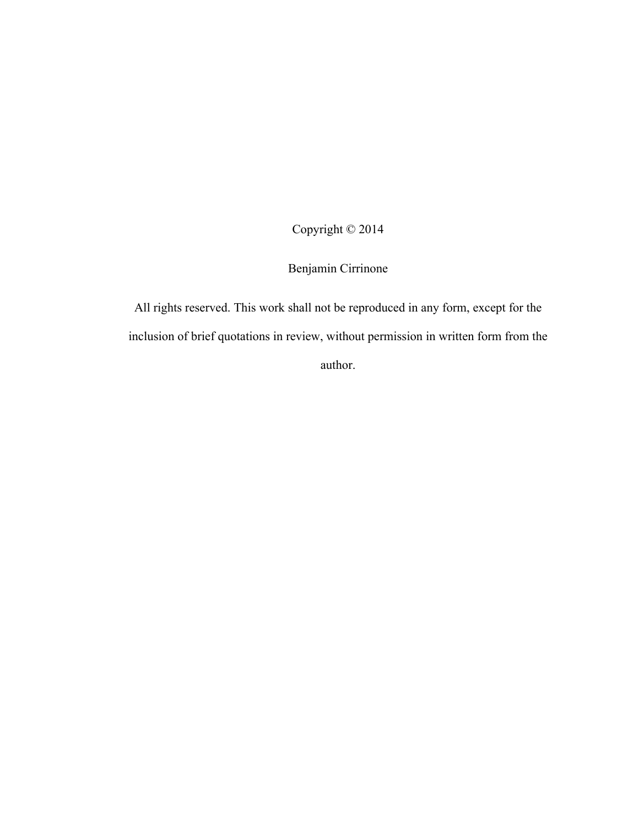Copyright © 2014

Benjamin Cirrinone

All rights reserved. This work shall not be reproduced in any form, except for the inclusion of brief quotations in review, without permission in written form from the author.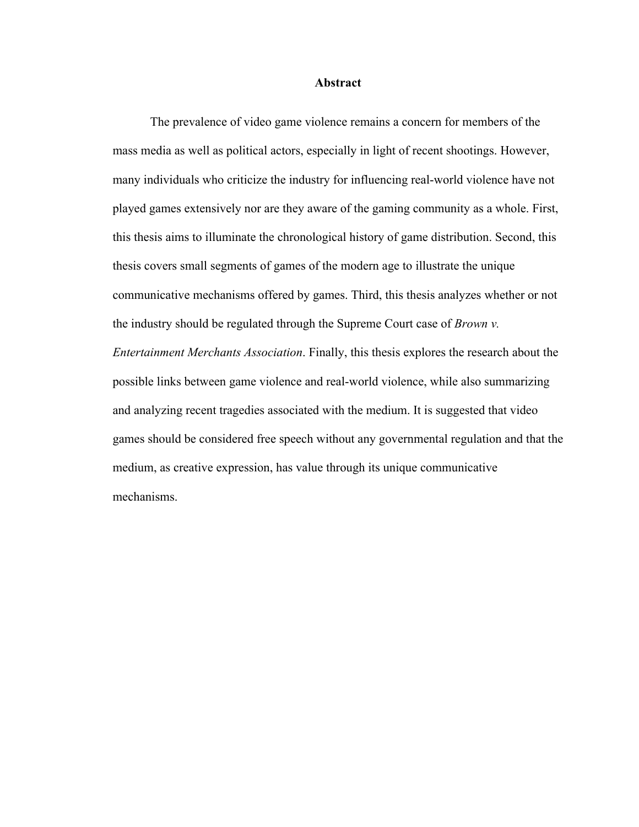#### **Abstract**

The prevalence of video game violence remains a concern for members of the mass media as well as political actors, especially in light of recent shootings. However, many individuals who criticize the industry for influencing real-world violence have not played games extensively nor are they aware of the gaming community as a whole. First, this thesis aims to illuminate the chronological history of game distribution. Second, this thesis covers small segments of games of the modern age to illustrate the unique communicative mechanisms offered by games. Third, this thesis analyzes whether or not the industry should be regulated through the Supreme Court case of *Brown v. Entertainment Merchants Association*. Finally, this thesis explores the research about the possible links between game violence and real-world violence, while also summarizing and analyzing recent tragedies associated with the medium. It is suggested that video games should be considered free speech without any governmental regulation and that the medium, as creative expression, has value through its unique communicative mechanisms.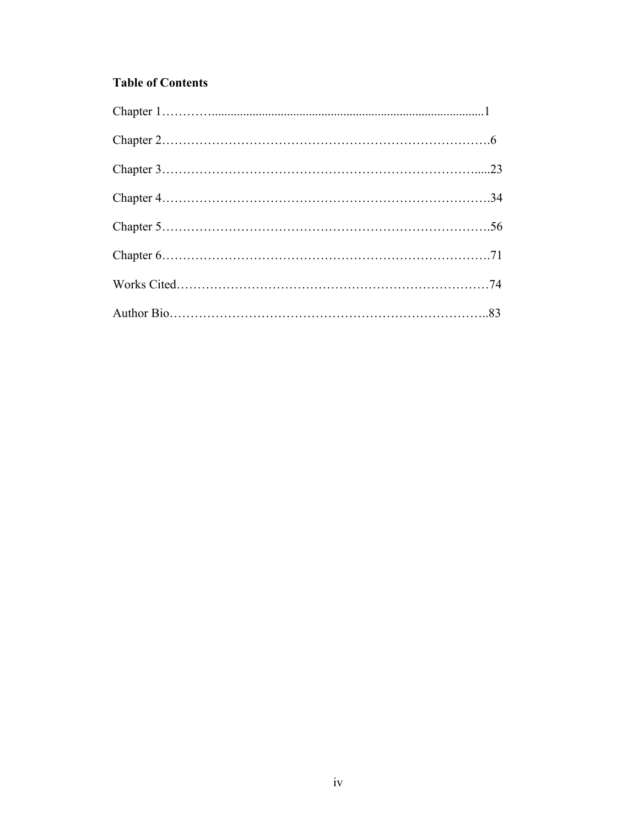# **Table of Contents**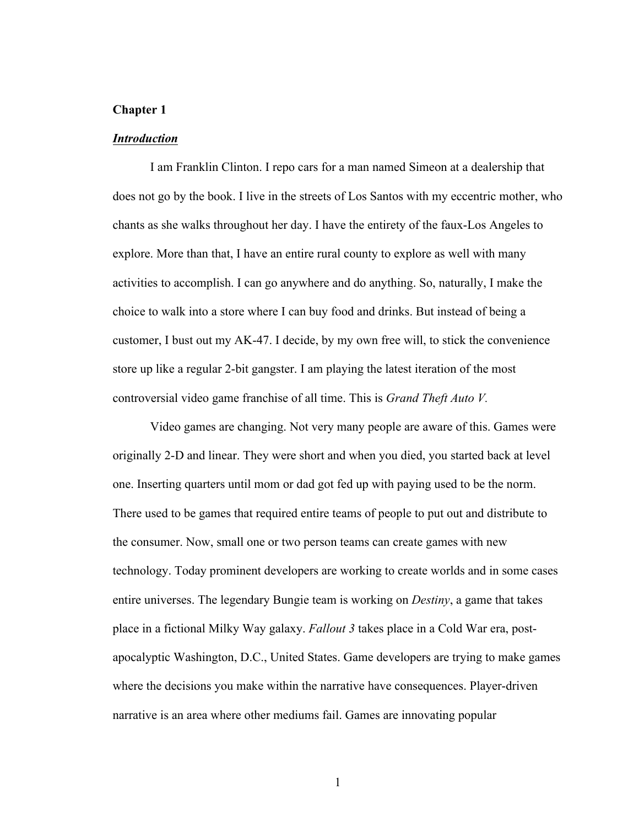## **Chapter 1**

#### *Introduction*

I am Franklin Clinton. I repo cars for a man named Simeon at a dealership that does not go by the book. I live in the streets of Los Santos with my eccentric mother, who chants as she walks throughout her day. I have the entirety of the faux-Los Angeles to explore. More than that, I have an entire rural county to explore as well with many activities to accomplish. I can go anywhere and do anything. So, naturally, I make the choice to walk into a store where I can buy food and drinks. But instead of being a customer, I bust out my AK-47. I decide, by my own free will, to stick the convenience store up like a regular 2-bit gangster. I am playing the latest iteration of the most controversial video game franchise of all time. This is *Grand Theft Auto V.* 

Video games are changing. Not very many people are aware of this. Games were originally 2-D and linear. They were short and when you died, you started back at level one. Inserting quarters until mom or dad got fed up with paying used to be the norm. There used to be games that required entire teams of people to put out and distribute to the consumer. Now, small one or two person teams can create games with new technology. Today prominent developers are working to create worlds and in some cases entire universes. The legendary Bungie team is working on *Destiny*, a game that takes place in a fictional Milky Way galaxy. *Fallout 3* takes place in a Cold War era, postapocalyptic Washington, D.C., United States. Game developers are trying to make games where the decisions you make within the narrative have consequences. Player-driven narrative is an area where other mediums fail. Games are innovating popular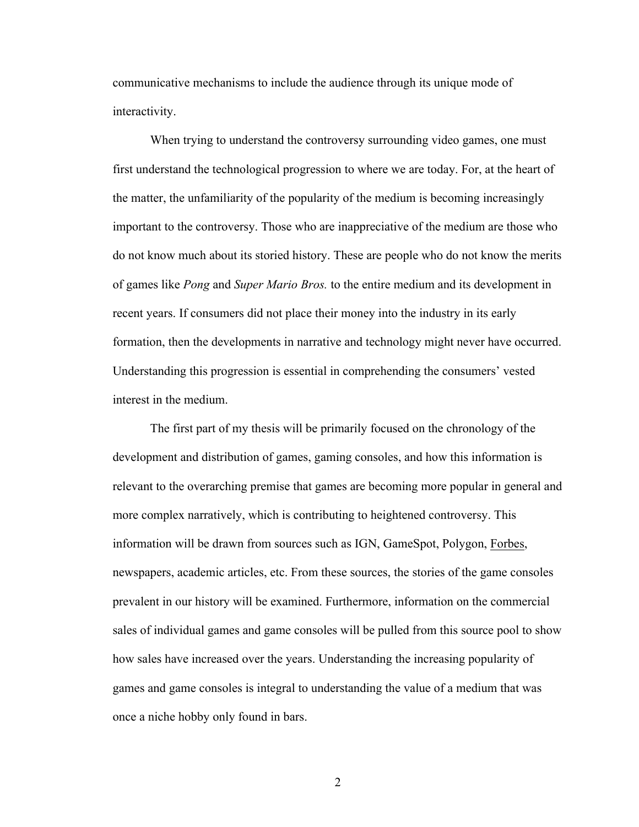communicative mechanisms to include the audience through its unique mode of interactivity.

When trying to understand the controversy surrounding video games, one must first understand the technological progression to where we are today. For, at the heart of the matter, the unfamiliarity of the popularity of the medium is becoming increasingly important to the controversy. Those who are inappreciative of the medium are those who do not know much about its storied history. These are people who do not know the merits of games like *Pong* and *Super Mario Bros.* to the entire medium and its development in recent years. If consumers did not place their money into the industry in its early formation, then the developments in narrative and technology might never have occurred. Understanding this progression is essential in comprehending the consumers' vested interest in the medium.

The first part of my thesis will be primarily focused on the chronology of the development and distribution of games, gaming consoles, and how this information is relevant to the overarching premise that games are becoming more popular in general and more complex narratively, which is contributing to heightened controversy. This information will be drawn from sources such as IGN, GameSpot, Polygon, Forbes, newspapers, academic articles, etc. From these sources, the stories of the game consoles prevalent in our history will be examined. Furthermore, information on the commercial sales of individual games and game consoles will be pulled from this source pool to show how sales have increased over the years. Understanding the increasing popularity of games and game consoles is integral to understanding the value of a medium that was once a niche hobby only found in bars.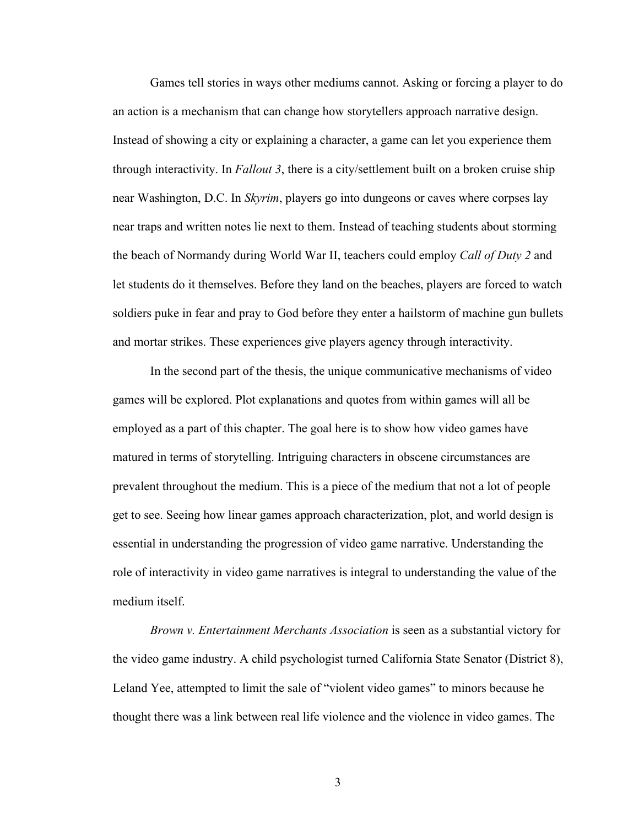Games tell stories in ways other mediums cannot. Asking or forcing a player to do an action is a mechanism that can change how storytellers approach narrative design. Instead of showing a city or explaining a character, a game can let you experience them through interactivity. In *Fallout 3*, there is a city/settlement built on a broken cruise ship near Washington, D.C. In *Skyrim*, players go into dungeons or caves where corpses lay near traps and written notes lie next to them. Instead of teaching students about storming the beach of Normandy during World War II, teachers could employ *Call of Duty 2* and let students do it themselves. Before they land on the beaches, players are forced to watch soldiers puke in fear and pray to God before they enter a hailstorm of machine gun bullets and mortar strikes. These experiences give players agency through interactivity.

In the second part of the thesis, the unique communicative mechanisms of video games will be explored. Plot explanations and quotes from within games will all be employed as a part of this chapter. The goal here is to show how video games have matured in terms of storytelling. Intriguing characters in obscene circumstances are prevalent throughout the medium. This is a piece of the medium that not a lot of people get to see. Seeing how linear games approach characterization, plot, and world design is essential in understanding the progression of video game narrative. Understanding the role of interactivity in video game narratives is integral to understanding the value of the medium itself.

*Brown v. Entertainment Merchants Association* is seen as a substantial victory for the video game industry. A child psychologist turned California State Senator (District 8), Leland Yee, attempted to limit the sale of "violent video games" to minors because he thought there was a link between real life violence and the violence in video games. The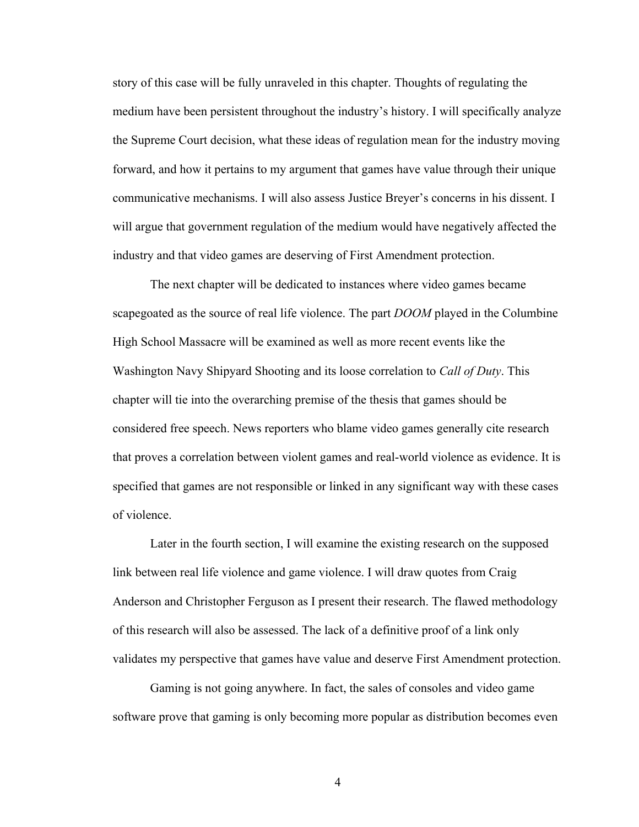story of this case will be fully unraveled in this chapter. Thoughts of regulating the medium have been persistent throughout the industry's history. I will specifically analyze the Supreme Court decision, what these ideas of regulation mean for the industry moving forward, and how it pertains to my argument that games have value through their unique communicative mechanisms. I will also assess Justice Breyer's concerns in his dissent. I will argue that government regulation of the medium would have negatively affected the industry and that video games are deserving of First Amendment protection.

The next chapter will be dedicated to instances where video games became scapegoated as the source of real life violence. The part *DOOM* played in the Columbine High School Massacre will be examined as well as more recent events like the Washington Navy Shipyard Shooting and its loose correlation to *Call of Duty*. This chapter will tie into the overarching premise of the thesis that games should be considered free speech. News reporters who blame video games generally cite research that proves a correlation between violent games and real-world violence as evidence. It is specified that games are not responsible or linked in any significant way with these cases of violence.

Later in the fourth section, I will examine the existing research on the supposed link between real life violence and game violence. I will draw quotes from Craig Anderson and Christopher Ferguson as I present their research. The flawed methodology of this research will also be assessed. The lack of a definitive proof of a link only validates my perspective that games have value and deserve First Amendment protection.

Gaming is not going anywhere. In fact, the sales of consoles and video game software prove that gaming is only becoming more popular as distribution becomes even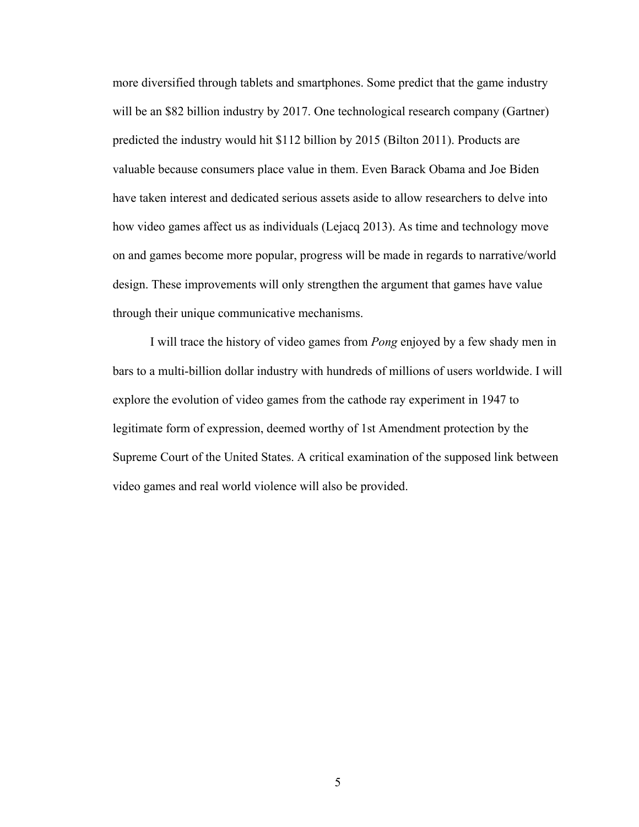more diversified through tablets and smartphones. Some predict that the game industry will be an \$82 billion industry by 2017. One technological research company (Gartner) predicted the industry would hit \$112 billion by 2015 (Bilton 2011). Products are valuable because consumers place value in them. Even Barack Obama and Joe Biden have taken interest and dedicated serious assets aside to allow researchers to delve into how video games affect us as individuals (Lejacq 2013). As time and technology move on and games become more popular, progress will be made in regards to narrative/world design. These improvements will only strengthen the argument that games have value through their unique communicative mechanisms.

I will trace the history of video games from *Pong* enjoyed by a few shady men in bars to a multi-billion dollar industry with hundreds of millions of users worldwide. I will explore the evolution of video games from the cathode ray experiment in 1947 to legitimate form of expression, deemed worthy of 1st Amendment protection by the Supreme Court of the United States. A critical examination of the supposed link between video games and real world violence will also be provided.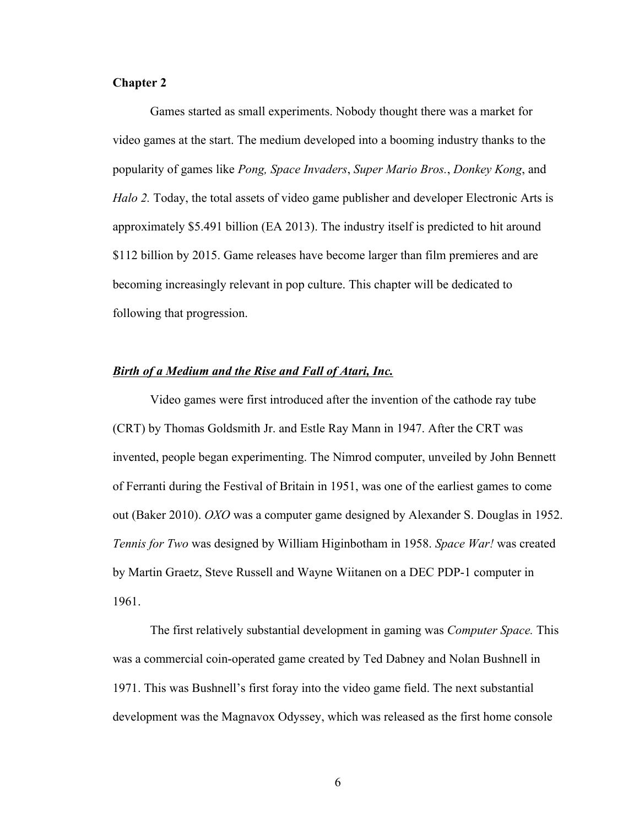# **Chapter 2**

Games started as small experiments. Nobody thought there was a market for video games at the start. The medium developed into a booming industry thanks to the popularity of games like *Pong, Space Invaders*, *Super Mario Bros.*, *Donkey Kong*, and *Halo 2.* Today, the total assets of video game publisher and developer Electronic Arts is approximately \$5.491 billion (EA 2013). The industry itself is predicted to hit around \$112 billion by 2015. Game releases have become larger than film premieres and are becoming increasingly relevant in pop culture. This chapter will be dedicated to following that progression.

# *Birth of a Medium and the Rise and Fall of Atari, Inc.*

Video games were first introduced after the invention of the cathode ray tube (CRT) by Thomas Goldsmith Jr. and Estle Ray Mann in 1947. After the CRT was invented, people began experimenting. The Nimrod computer, unveiled by John Bennett of Ferranti during the Festival of Britain in 1951, was one of the earliest games to come out (Baker 2010). *OXO* was a computer game designed by Alexander S. Douglas in 1952. *Tennis for Two* was designed by William Higinbotham in 1958. *Space War!* was created by Martin Graetz, Steve Russell and Wayne Wiitanen on a DEC PDP-1 computer in 1961.

The first relatively substantial development in gaming was *Computer Space.* This was a commercial coin-operated game created by Ted Dabney and Nolan Bushnell in 1971. This was Bushnell's first foray into the video game field. The next substantial development was the Magnavox Odyssey, which was released as the first home console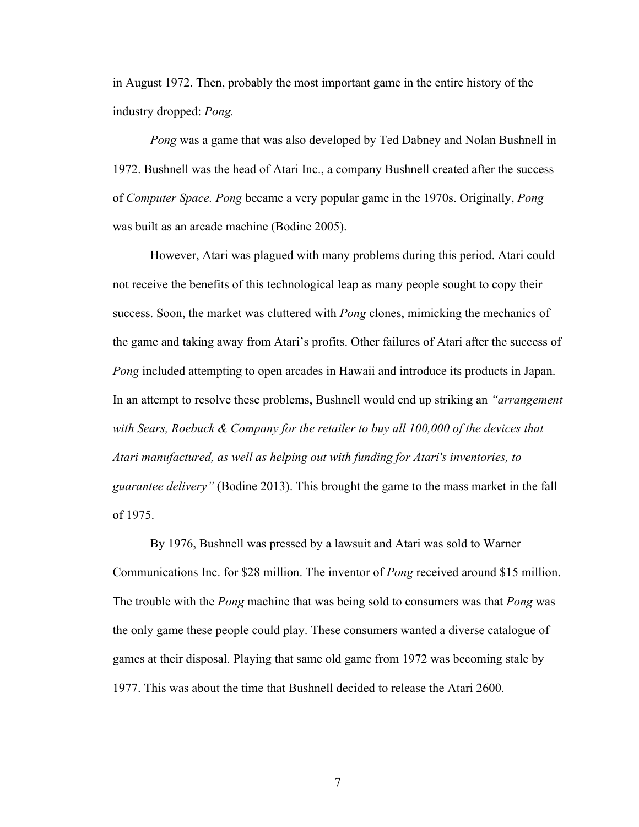in August 1972. Then, probably the most important game in the entire history of the industry dropped: *Pong.* 

*Pong* was a game that was also developed by Ted Dabney and Nolan Bushnell in 1972. Bushnell was the head of Atari Inc., a company Bushnell created after the success of *Computer Space. Pong* became a very popular game in the 1970s. Originally, *Pong*  was built as an arcade machine (Bodine 2005).

However, Atari was plagued with many problems during this period. Atari could not receive the benefits of this technological leap as many people sought to copy their success. Soon, the market was cluttered with *Pong* clones, mimicking the mechanics of the game and taking away from Atari's profits. Other failures of Atari after the success of *Pong* included attempting to open arcades in Hawaii and introduce its products in Japan. In an attempt to resolve these problems, Bushnell would end up striking an *"arrangement with Sears, Roebuck & Company for the retailer to buy all 100,000 of the devices that Atari manufactured, as well as helping out with funding for Atari's inventories, to guarantee delivery"* (Bodine 2013). This brought the game to the mass market in the fall of 1975.

By 1976, Bushnell was pressed by a lawsuit and Atari was sold to Warner Communications Inc. for \$28 million. The inventor of *Pong* received around \$15 million. The trouble with the *Pong* machine that was being sold to consumers was that *Pong* was the only game these people could play. These consumers wanted a diverse catalogue of games at their disposal. Playing that same old game from 1972 was becoming stale by 1977. This was about the time that Bushnell decided to release the Atari 2600.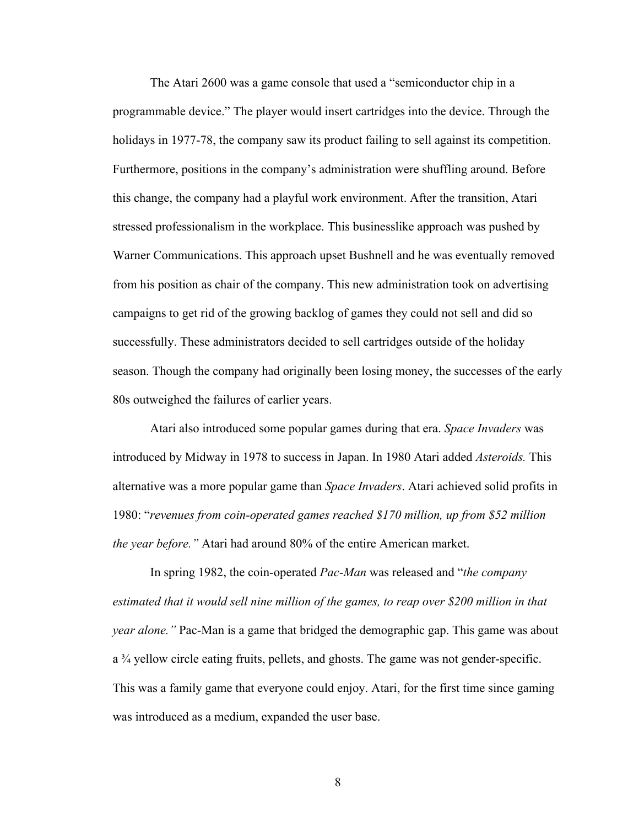The Atari 2600 was a game console that used a "semiconductor chip in a programmable device." The player would insert cartridges into the device. Through the holidays in 1977-78, the company saw its product failing to sell against its competition. Furthermore, positions in the company's administration were shuffling around. Before this change, the company had a playful work environment. After the transition, Atari stressed professionalism in the workplace. This businesslike approach was pushed by Warner Communications. This approach upset Bushnell and he was eventually removed from his position as chair of the company. This new administration took on advertising campaigns to get rid of the growing backlog of games they could not sell and did so successfully. These administrators decided to sell cartridges outside of the holiday season. Though the company had originally been losing money, the successes of the early 80s outweighed the failures of earlier years.

Atari also introduced some popular games during that era. *Space Invaders* was introduced by Midway in 1978 to success in Japan. In 1980 Atari added *Asteroids.* This alternative was a more popular game than *Space Invaders*. Atari achieved solid profits in 1980: "*revenues from coin-operated games reached \$170 million, up from \$52 million the year before."* Atari had around 80% of the entire American market.

In spring 1982, the coin-operated *Pac-Man* was released and "*the company estimated that it would sell nine million of the games, to reap over \$200 million in that year alone."* Pac-Man is a game that bridged the demographic gap. This game was about a ¾ yellow circle eating fruits, pellets, and ghosts. The game was not gender-specific. This was a family game that everyone could enjoy. Atari, for the first time since gaming was introduced as a medium, expanded the user base.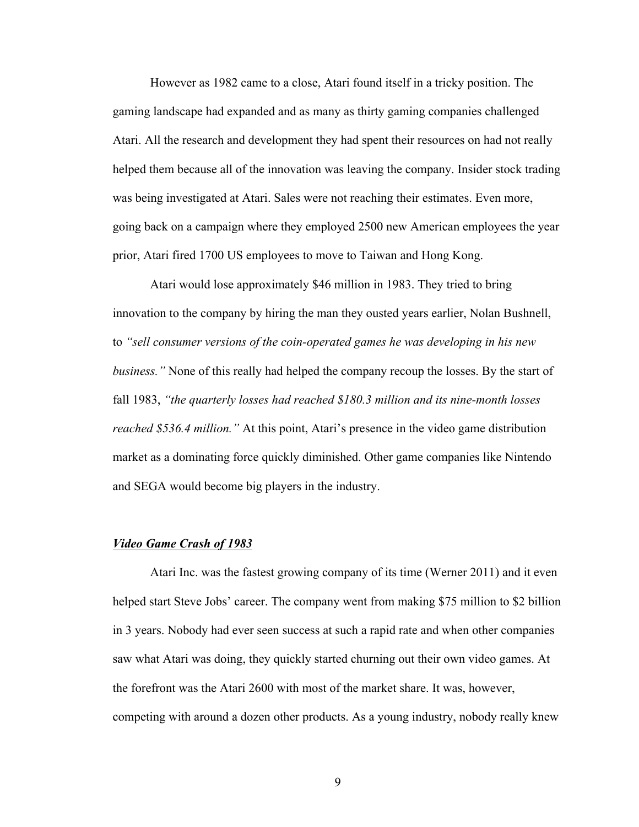However as 1982 came to a close, Atari found itself in a tricky position. The gaming landscape had expanded and as many as thirty gaming companies challenged Atari. All the research and development they had spent their resources on had not really helped them because all of the innovation was leaving the company. Insider stock trading was being investigated at Atari. Sales were not reaching their estimates. Even more, going back on a campaign where they employed 2500 new American employees the year prior, Atari fired 1700 US employees to move to Taiwan and Hong Kong.

Atari would lose approximately \$46 million in 1983. They tried to bring innovation to the company by hiring the man they ousted years earlier, Nolan Bushnell, to *"sell consumer versions of the coin-operated games he was developing in his new business."* None of this really had helped the company recoup the losses. By the start of fall 1983, *"the quarterly losses had reached \$180.3 million and its nine-month losses reached \$536.4 million."* At this point, Atari's presence in the video game distribution market as a dominating force quickly diminished. Other game companies like Nintendo and SEGA would become big players in the industry.

#### *Video Game Crash of 1983*

Atari Inc. was the fastest growing company of its time (Werner 2011) and it even helped start Steve Jobs' career. The company went from making \$75 million to \$2 billion in 3 years. Nobody had ever seen success at such a rapid rate and when other companies saw what Atari was doing, they quickly started churning out their own video games. At the forefront was the Atari 2600 with most of the market share. It was, however, competing with around a dozen other products. As a young industry, nobody really knew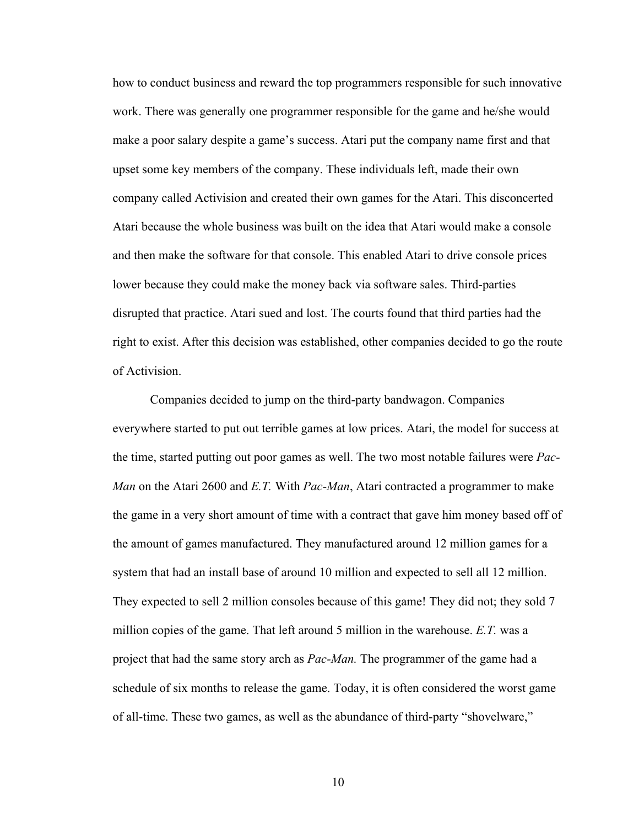how to conduct business and reward the top programmers responsible for such innovative work. There was generally one programmer responsible for the game and he/she would make a poor salary despite a game's success. Atari put the company name first and that upset some key members of the company. These individuals left, made their own company called Activision and created their own games for the Atari. This disconcerted Atari because the whole business was built on the idea that Atari would make a console and then make the software for that console. This enabled Atari to drive console prices lower because they could make the money back via software sales. Third-parties disrupted that practice. Atari sued and lost. The courts found that third parties had the right to exist. After this decision was established, other companies decided to go the route of Activision.

Companies decided to jump on the third-party bandwagon. Companies everywhere started to put out terrible games at low prices. Atari, the model for success at the time, started putting out poor games as well. The two most notable failures were *Pac-Man* on the Atari 2600 and *E.T.* With *Pac-Man*, Atari contracted a programmer to make the game in a very short amount of time with a contract that gave him money based off of the amount of games manufactured. They manufactured around 12 million games for a system that had an install base of around 10 million and expected to sell all 12 million. They expected to sell 2 million consoles because of this game! They did not; they sold 7 million copies of the game. That left around 5 million in the warehouse. *E.T.* was a project that had the same story arch as *Pac-Man.* The programmer of the game had a schedule of six months to release the game. Today, it is often considered the worst game of all-time. These two games, as well as the abundance of third-party "shovelware,"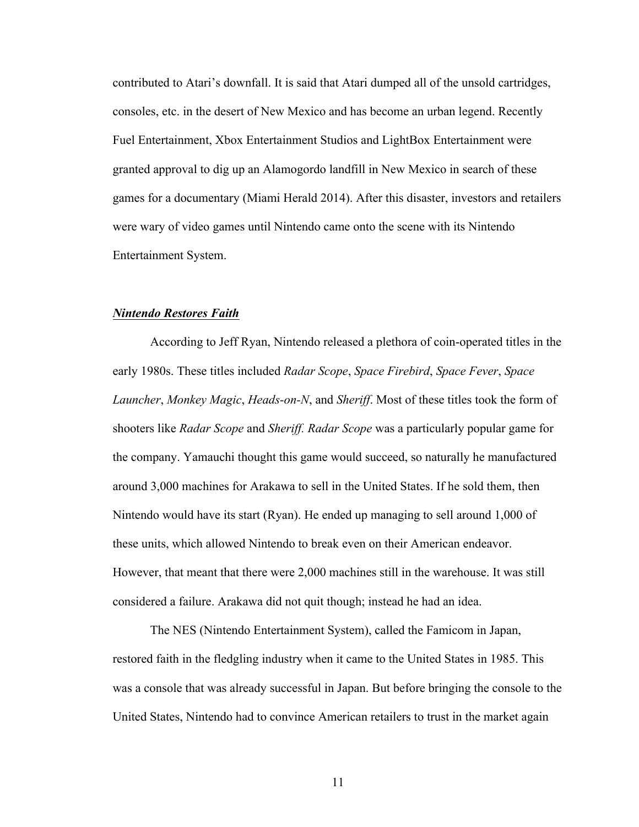contributed to Atari's downfall. It is said that Atari dumped all of the unsold cartridges, consoles, etc. in the desert of New Mexico and has become an urban legend. Recently Fuel Entertainment, Xbox Entertainment Studios and LightBox Entertainment were granted approval to dig up an Alamogordo landfill in New Mexico in search of these games for a documentary (Miami Herald 2014). After this disaster, investors and retailers were wary of video games until Nintendo came onto the scene with its Nintendo Entertainment System.

### *Nintendo Restores Faith*

According to Jeff Ryan, Nintendo released a plethora of coin-operated titles in the early 1980s. These titles included *Radar Scope*, *Space Firebird*, *Space Fever*, *Space Launcher*, *Monkey Magic*, *Heads-on-N*, and *Sheriff*. Most of these titles took the form of shooters like *Radar Scope* and *Sheriff. Radar Scope* was a particularly popular game for the company. Yamauchi thought this game would succeed, so naturally he manufactured around 3,000 machines for Arakawa to sell in the United States. If he sold them, then Nintendo would have its start (Ryan). He ended up managing to sell around 1,000 of these units, which allowed Nintendo to break even on their American endeavor. However, that meant that there were 2,000 machines still in the warehouse. It was still considered a failure. Arakawa did not quit though; instead he had an idea.

The NES (Nintendo Entertainment System), called the Famicom in Japan, restored faith in the fledgling industry when it came to the United States in 1985. This was a console that was already successful in Japan. But before bringing the console to the United States, Nintendo had to convince American retailers to trust in the market again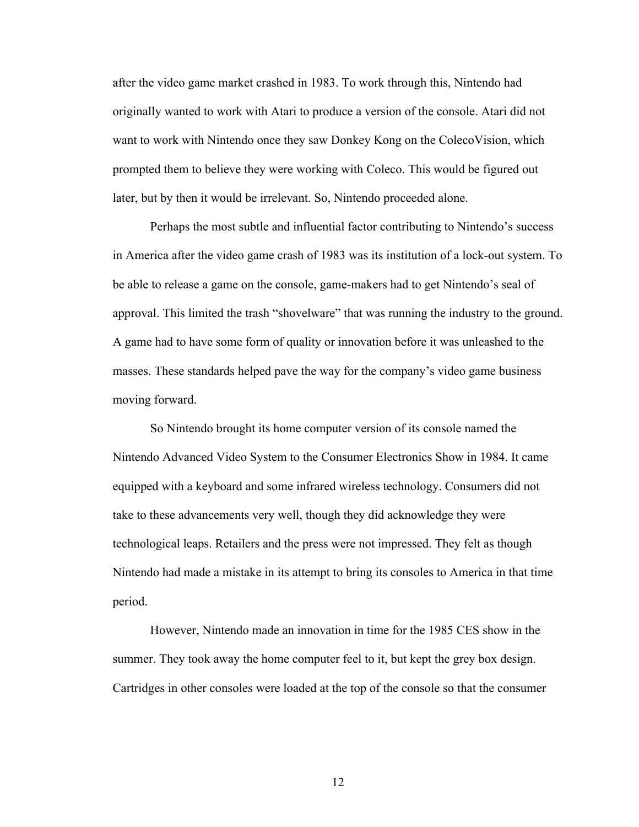after the video game market crashed in 1983. To work through this, Nintendo had originally wanted to work with Atari to produce a version of the console. Atari did not want to work with Nintendo once they saw Donkey Kong on the ColecoVision, which prompted them to believe they were working with Coleco. This would be figured out later, but by then it would be irrelevant. So, Nintendo proceeded alone.

Perhaps the most subtle and influential factor contributing to Nintendo's success in America after the video game crash of 1983 was its institution of a lock-out system. To be able to release a game on the console, game-makers had to get Nintendo's seal of approval. This limited the trash "shovelware" that was running the industry to the ground. A game had to have some form of quality or innovation before it was unleashed to the masses. These standards helped pave the way for the company's video game business moving forward.

So Nintendo brought its home computer version of its console named the Nintendo Advanced Video System to the Consumer Electronics Show in 1984. It came equipped with a keyboard and some infrared wireless technology. Consumers did not take to these advancements very well, though they did acknowledge they were technological leaps. Retailers and the press were not impressed. They felt as though Nintendo had made a mistake in its attempt to bring its consoles to America in that time period.

However, Nintendo made an innovation in time for the 1985 CES show in the summer. They took away the home computer feel to it, but kept the grey box design. Cartridges in other consoles were loaded at the top of the console so that the consumer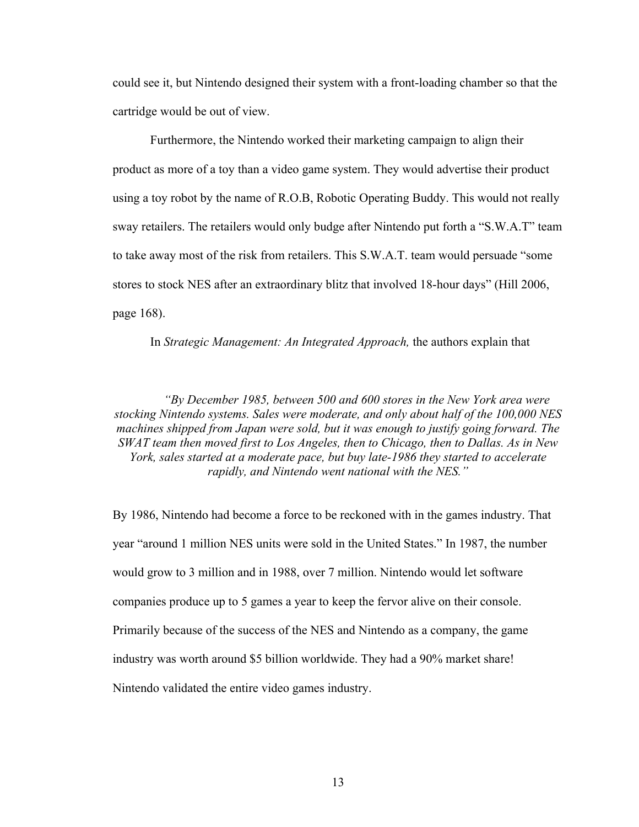could see it, but Nintendo designed their system with a front-loading chamber so that the cartridge would be out of view.

Furthermore, the Nintendo worked their marketing campaign to align their product as more of a toy than a video game system. They would advertise their product using a toy robot by the name of R.O.B, Robotic Operating Buddy. This would not really sway retailers. The retailers would only budge after Nintendo put forth a "S.W.A.T" team to take away most of the risk from retailers. This S.W.A.T. team would persuade "some stores to stock NES after an extraordinary blitz that involved 18-hour days" (Hill 2006, page 168).

In *Strategic Management: An Integrated Approach,* the authors explain that

*"By December 1985, between 500 and 600 stores in the New York area were stocking Nintendo systems. Sales were moderate, and only about half of the 100,000 NES machines shipped from Japan were sold, but it was enough to justify going forward. The SWAT team then moved first to Los Angeles, then to Chicago, then to Dallas. As in New York, sales started at a moderate pace, but buy late-1986 they started to accelerate rapidly, and Nintendo went national with the NES."*

By 1986, Nintendo had become a force to be reckoned with in the games industry. That year "around 1 million NES units were sold in the United States." In 1987, the number would grow to 3 million and in 1988, over 7 million. Nintendo would let software companies produce up to 5 games a year to keep the fervor alive on their console. Primarily because of the success of the NES and Nintendo as a company, the game industry was worth around \$5 billion worldwide. They had a 90% market share! Nintendo validated the entire video games industry.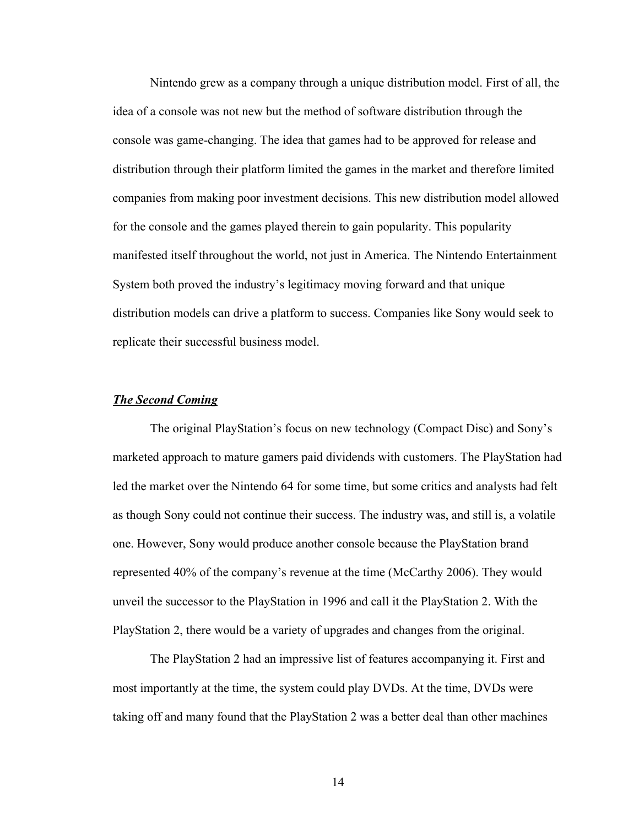Nintendo grew as a company through a unique distribution model. First of all, the idea of a console was not new but the method of software distribution through the console was game-changing. The idea that games had to be approved for release and distribution through their platform limited the games in the market and therefore limited companies from making poor investment decisions. This new distribution model allowed for the console and the games played therein to gain popularity. This popularity manifested itself throughout the world, not just in America. The Nintendo Entertainment System both proved the industry's legitimacy moving forward and that unique distribution models can drive a platform to success. Companies like Sony would seek to replicate their successful business model.

#### *The Second Coming*

The original PlayStation's focus on new technology (Compact Disc) and Sony's marketed approach to mature gamers paid dividends with customers. The PlayStation had led the market over the Nintendo 64 for some time, but some critics and analysts had felt as though Sony could not continue their success. The industry was, and still is, a volatile one. However, Sony would produce another console because the PlayStation brand represented 40% of the company's revenue at the time (McCarthy 2006). They would unveil the successor to the PlayStation in 1996 and call it the PlayStation 2. With the PlayStation 2, there would be a variety of upgrades and changes from the original.

The PlayStation 2 had an impressive list of features accompanying it. First and most importantly at the time, the system could play DVDs. At the time, DVDs were taking off and many found that the PlayStation 2 was a better deal than other machines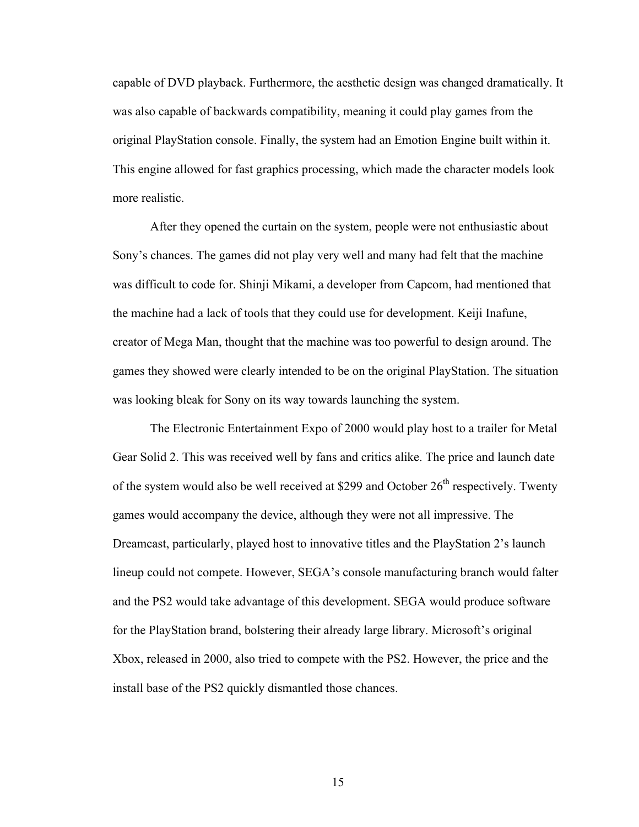capable of DVD playback. Furthermore, the aesthetic design was changed dramatically. It was also capable of backwards compatibility, meaning it could play games from the original PlayStation console. Finally, the system had an Emotion Engine built within it. This engine allowed for fast graphics processing, which made the character models look more realistic.

After they opened the curtain on the system, people were not enthusiastic about Sony's chances. The games did not play very well and many had felt that the machine was difficult to code for. Shinji Mikami, a developer from Capcom, had mentioned that the machine had a lack of tools that they could use for development. Keiji Inafune, creator of Mega Man, thought that the machine was too powerful to design around. The games they showed were clearly intended to be on the original PlayStation. The situation was looking bleak for Sony on its way towards launching the system.

The Electronic Entertainment Expo of 2000 would play host to a trailer for Metal Gear Solid 2. This was received well by fans and critics alike. The price and launch date of the system would also be well received at \$299 and October  $26<sup>th</sup>$  respectively. Twenty games would accompany the device, although they were not all impressive. The Dreamcast, particularly, played host to innovative titles and the PlayStation 2's launch lineup could not compete. However, SEGA's console manufacturing branch would falter and the PS2 would take advantage of this development. SEGA would produce software for the PlayStation brand, bolstering their already large library. Microsoft's original Xbox, released in 2000, also tried to compete with the PS2. However, the price and the install base of the PS2 quickly dismantled those chances.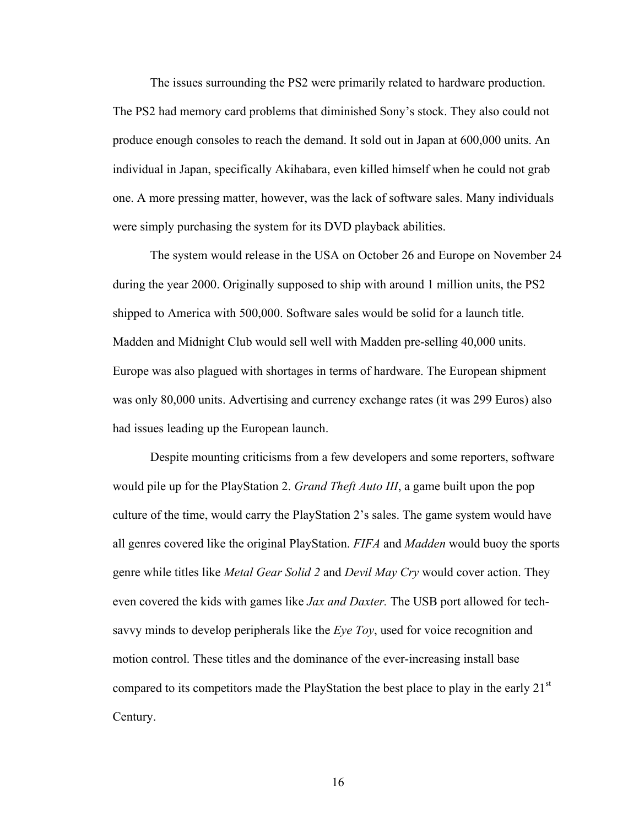The issues surrounding the PS2 were primarily related to hardware production. The PS2 had memory card problems that diminished Sony's stock. They also could not produce enough consoles to reach the demand. It sold out in Japan at 600,000 units. An individual in Japan, specifically Akihabara, even killed himself when he could not grab one. A more pressing matter, however, was the lack of software sales. Many individuals were simply purchasing the system for its DVD playback abilities.

The system would release in the USA on October 26 and Europe on November 24 during the year 2000. Originally supposed to ship with around 1 million units, the PS2 shipped to America with 500,000. Software sales would be solid for a launch title. Madden and Midnight Club would sell well with Madden pre-selling 40,000 units. Europe was also plagued with shortages in terms of hardware. The European shipment was only 80,000 units. Advertising and currency exchange rates (it was 299 Euros) also had issues leading up the European launch.

Despite mounting criticisms from a few developers and some reporters, software would pile up for the PlayStation 2. *Grand Theft Auto III*, a game built upon the pop culture of the time, would carry the PlayStation 2's sales. The game system would have all genres covered like the original PlayStation. *FIFA* and *Madden* would buoy the sports genre while titles like *Metal Gear Solid 2* and *Devil May Cry* would cover action. They even covered the kids with games like *Jax and Daxter.* The USB port allowed for techsavvy minds to develop peripherals like the *Eye Toy*, used for voice recognition and motion control. These titles and the dominance of the ever-increasing install base compared to its competitors made the PlayStation the best place to play in the early  $21<sup>st</sup>$ Century.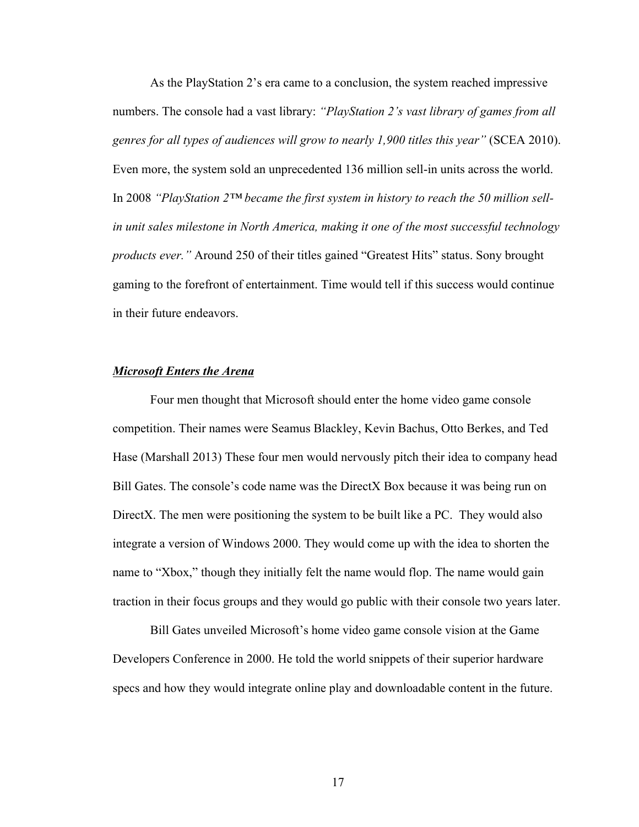As the PlayStation 2's era came to a conclusion, the system reached impressive numbers. The console had a vast library: *"PlayStation 2's vast library of games from all genres for all types of audiences will grow to nearly 1,900 titles this year"* (SCEA 2010). Even more, the system sold an unprecedented 136 million sell-in units across the world. In 2008 *"PlayStation 2™ became the first system in history to reach the 50 million sellin unit sales milestone in North America, making it one of the most successful technology products ever."* Around 250 of their titles gained "Greatest Hits" status. Sony brought gaming to the forefront of entertainment. Time would tell if this success would continue in their future endeavors.

## *Microsoft Enters the Arena*

Four men thought that Microsoft should enter the home video game console competition. Their names were Seamus Blackley, Kevin Bachus, Otto Berkes, and Ted Hase (Marshall 2013) These four men would nervously pitch their idea to company head Bill Gates. The console's code name was the DirectX Box because it was being run on DirectX. The men were positioning the system to be built like a PC. They would also integrate a version of Windows 2000. They would come up with the idea to shorten the name to "Xbox," though they initially felt the name would flop. The name would gain traction in their focus groups and they would go public with their console two years later.

Bill Gates unveiled Microsoft's home video game console vision at the Game Developers Conference in 2000. He told the world snippets of their superior hardware specs and how they would integrate online play and downloadable content in the future.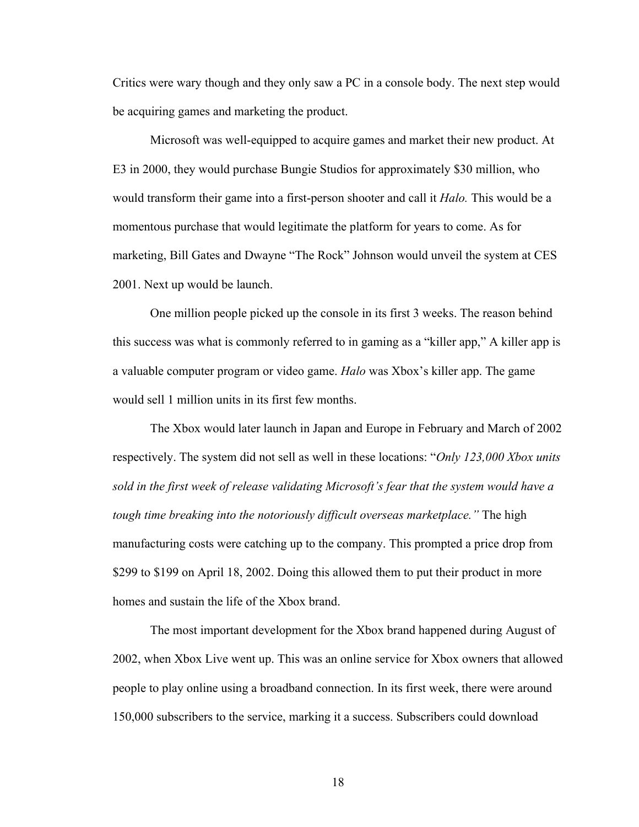Critics were wary though and they only saw a PC in a console body. The next step would be acquiring games and marketing the product.

Microsoft was well-equipped to acquire games and market their new product. At E3 in 2000, they would purchase Bungie Studios for approximately \$30 million, who would transform their game into a first-person shooter and call it *Halo.* This would be a momentous purchase that would legitimate the platform for years to come. As for marketing, Bill Gates and Dwayne "The Rock" Johnson would unveil the system at CES 2001. Next up would be launch.

One million people picked up the console in its first 3 weeks. The reason behind this success was what is commonly referred to in gaming as a "killer app," A killer app is a valuable computer program or video game. *Halo* was Xbox's killer app. The game would sell 1 million units in its first few months.

The Xbox would later launch in Japan and Europe in February and March of 2002 respectively. The system did not sell as well in these locations: "*Only 123,000 Xbox units sold in the first week of release validating Microsoft's fear that the system would have a tough time breaking into the notoriously difficult overseas marketplace."* The high manufacturing costs were catching up to the company. This prompted a price drop from \$299 to \$199 on April 18, 2002. Doing this allowed them to put their product in more homes and sustain the life of the Xbox brand.

The most important development for the Xbox brand happened during August of 2002, when Xbox Live went up. This was an online service for Xbox owners that allowed people to play online using a broadband connection. In its first week, there were around 150,000 subscribers to the service, marking it a success. Subscribers could download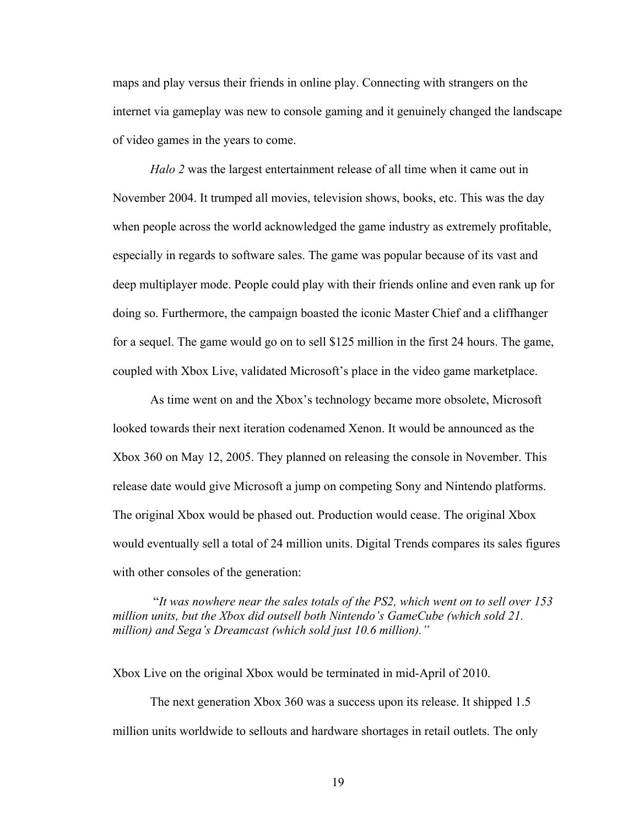maps and play versus their friends in online play. Connecting with strangers on the internet via gameplay was new to console gaming and it genuinely changed the landscape of video games in the years to come.

*Halo 2* was the largest entertainment release of all time when it came out in November 2004. It trumped all movies, television shows, books, etc. This was the day when people across the world acknowledged the game industry as extremely profitable, especially in regards to software sales. The game was popular because of its vast and deep multiplayer mode. People could play with their friends online and even rank up for doing so. Furthermore, the campaign boasted the iconic Master Chief and a cliffhanger for a sequel. The game would go on to sell \$125 million in the first 24 hours. The game, coupled with Xbox Live, validated Microsoft's place in the video game marketplace.

As time went on and the Xbox's technology became more obsolete, Microsoft looked towards their next iteration codenamed Xenon. It would be announced as the Xbox 360 on May 12, 2005. They planned on releasing the console in November. This release date would give Microsoft a jump on competing Sony and Nintendo platforms. The original Xbox would be phased out. Production would cease. The original Xbox would eventually sell a total of 24 million units. Digital Trends compares its sales figures with other consoles of the generation:

"*It was nowhere near the sales totals of the PS2, which went on to sell over 153 million units, but the Xbox did outsell both Nintendo's GameCube (which sold 21. million) and Sega's Dreamcast (which sold just 10.6 million)."* 

Xbox Live on the original Xbox would be terminated in mid-April of 2010.

The next generation Xbox 360 was a success upon its release. It shipped 1.5 million units worldwide to sellouts and hardware shortages in retail outlets. The only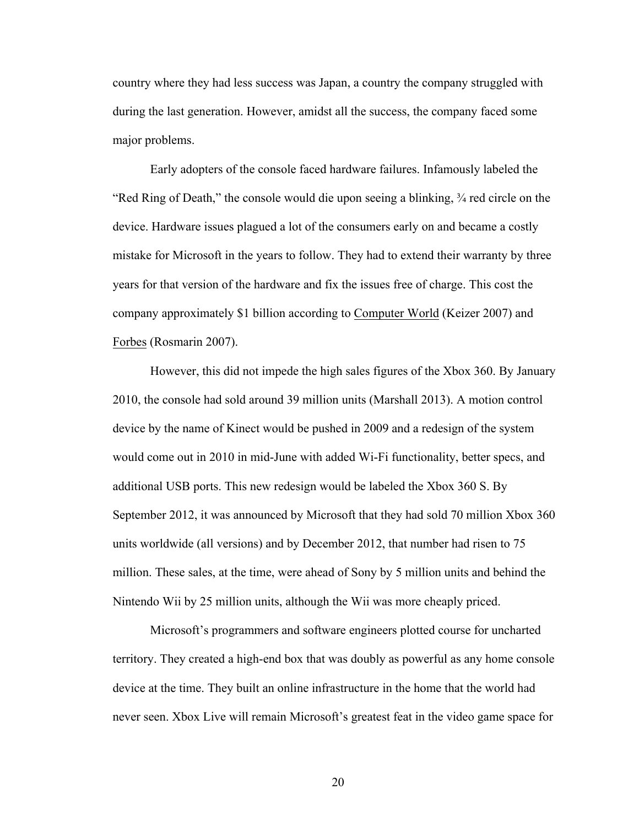country where they had less success was Japan, a country the company struggled with during the last generation. However, amidst all the success, the company faced some major problems.

Early adopters of the console faced hardware failures. Infamously labeled the "Red Ring of Death," the console would die upon seeing a blinking, ¾ red circle on the device. Hardware issues plagued a lot of the consumers early on and became a costly mistake for Microsoft in the years to follow. They had to extend their warranty by three years for that version of the hardware and fix the issues free of charge. This cost the company approximately \$1 billion according to Computer World (Keizer 2007) and Forbes (Rosmarin 2007).

However, this did not impede the high sales figures of the Xbox 360. By January 2010, the console had sold around 39 million units (Marshall 2013). A motion control device by the name of Kinect would be pushed in 2009 and a redesign of the system would come out in 2010 in mid-June with added Wi-Fi functionality, better specs, and additional USB ports. This new redesign would be labeled the Xbox 360 S. By September 2012, it was announced by Microsoft that they had sold 70 million Xbox 360 units worldwide (all versions) and by December 2012, that number had risen to 75 million. These sales, at the time, were ahead of Sony by 5 million units and behind the Nintendo Wii by 25 million units, although the Wii was more cheaply priced.

Microsoft's programmers and software engineers plotted course for uncharted territory. They created a high-end box that was doubly as powerful as any home console device at the time. They built an online infrastructure in the home that the world had never seen. Xbox Live will remain Microsoft's greatest feat in the video game space for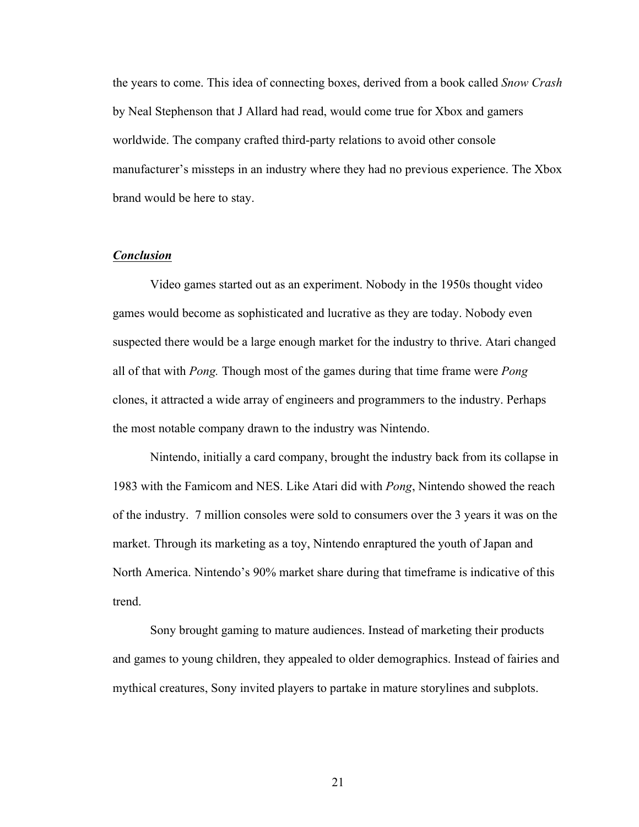the years to come. This idea of connecting boxes, derived from a book called *Snow Crash*  by Neal Stephenson that J Allard had read, would come true for Xbox and gamers worldwide. The company crafted third-party relations to avoid other console manufacturer's missteps in an industry where they had no previous experience. The Xbox brand would be here to stay.

## *Conclusion*

Video games started out as an experiment. Nobody in the 1950s thought video games would become as sophisticated and lucrative as they are today. Nobody even suspected there would be a large enough market for the industry to thrive. Atari changed all of that with *Pong.* Though most of the games during that time frame were *Pong*  clones, it attracted a wide array of engineers and programmers to the industry. Perhaps the most notable company drawn to the industry was Nintendo.

Nintendo, initially a card company, brought the industry back from its collapse in 1983 with the Famicom and NES. Like Atari did with *Pong*, Nintendo showed the reach of the industry. 7 million consoles were sold to consumers over the 3 years it was on the market. Through its marketing as a toy, Nintendo enraptured the youth of Japan and North America. Nintendo's 90% market share during that timeframe is indicative of this trend.

Sony brought gaming to mature audiences. Instead of marketing their products and games to young children, they appealed to older demographics. Instead of fairies and mythical creatures, Sony invited players to partake in mature storylines and subplots.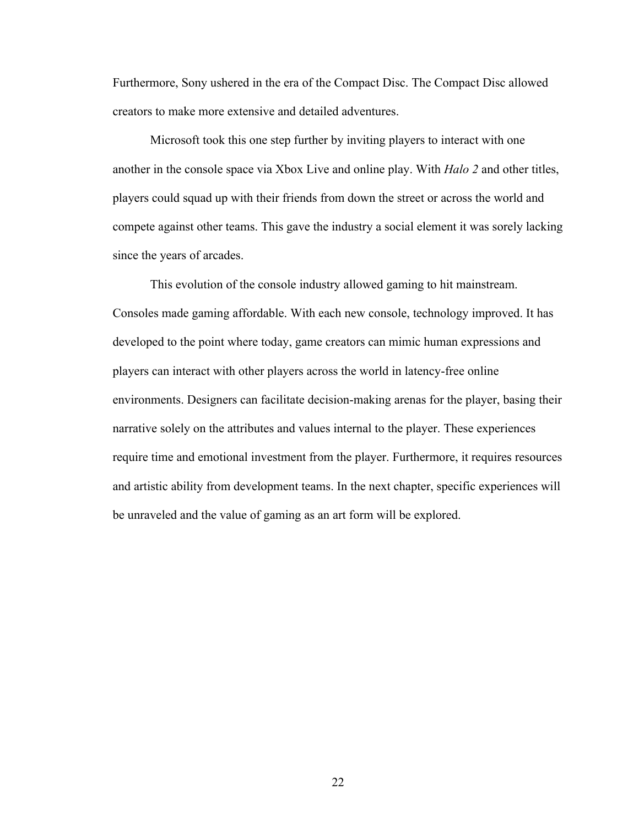Furthermore, Sony ushered in the era of the Compact Disc. The Compact Disc allowed creators to make more extensive and detailed adventures.

Microsoft took this one step further by inviting players to interact with one another in the console space via Xbox Live and online play. With *Halo 2* and other titles, players could squad up with their friends from down the street or across the world and compete against other teams. This gave the industry a social element it was sorely lacking since the years of arcades.

This evolution of the console industry allowed gaming to hit mainstream. Consoles made gaming affordable. With each new console, technology improved. It has developed to the point where today, game creators can mimic human expressions and players can interact with other players across the world in latency-free online environments. Designers can facilitate decision-making arenas for the player, basing their narrative solely on the attributes and values internal to the player. These experiences require time and emotional investment from the player. Furthermore, it requires resources and artistic ability from development teams. In the next chapter, specific experiences will be unraveled and the value of gaming as an art form will be explored.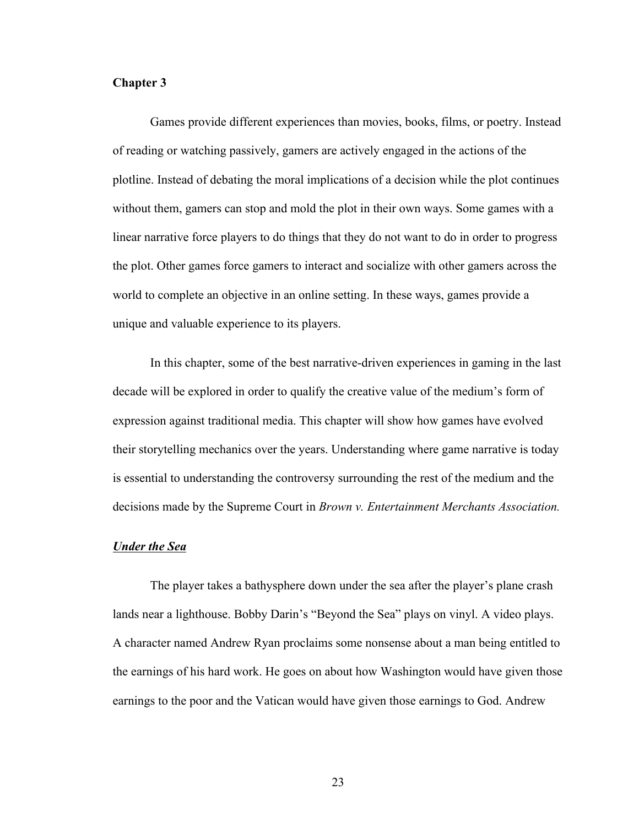## **Chapter 3**

Games provide different experiences than movies, books, films, or poetry. Instead of reading or watching passively, gamers are actively engaged in the actions of the plotline. Instead of debating the moral implications of a decision while the plot continues without them, gamers can stop and mold the plot in their own ways. Some games with a linear narrative force players to do things that they do not want to do in order to progress the plot. Other games force gamers to interact and socialize with other gamers across the world to complete an objective in an online setting. In these ways, games provide a unique and valuable experience to its players.

In this chapter, some of the best narrative-driven experiences in gaming in the last decade will be explored in order to qualify the creative value of the medium's form of expression against traditional media. This chapter will show how games have evolved their storytelling mechanics over the years. Understanding where game narrative is today is essential to understanding the controversy surrounding the rest of the medium and the decisions made by the Supreme Court in *Brown v. Entertainment Merchants Association.*

#### *Under the Sea*

The player takes a bathysphere down under the sea after the player's plane crash lands near a lighthouse. Bobby Darin's "Beyond the Sea" plays on vinyl. A video plays. A character named Andrew Ryan proclaims some nonsense about a man being entitled to the earnings of his hard work. He goes on about how Washington would have given those earnings to the poor and the Vatican would have given those earnings to God. Andrew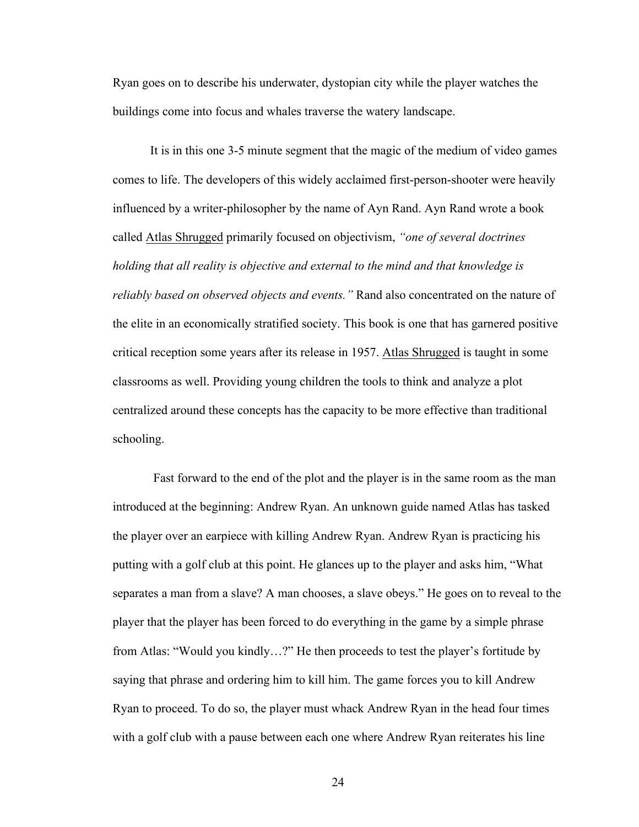Ryan goes on to describe his underwater, dystopian city while the player watches the buildings come into focus and whales traverse the watery landscape.

It is in this one 3-5 minute segment that the magic of the medium of video games comes to life. The developers of this widely acclaimed first-person-shooter were heavily influenced by a writer-philosopher by the name of Ayn Rand. Ayn Rand wrote a book called Atlas Shrugged primarily focused on objectivism, *"one of several doctrines holding that all reality is objective and external to the mind and that knowledge is reliably based on observed objects and events."* Rand also concentrated on the nature of the elite in an economically stratified society. This book is one that has garnered positive critical reception some years after its release in 1957. Atlas Shrugged is taught in some classrooms as well. Providing young children the tools to think and analyze a plot centralized around these concepts has the capacity to be more effective than traditional schooling.

Fast forward to the end of the plot and the player is in the same room as the man introduced at the beginning: Andrew Ryan. An unknown guide named Atlas has tasked the player over an earpiece with killing Andrew Ryan. Andrew Ryan is practicing his putting with a golf club at this point. He glances up to the player and asks him, "What separates a man from a slave? A man chooses, a slave obeys." He goes on to reveal to the player that the player has been forced to do everything in the game by a simple phrase from Atlas: "Would you kindly…?" He then proceeds to test the player's fortitude by saying that phrase and ordering him to kill him. The game forces you to kill Andrew Ryan to proceed. To do so, the player must whack Andrew Ryan in the head four times with a golf club with a pause between each one where Andrew Ryan reiterates his line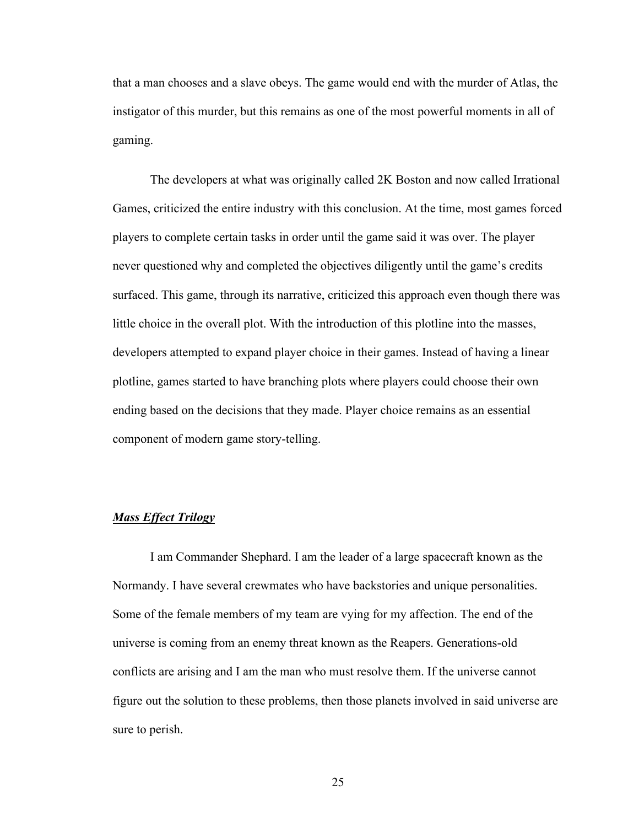that a man chooses and a slave obeys. The game would end with the murder of Atlas, the instigator of this murder, but this remains as one of the most powerful moments in all of gaming.

The developers at what was originally called 2K Boston and now called Irrational Games, criticized the entire industry with this conclusion. At the time, most games forced players to complete certain tasks in order until the game said it was over. The player never questioned why and completed the objectives diligently until the game's credits surfaced. This game, through its narrative, criticized this approach even though there was little choice in the overall plot. With the introduction of this plotline into the masses, developers attempted to expand player choice in their games. Instead of having a linear plotline, games started to have branching plots where players could choose their own ending based on the decisions that they made. Player choice remains as an essential component of modern game story-telling.

# *Mass Effect Trilogy*

I am Commander Shephard. I am the leader of a large spacecraft known as the Normandy. I have several crewmates who have backstories and unique personalities. Some of the female members of my team are vying for my affection. The end of the universe is coming from an enemy threat known as the Reapers. Generations-old conflicts are arising and I am the man who must resolve them. If the universe cannot figure out the solution to these problems, then those planets involved in said universe are sure to perish.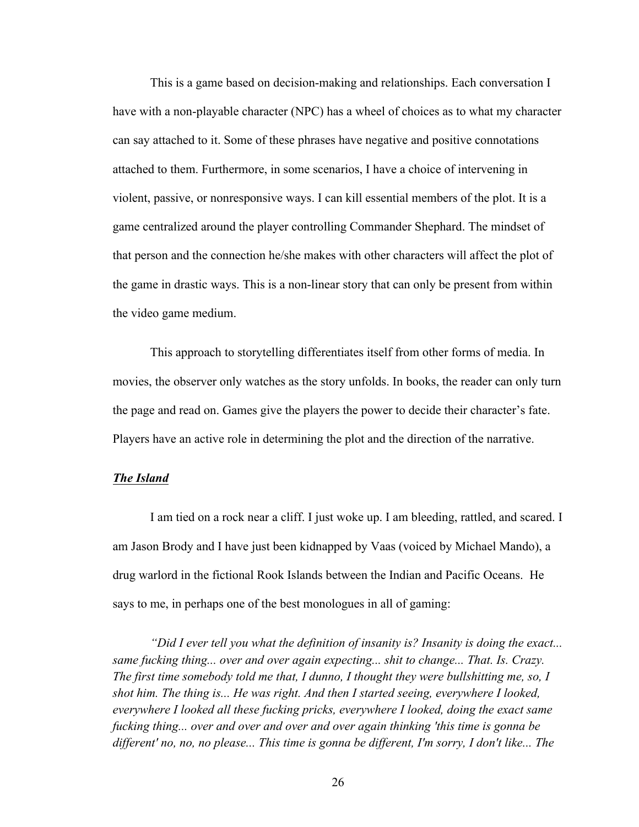This is a game based on decision-making and relationships. Each conversation I have with a non-playable character (NPC) has a wheel of choices as to what my character can say attached to it. Some of these phrases have negative and positive connotations attached to them. Furthermore, in some scenarios, I have a choice of intervening in violent, passive, or nonresponsive ways. I can kill essential members of the plot. It is a game centralized around the player controlling Commander Shephard. The mindset of that person and the connection he/she makes with other characters will affect the plot of the game in drastic ways. This is a non-linear story that can only be present from within the video game medium.

This approach to storytelling differentiates itself from other forms of media. In movies, the observer only watches as the story unfolds. In books, the reader can only turn the page and read on. Games give the players the power to decide their character's fate. Players have an active role in determining the plot and the direction of the narrative.

#### *The Island*

I am tied on a rock near a cliff. I just woke up. I am bleeding, rattled, and scared. I am Jason Brody and I have just been kidnapped by Vaas (voiced by Michael Mando), a drug warlord in the fictional Rook Islands between the Indian and Pacific Oceans. He says to me, in perhaps one of the best monologues in all of gaming:

*"Did I ever tell you what the definition of insanity is? Insanity is doing the exact... same fucking thing... over and over again expecting... shit to change... That. Is. Crazy. The first time somebody told me that, I dunno, I thought they were bullshitting me, so, I shot him. The thing is... He was right. And then I started seeing, everywhere I looked, everywhere I looked all these fucking pricks, everywhere I looked, doing the exact same fucking thing... over and over and over and over again thinking 'this time is gonna be different' no, no, no please... This time is gonna be different, I'm sorry, I don't like... The*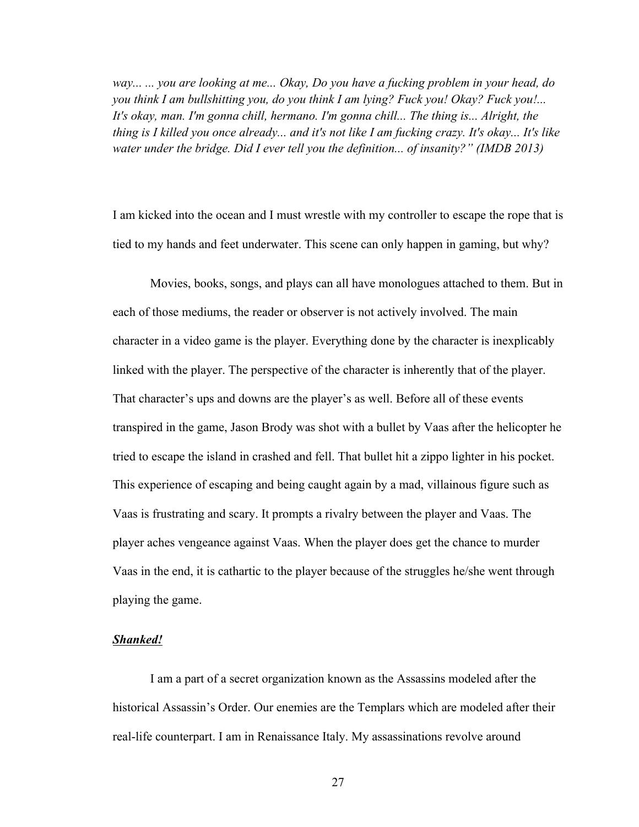*way... ... you are looking at me... Okay, Do you have a fucking problem in your head, do you think I am bullshitting you, do you think I am lying? Fuck you! Okay? Fuck you!... It's okay, man. I'm gonna chill, hermano. I'm gonna chill... The thing is... Alright, the thing is I killed you once already... and it's not like I am fucking crazy. It's okay... It's like water under the bridge. Did I ever tell you the definition... of insanity?" (IMDB 2013)*

I am kicked into the ocean and I must wrestle with my controller to escape the rope that is tied to my hands and feet underwater. This scene can only happen in gaming, but why?

Movies, books, songs, and plays can all have monologues attached to them. But in each of those mediums, the reader or observer is not actively involved. The main character in a video game is the player. Everything done by the character is inexplicably linked with the player. The perspective of the character is inherently that of the player. That character's ups and downs are the player's as well. Before all of these events transpired in the game, Jason Brody was shot with a bullet by Vaas after the helicopter he tried to escape the island in crashed and fell. That bullet hit a zippo lighter in his pocket. This experience of escaping and being caught again by a mad, villainous figure such as Vaas is frustrating and scary. It prompts a rivalry between the player and Vaas. The player aches vengeance against Vaas. When the player does get the chance to murder Vaas in the end, it is cathartic to the player because of the struggles he/she went through playing the game.

#### *Shanked!*

I am a part of a secret organization known as the Assassins modeled after the historical Assassin's Order. Our enemies are the Templars which are modeled after their real-life counterpart. I am in Renaissance Italy. My assassinations revolve around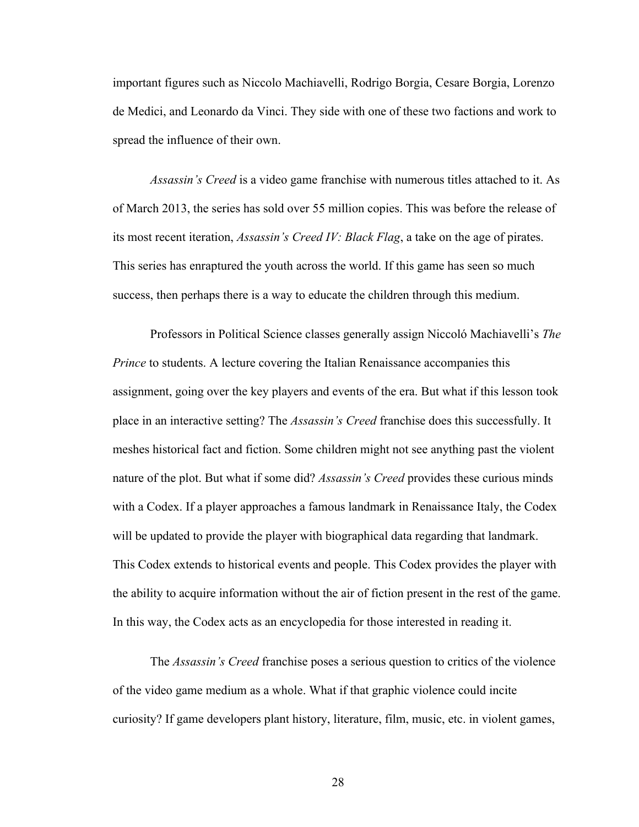important figures such as Niccolo Machiavelli, Rodrigo Borgia, Cesare Borgia, Lorenzo de Medici, and Leonardo da Vinci. They side with one of these two factions and work to spread the influence of their own.

*Assassin's Creed* is a video game franchise with numerous titles attached to it. As of March 2013, the series has sold over 55 million copies. This was before the release of its most recent iteration, *Assassin's Creed IV: Black Flag*, a take on the age of pirates. This series has enraptured the youth across the world. If this game has seen so much success, then perhaps there is a way to educate the children through this medium.

Professors in Political Science classes generally assign Niccoló Machiavelli's *The Prince* to students. A lecture covering the Italian Renaissance accompanies this assignment, going over the key players and events of the era. But what if this lesson took place in an interactive setting? The *Assassin's Creed* franchise does this successfully. It meshes historical fact and fiction. Some children might not see anything past the violent nature of the plot. But what if some did? *Assassin's Creed* provides these curious minds with a Codex. If a player approaches a famous landmark in Renaissance Italy, the Codex will be updated to provide the player with biographical data regarding that landmark. This Codex extends to historical events and people. This Codex provides the player with the ability to acquire information without the air of fiction present in the rest of the game. In this way, the Codex acts as an encyclopedia for those interested in reading it.

The *Assassin's Creed* franchise poses a serious question to critics of the violence of the video game medium as a whole. What if that graphic violence could incite curiosity? If game developers plant history, literature, film, music, etc. in violent games,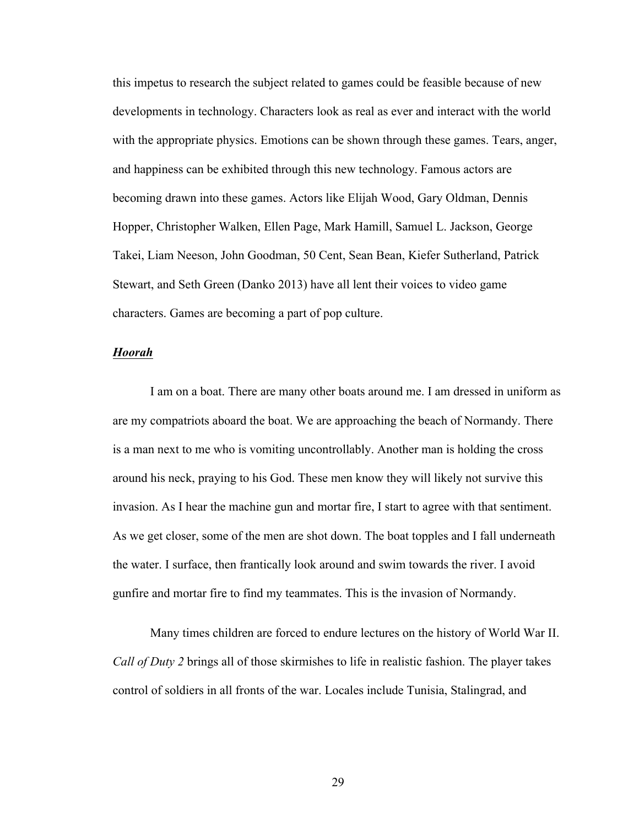this impetus to research the subject related to games could be feasible because of new developments in technology. Characters look as real as ever and interact with the world with the appropriate physics. Emotions can be shown through these games. Tears, anger, and happiness can be exhibited through this new technology. Famous actors are becoming drawn into these games. Actors like Elijah Wood, Gary Oldman, Dennis Hopper, Christopher Walken, Ellen Page, Mark Hamill, Samuel L. Jackson, George Takei, Liam Neeson, John Goodman, 50 Cent, Sean Bean, Kiefer Sutherland, Patrick Stewart, and Seth Green (Danko 2013) have all lent their voices to video game characters. Games are becoming a part of pop culture.

#### *Hoorah*

I am on a boat. There are many other boats around me. I am dressed in uniform as are my compatriots aboard the boat. We are approaching the beach of Normandy. There is a man next to me who is vomiting uncontrollably. Another man is holding the cross around his neck, praying to his God. These men know they will likely not survive this invasion. As I hear the machine gun and mortar fire, I start to agree with that sentiment. As we get closer, some of the men are shot down. The boat topples and I fall underneath the water. I surface, then frantically look around and swim towards the river. I avoid gunfire and mortar fire to find my teammates. This is the invasion of Normandy.

Many times children are forced to endure lectures on the history of World War II. *Call of Duty 2* brings all of those skirmishes to life in realistic fashion. The player takes control of soldiers in all fronts of the war. Locales include Tunisia, Stalingrad, and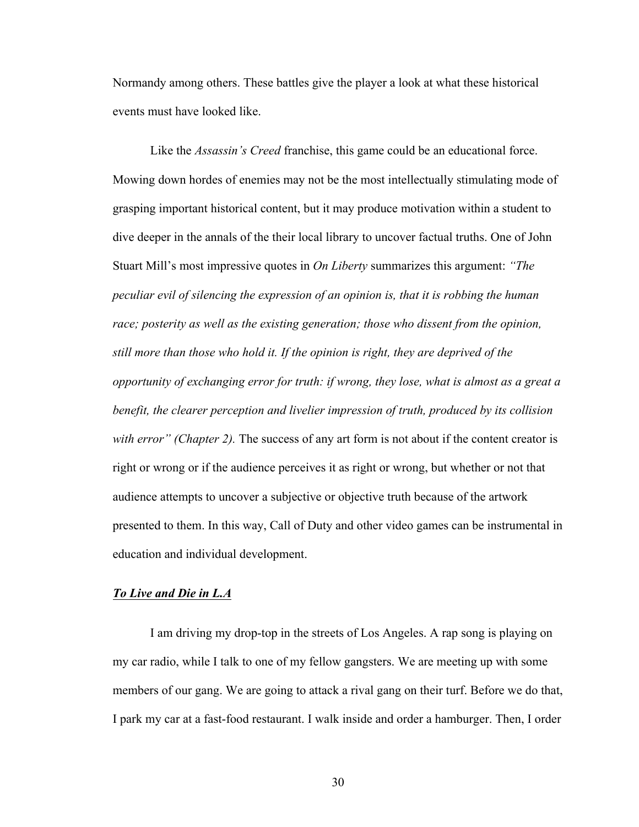Normandy among others. These battles give the player a look at what these historical events must have looked like.

Like the *Assassin's Creed* franchise, this game could be an educational force. Mowing down hordes of enemies may not be the most intellectually stimulating mode of grasping important historical content, but it may produce motivation within a student to dive deeper in the annals of the their local library to uncover factual truths. One of John Stuart Mill's most impressive quotes in *On Liberty* summarizes this argument: *"The peculiar evil of silencing the expression of an opinion is, that it is robbing the human race; posterity as well as the existing generation; those who dissent from the opinion, still more than those who hold it. If the opinion is right, they are deprived of the opportunity of exchanging error for truth: if wrong, they lose, what is almost as a great a benefit, the clearer perception and livelier impression of truth, produced by its collision with error" (Chapter 2).* The success of any art form is not about if the content creator is right or wrong or if the audience perceives it as right or wrong, but whether or not that audience attempts to uncover a subjective or objective truth because of the artwork presented to them. In this way, Call of Duty and other video games can be instrumental in education and individual development.

# *To Live and Die in L.A*

I am driving my drop-top in the streets of Los Angeles. A rap song is playing on my car radio, while I talk to one of my fellow gangsters. We are meeting up with some members of our gang. We are going to attack a rival gang on their turf. Before we do that, I park my car at a fast-food restaurant. I walk inside and order a hamburger. Then, I order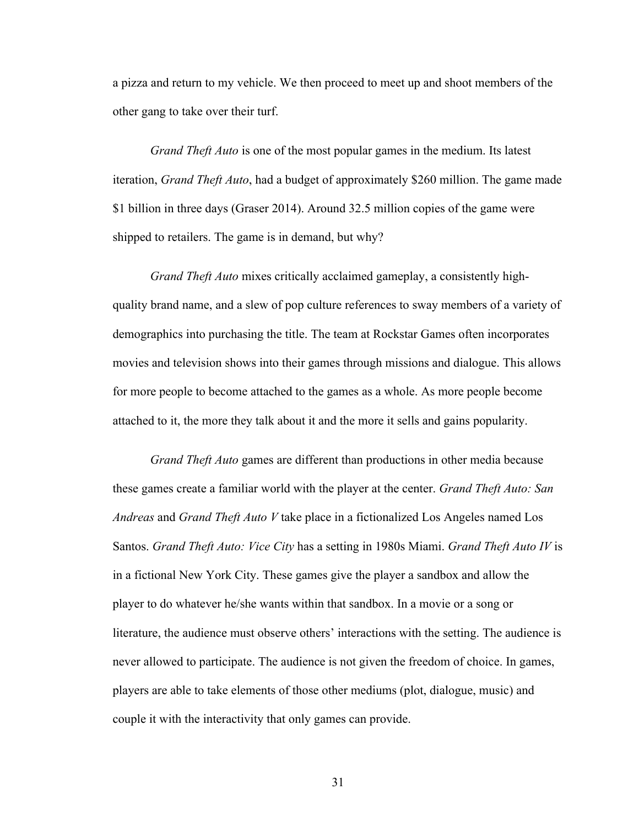a pizza and return to my vehicle. We then proceed to meet up and shoot members of the other gang to take over their turf.

*Grand Theft Auto* is one of the most popular games in the medium. Its latest iteration, *Grand Theft Auto*, had a budget of approximately \$260 million. The game made \$1 billion in three days (Graser 2014). Around 32.5 million copies of the game were shipped to retailers. The game is in demand, but why?

*Grand Theft Auto* mixes critically acclaimed gameplay, a consistently highquality brand name, and a slew of pop culture references to sway members of a variety of demographics into purchasing the title. The team at Rockstar Games often incorporates movies and television shows into their games through missions and dialogue. This allows for more people to become attached to the games as a whole. As more people become attached to it, the more they talk about it and the more it sells and gains popularity.

*Grand Theft Auto* games are different than productions in other media because these games create a familiar world with the player at the center. *Grand Theft Auto: San Andreas* and *Grand Theft Auto V* take place in a fictionalized Los Angeles named Los Santos. *Grand Theft Auto: Vice City* has a setting in 1980s Miami. *Grand Theft Auto IV* is in a fictional New York City. These games give the player a sandbox and allow the player to do whatever he/she wants within that sandbox. In a movie or a song or literature, the audience must observe others' interactions with the setting. The audience is never allowed to participate. The audience is not given the freedom of choice. In games, players are able to take elements of those other mediums (plot, dialogue, music) and couple it with the interactivity that only games can provide.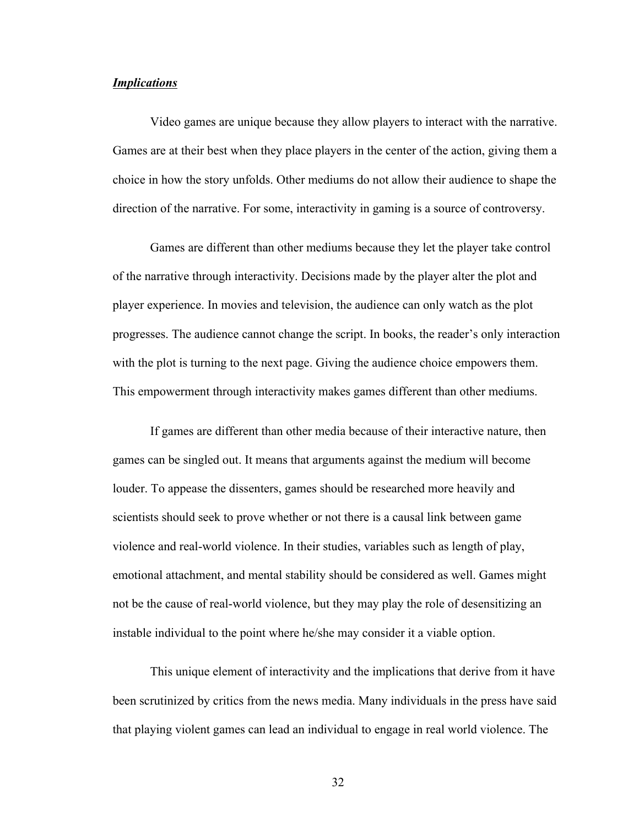# *Implications*

Video games are unique because they allow players to interact with the narrative. Games are at their best when they place players in the center of the action, giving them a choice in how the story unfolds. Other mediums do not allow their audience to shape the direction of the narrative. For some, interactivity in gaming is a source of controversy.

Games are different than other mediums because they let the player take control of the narrative through interactivity. Decisions made by the player alter the plot and player experience. In movies and television, the audience can only watch as the plot progresses. The audience cannot change the script. In books, the reader's only interaction with the plot is turning to the next page. Giving the audience choice empowers them. This empowerment through interactivity makes games different than other mediums.

If games are different than other media because of their interactive nature, then games can be singled out. It means that arguments against the medium will become louder. To appease the dissenters, games should be researched more heavily and scientists should seek to prove whether or not there is a causal link between game violence and real-world violence. In their studies, variables such as length of play, emotional attachment, and mental stability should be considered as well. Games might not be the cause of real-world violence, but they may play the role of desensitizing an instable individual to the point where he/she may consider it a viable option.

This unique element of interactivity and the implications that derive from it have been scrutinized by critics from the news media. Many individuals in the press have said that playing violent games can lead an individual to engage in real world violence. The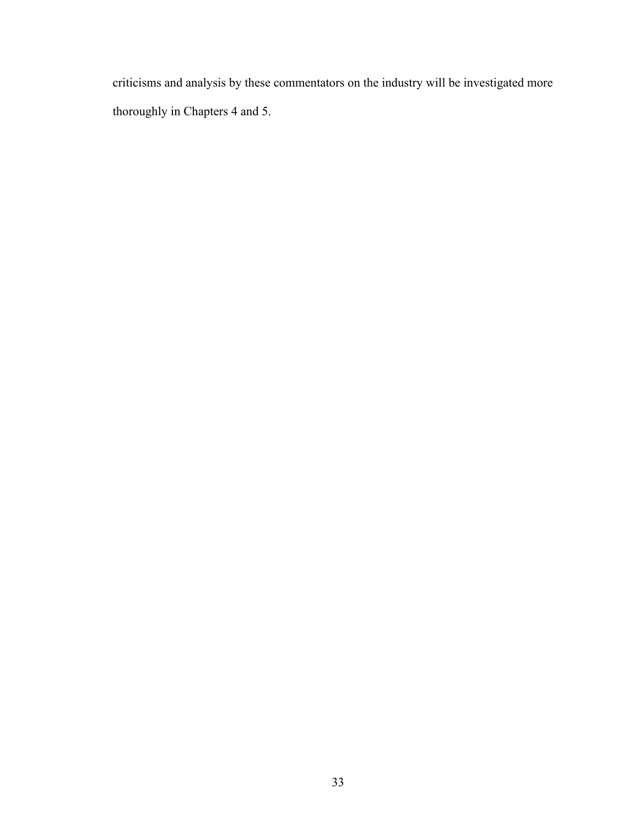criticisms and analysis by these commentators on the industry will be investigated more thoroughly in Chapters 4 and 5.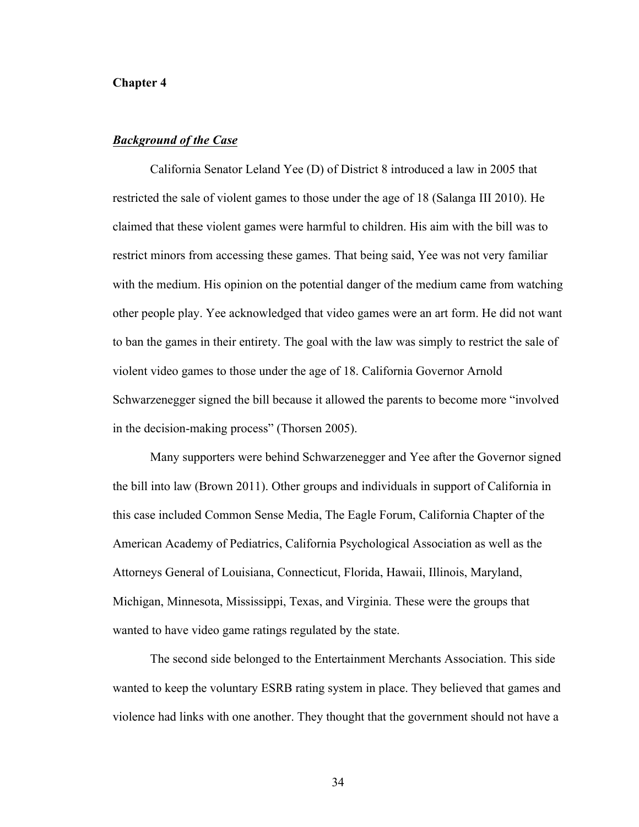## **Chapter 4**

## *Background of the Case*

California Senator Leland Yee (D) of District 8 introduced a law in 2005 that restricted the sale of violent games to those under the age of 18 (Salanga III 2010). He claimed that these violent games were harmful to children. His aim with the bill was to restrict minors from accessing these games. That being said, Yee was not very familiar with the medium. His opinion on the potential danger of the medium came from watching other people play. Yee acknowledged that video games were an art form. He did not want to ban the games in their entirety. The goal with the law was simply to restrict the sale of violent video games to those under the age of 18. California Governor Arnold Schwarzenegger signed the bill because it allowed the parents to become more "involved in the decision-making process" (Thorsen 2005).

Many supporters were behind Schwarzenegger and Yee after the Governor signed the bill into law (Brown 2011). Other groups and individuals in support of California in this case included Common Sense Media, The Eagle Forum, California Chapter of the American Academy of Pediatrics, California Psychological Association as well as the Attorneys General of Louisiana, Connecticut, Florida, Hawaii, Illinois, Maryland, Michigan, Minnesota, Mississippi, Texas, and Virginia. These were the groups that wanted to have video game ratings regulated by the state.

The second side belonged to the Entertainment Merchants Association. This side wanted to keep the voluntary ESRB rating system in place. They believed that games and violence had links with one another. They thought that the government should not have a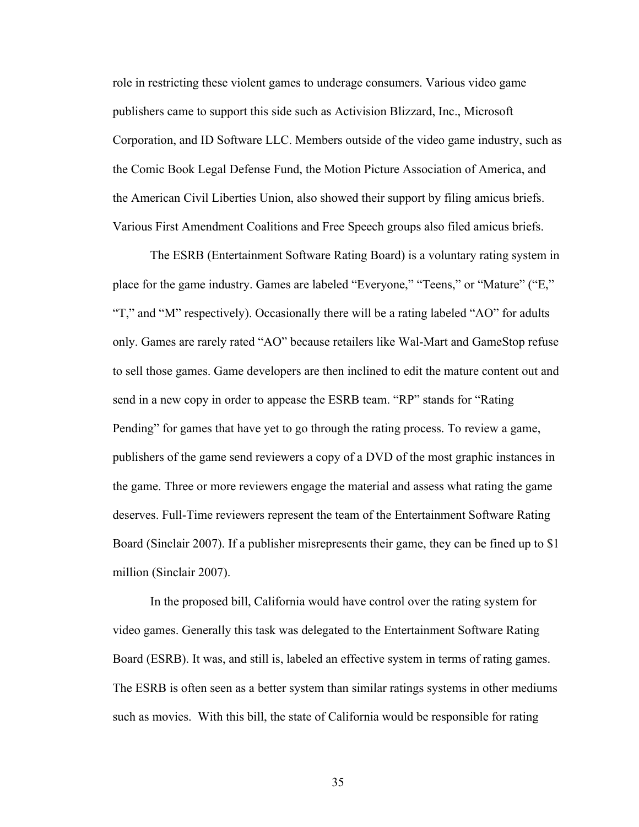role in restricting these violent games to underage consumers. Various video game publishers came to support this side such as Activision Blizzard, Inc., Microsoft Corporation, and ID Software LLC. Members outside of the video game industry, such as the Comic Book Legal Defense Fund, the Motion Picture Association of America, and the American Civil Liberties Union, also showed their support by filing amicus briefs. Various First Amendment Coalitions and Free Speech groups also filed amicus briefs.

The ESRB (Entertainment Software Rating Board) is a voluntary rating system in place for the game industry. Games are labeled "Everyone," "Teens," or "Mature" ("E," "T," and "M" respectively). Occasionally there will be a rating labeled "AO" for adults only. Games are rarely rated "AO" because retailers like Wal-Mart and GameStop refuse to sell those games. Game developers are then inclined to edit the mature content out and send in a new copy in order to appease the ESRB team. "RP" stands for "Rating Pending" for games that have yet to go through the rating process. To review a game, publishers of the game send reviewers a copy of a DVD of the most graphic instances in the game. Three or more reviewers engage the material and assess what rating the game deserves. Full-Time reviewers represent the team of the Entertainment Software Rating Board (Sinclair 2007). If a publisher misrepresents their game, they can be fined up to \$1 million (Sinclair 2007).

In the proposed bill, California would have control over the rating system for video games. Generally this task was delegated to the Entertainment Software Rating Board (ESRB). It was, and still is, labeled an effective system in terms of rating games. The ESRB is often seen as a better system than similar ratings systems in other mediums such as movies. With this bill, the state of California would be responsible for rating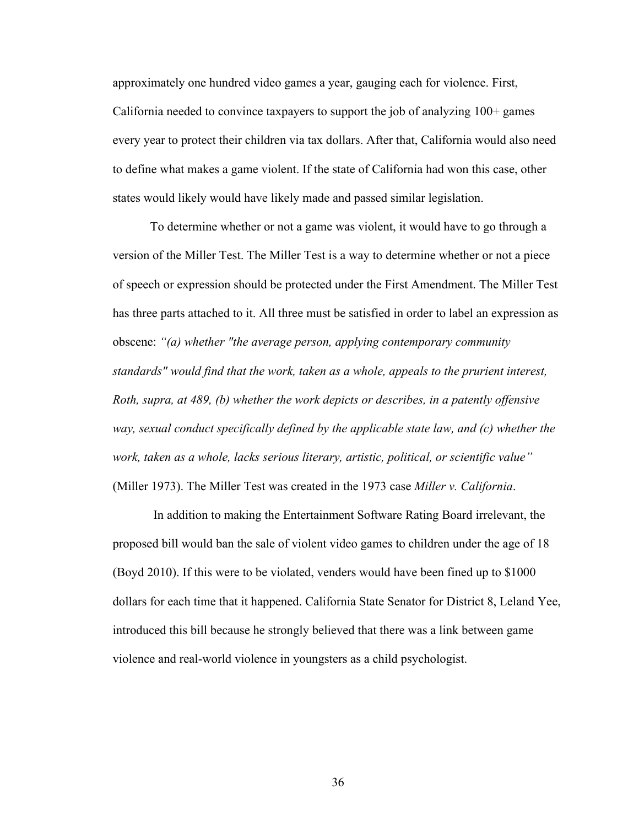approximately one hundred video games a year, gauging each for violence. First, California needed to convince taxpayers to support the job of analyzing 100+ games every year to protect their children via tax dollars. After that, California would also need to define what makes a game violent. If the state of California had won this case, other states would likely would have likely made and passed similar legislation.

To determine whether or not a game was violent, it would have to go through a version of the Miller Test. The Miller Test is a way to determine whether or not a piece of speech or expression should be protected under the First Amendment. The Miller Test has three parts attached to it. All three must be satisfied in order to label an expression as obscene: *"(a) whether "the average person, applying contemporary community standards" would find that the work, taken as a whole, appeals to the prurient interest, Roth, supra, at 489, (b) whether the work depicts or describes, in a patently offensive way, sexual conduct specifically defined by the applicable state law, and (c) whether the work, taken as a whole, lacks serious literary, artistic, political, or scientific value"*  (Miller 1973). The Miller Test was created in the 1973 case *Miller v. California*.

In addition to making the Entertainment Software Rating Board irrelevant, the proposed bill would ban the sale of violent video games to children under the age of 18 (Boyd 2010). If this were to be violated, venders would have been fined up to \$1000 dollars for each time that it happened. California State Senator for District 8, Leland Yee, introduced this bill because he strongly believed that there was a link between game violence and real-world violence in youngsters as a child psychologist.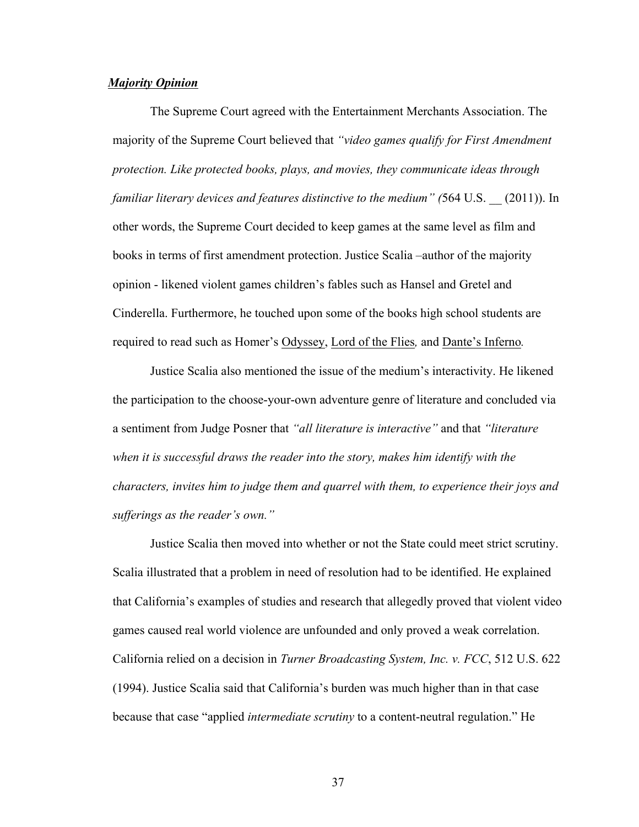#### *Majority Opinion*

The Supreme Court agreed with the Entertainment Merchants Association. The majority of the Supreme Court believed that *"video games qualify for First Amendment protection. Like protected books, plays, and movies, they communicate ideas through familiar literary devices and features distinctive to the medium" (*564 U.S. \_\_ (2011)). In other words, the Supreme Court decided to keep games at the same level as film and books in terms of first amendment protection. Justice Scalia –author of the majority opinion - likened violent games children's fables such as Hansel and Gretel and Cinderella. Furthermore, he touched upon some of the books high school students are required to read such as Homer's Odyssey, Lord of the Flies*,* and Dante's Inferno*.* 

Justice Scalia also mentioned the issue of the medium's interactivity. He likened the participation to the choose-your-own adventure genre of literature and concluded via a sentiment from Judge Posner that *"all literature is interactive"* and that *"literature when it is successful draws the reader into the story, makes him identify with the characters, invites him to judge them and quarrel with them, to experience their joys and sufferings as the reader's own."*

Justice Scalia then moved into whether or not the State could meet strict scrutiny. Scalia illustrated that a problem in need of resolution had to be identified. He explained that California's examples of studies and research that allegedly proved that violent video games caused real world violence are unfounded and only proved a weak correlation. California relied on a decision in *Turner Broadcasting System, Inc. v. FCC*, 512 U.S. 622 (1994). Justice Scalia said that California's burden was much higher than in that case because that case "applied *intermediate scrutiny* to a content-neutral regulation." He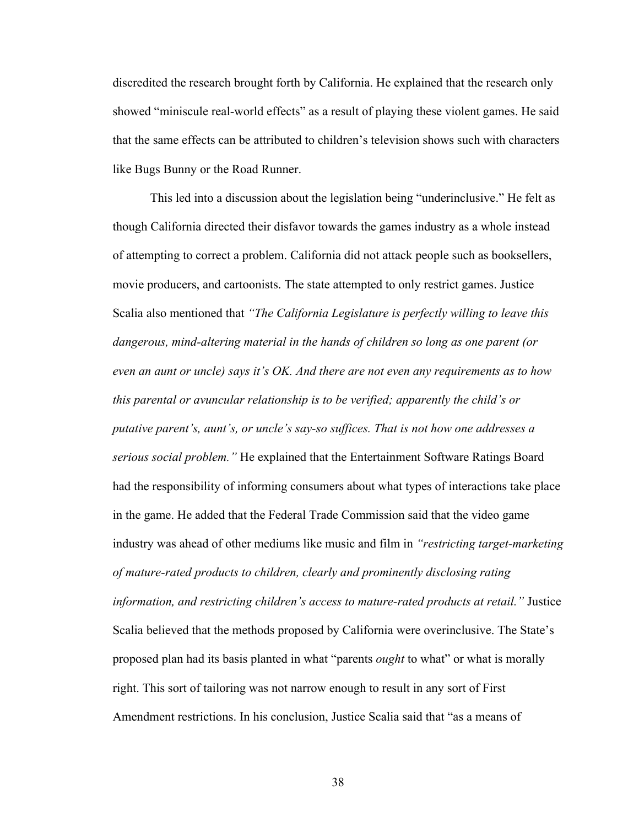discredited the research brought forth by California. He explained that the research only showed "miniscule real-world effects" as a result of playing these violent games. He said that the same effects can be attributed to children's television shows such with characters like Bugs Bunny or the Road Runner.

This led into a discussion about the legislation being "underinclusive." He felt as though California directed their disfavor towards the games industry as a whole instead of attempting to correct a problem. California did not attack people such as booksellers, movie producers, and cartoonists. The state attempted to only restrict games. Justice Scalia also mentioned that *"The California Legislature is perfectly willing to leave this dangerous, mind-altering material in the hands of children so long as one parent (or even an aunt or uncle) says it's OK. And there are not even any requirements as to how this parental or avuncular relationship is to be verified; apparently the child's or putative parent's, aunt's, or uncle's say-so suffices. That is not how one addresses a serious social problem."* He explained that the Entertainment Software Ratings Board had the responsibility of informing consumers about what types of interactions take place in the game. He added that the Federal Trade Commission said that the video game industry was ahead of other mediums like music and film in *"restricting target-marketing of mature-rated products to children, clearly and prominently disclosing rating information, and restricting children's access to mature-rated products at retail."* Justice Scalia believed that the methods proposed by California were overinclusive. The State's proposed plan had its basis planted in what "parents *ought* to what" or what is morally right. This sort of tailoring was not narrow enough to result in any sort of First Amendment restrictions. In his conclusion, Justice Scalia said that "as a means of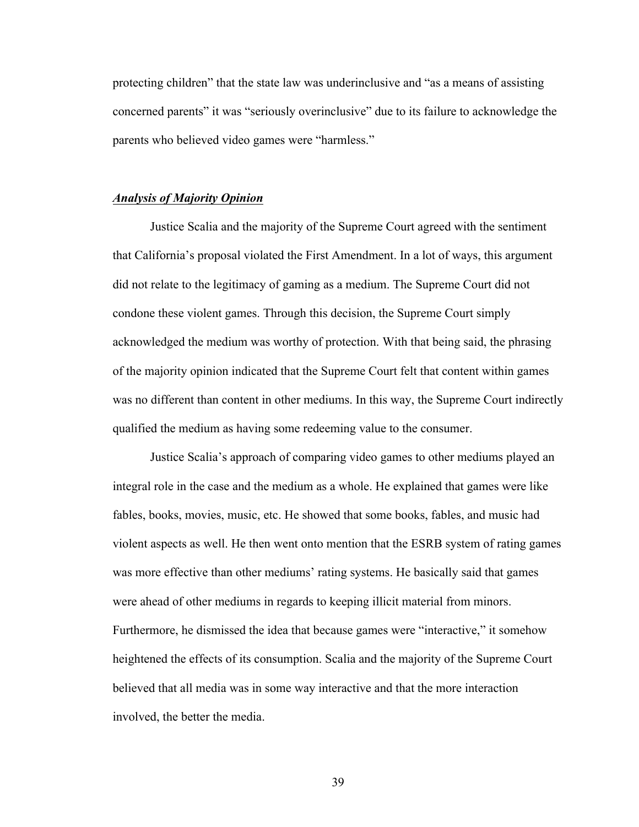protecting children" that the state law was underinclusive and "as a means of assisting concerned parents" it was "seriously overinclusive" due to its failure to acknowledge the parents who believed video games were "harmless."

#### *Analysis of Majority Opinion*

Justice Scalia and the majority of the Supreme Court agreed with the sentiment that California's proposal violated the First Amendment. In a lot of ways, this argument did not relate to the legitimacy of gaming as a medium. The Supreme Court did not condone these violent games. Through this decision, the Supreme Court simply acknowledged the medium was worthy of protection. With that being said, the phrasing of the majority opinion indicated that the Supreme Court felt that content within games was no different than content in other mediums. In this way, the Supreme Court indirectly qualified the medium as having some redeeming value to the consumer.

Justice Scalia's approach of comparing video games to other mediums played an integral role in the case and the medium as a whole. He explained that games were like fables, books, movies, music, etc. He showed that some books, fables, and music had violent aspects as well. He then went onto mention that the ESRB system of rating games was more effective than other mediums' rating systems. He basically said that games were ahead of other mediums in regards to keeping illicit material from minors. Furthermore, he dismissed the idea that because games were "interactive," it somehow heightened the effects of its consumption. Scalia and the majority of the Supreme Court believed that all media was in some way interactive and that the more interaction involved, the better the media.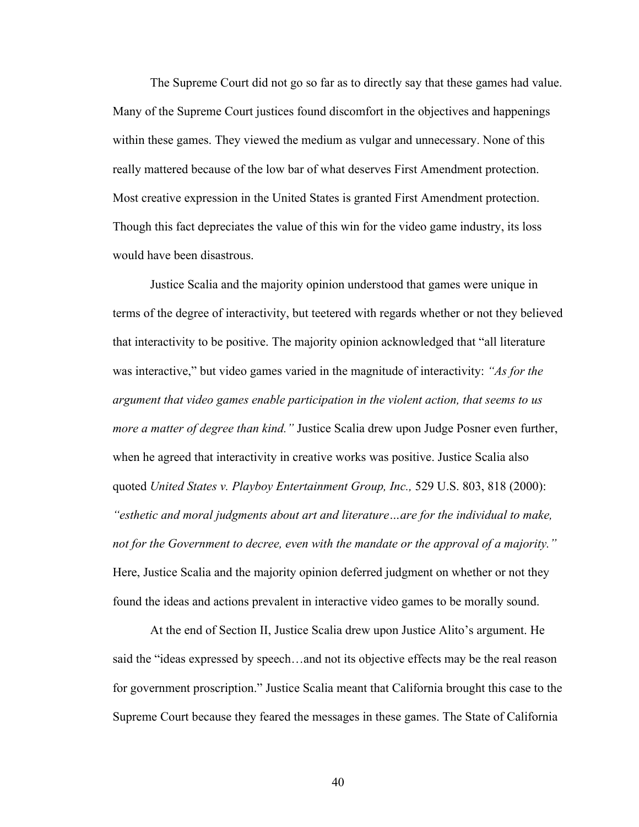The Supreme Court did not go so far as to directly say that these games had value. Many of the Supreme Court justices found discomfort in the objectives and happenings within these games. They viewed the medium as vulgar and unnecessary. None of this really mattered because of the low bar of what deserves First Amendment protection. Most creative expression in the United States is granted First Amendment protection. Though this fact depreciates the value of this win for the video game industry, its loss would have been disastrous.

Justice Scalia and the majority opinion understood that games were unique in terms of the degree of interactivity, but teetered with regards whether or not they believed that interactivity to be positive. The majority opinion acknowledged that "all literature was interactive," but video games varied in the magnitude of interactivity: *"As for the argument that video games enable participation in the violent action, that seems to us more a matter of degree than kind."* Justice Scalia drew upon Judge Posner even further, when he agreed that interactivity in creative works was positive. Justice Scalia also quoted *United States v. Playboy Entertainment Group, Inc.,* 529 U.S. 803, 818 (2000): *"esthetic and moral judgments about art and literature…are for the individual to make, not for the Government to decree, even with the mandate or the approval of a majority."*  Here, Justice Scalia and the majority opinion deferred judgment on whether or not they found the ideas and actions prevalent in interactive video games to be morally sound.

At the end of Section II, Justice Scalia drew upon Justice Alito's argument. He said the "ideas expressed by speech…and not its objective effects may be the real reason for government proscription." Justice Scalia meant that California brought this case to the Supreme Court because they feared the messages in these games. The State of California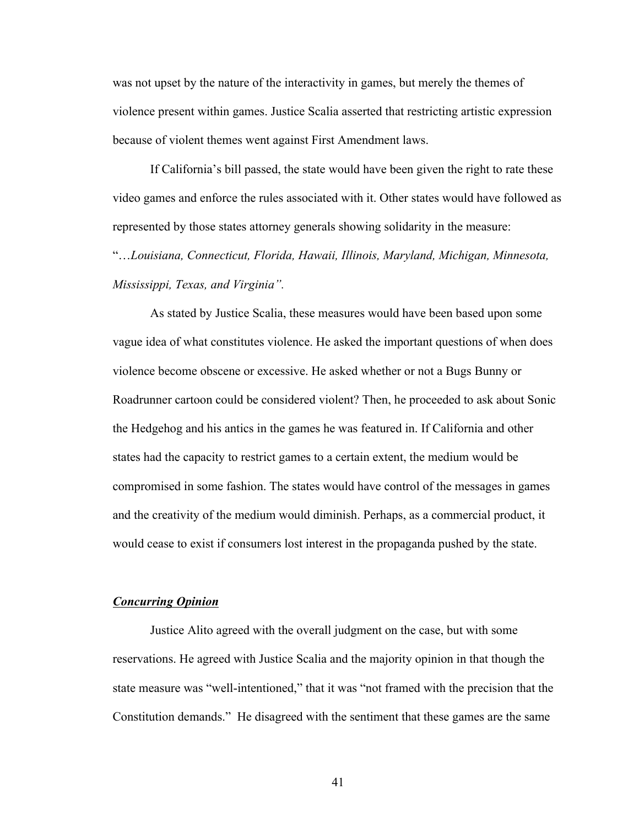was not upset by the nature of the interactivity in games, but merely the themes of violence present within games. Justice Scalia asserted that restricting artistic expression because of violent themes went against First Amendment laws.

If California's bill passed, the state would have been given the right to rate these video games and enforce the rules associated with it. Other states would have followed as represented by those states attorney generals showing solidarity in the measure:

"…*Louisiana, Connecticut, Florida, Hawaii, Illinois, Maryland, Michigan, Minnesota, Mississippi, Texas, and Virginia".* 

As stated by Justice Scalia, these measures would have been based upon some vague idea of what constitutes violence. He asked the important questions of when does violence become obscene or excessive. He asked whether or not a Bugs Bunny or Roadrunner cartoon could be considered violent? Then, he proceeded to ask about Sonic the Hedgehog and his antics in the games he was featured in. If California and other states had the capacity to restrict games to a certain extent, the medium would be compromised in some fashion. The states would have control of the messages in games and the creativity of the medium would diminish. Perhaps, as a commercial product, it would cease to exist if consumers lost interest in the propaganda pushed by the state.

#### *Concurring Opinion*

Justice Alito agreed with the overall judgment on the case, but with some reservations. He agreed with Justice Scalia and the majority opinion in that though the state measure was "well-intentioned," that it was "not framed with the precision that the Constitution demands." He disagreed with the sentiment that these games are the same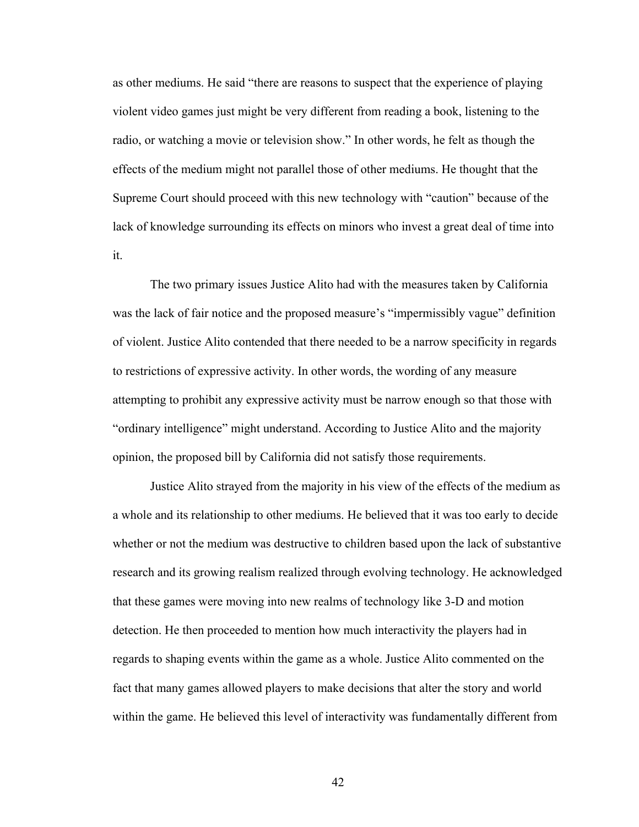as other mediums. He said "there are reasons to suspect that the experience of playing violent video games just might be very different from reading a book, listening to the radio, or watching a movie or television show." In other words, he felt as though the effects of the medium might not parallel those of other mediums. He thought that the Supreme Court should proceed with this new technology with "caution" because of the lack of knowledge surrounding its effects on minors who invest a great deal of time into it.

The two primary issues Justice Alito had with the measures taken by California was the lack of fair notice and the proposed measure's "impermissibly vague" definition of violent. Justice Alito contended that there needed to be a narrow specificity in regards to restrictions of expressive activity. In other words, the wording of any measure attempting to prohibit any expressive activity must be narrow enough so that those with "ordinary intelligence" might understand. According to Justice Alito and the majority opinion, the proposed bill by California did not satisfy those requirements.

Justice Alito strayed from the majority in his view of the effects of the medium as a whole and its relationship to other mediums. He believed that it was too early to decide whether or not the medium was destructive to children based upon the lack of substantive research and its growing realism realized through evolving technology. He acknowledged that these games were moving into new realms of technology like 3-D and motion detection. He then proceeded to mention how much interactivity the players had in regards to shaping events within the game as a whole. Justice Alito commented on the fact that many games allowed players to make decisions that alter the story and world within the game. He believed this level of interactivity was fundamentally different from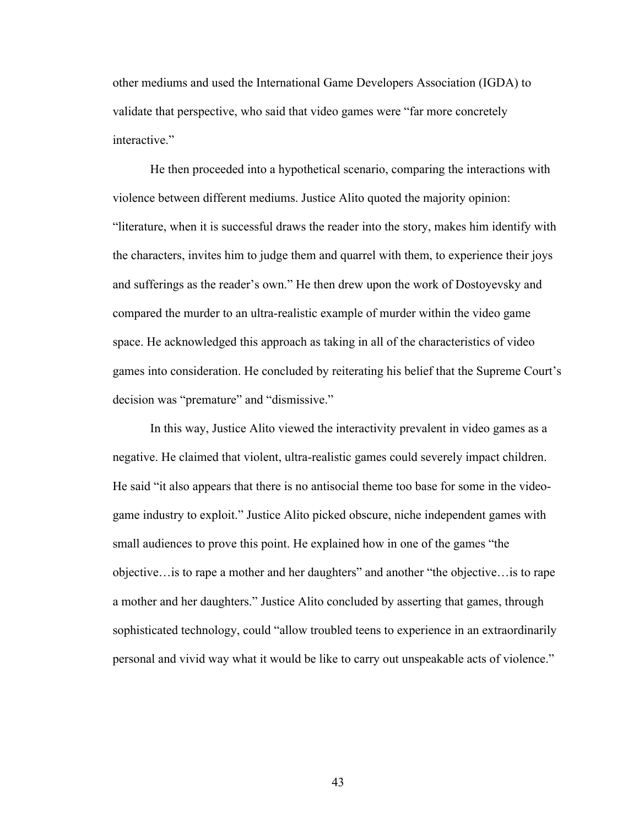other mediums and used the International Game Developers Association (IGDA) to validate that perspective, who said that video games were "far more concretely interactive."

He then proceeded into a hypothetical scenario, comparing the interactions with violence between different mediums. Justice Alito quoted the majority opinion: "literature, when it is successful draws the reader into the story, makes him identify with the characters, invites him to judge them and quarrel with them, to experience their joys and sufferings as the reader's own." He then drew upon the work of Dostoyevsky and compared the murder to an ultra-realistic example of murder within the video game space. He acknowledged this approach as taking in all of the characteristics of video games into consideration. He concluded by reiterating his belief that the Supreme Court's decision was "premature" and "dismissive."

In this way, Justice Alito viewed the interactivity prevalent in video games as a negative. He claimed that violent, ultra-realistic games could severely impact children. He said "it also appears that there is no antisocial theme too base for some in the videogame industry to exploit." Justice Alito picked obscure, niche independent games with small audiences to prove this point. He explained how in one of the games "the objective…is to rape a mother and her daughters" and another "the objective…is to rape a mother and her daughters." Justice Alito concluded by asserting that games, through sophisticated technology, could "allow troubled teens to experience in an extraordinarily personal and vivid way what it would be like to carry out unspeakable acts of violence."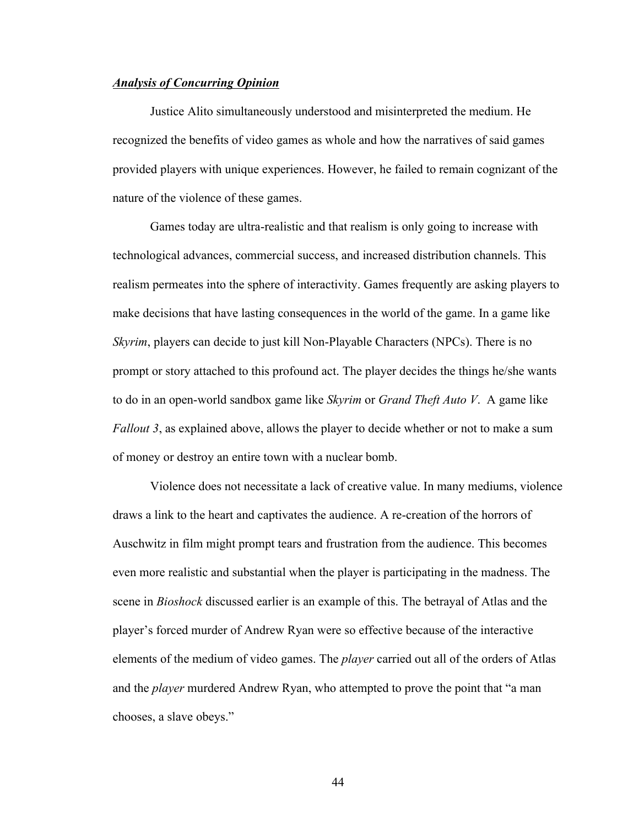# *Analysis of Concurring Opinion*

Justice Alito simultaneously understood and misinterpreted the medium. He recognized the benefits of video games as whole and how the narratives of said games provided players with unique experiences. However, he failed to remain cognizant of the nature of the violence of these games.

Games today are ultra-realistic and that realism is only going to increase with technological advances, commercial success, and increased distribution channels. This realism permeates into the sphere of interactivity. Games frequently are asking players to make decisions that have lasting consequences in the world of the game. In a game like *Skyrim*, players can decide to just kill Non-Playable Characters (NPCs). There is no prompt or story attached to this profound act. The player decides the things he/she wants to do in an open-world sandbox game like *Skyrim* or *Grand Theft Auto V*. A game like *Fallout* 3, as explained above, allows the player to decide whether or not to make a sum of money or destroy an entire town with a nuclear bomb.

Violence does not necessitate a lack of creative value. In many mediums, violence draws a link to the heart and captivates the audience. A re-creation of the horrors of Auschwitz in film might prompt tears and frustration from the audience. This becomes even more realistic and substantial when the player is participating in the madness. The scene in *Bioshock* discussed earlier is an example of this. The betrayal of Atlas and the player's forced murder of Andrew Ryan were so effective because of the interactive elements of the medium of video games. The *player* carried out all of the orders of Atlas and the *player* murdered Andrew Ryan, who attempted to prove the point that "a man chooses, a slave obeys."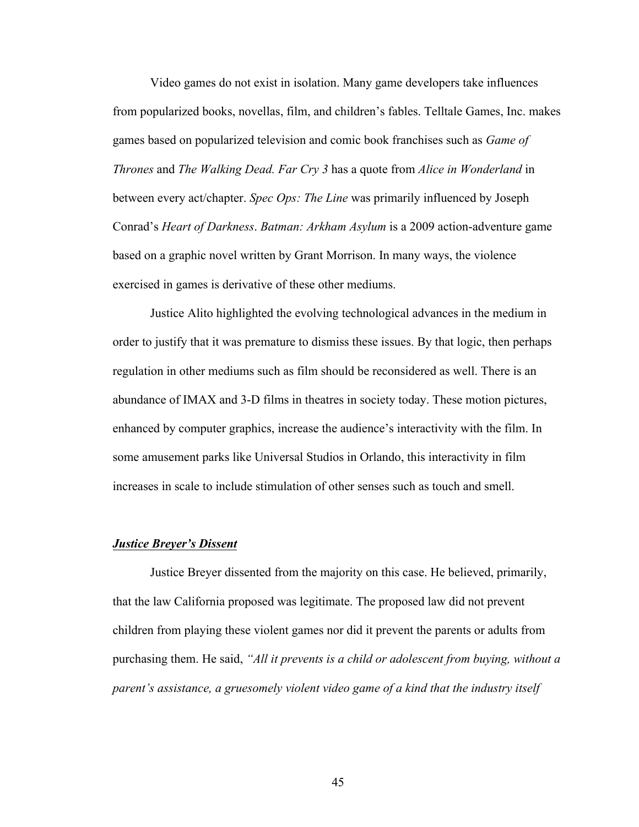Video games do not exist in isolation. Many game developers take influences from popularized books, novellas, film, and children's fables. Telltale Games, Inc. makes games based on popularized television and comic book franchises such as *Game of Thrones* and *The Walking Dead. Far Cry 3* has a quote from *Alice in Wonderland* in between every act/chapter. *Spec Ops: The Line* was primarily influenced by Joseph Conrad's *Heart of Darkness*. *Batman: Arkham Asylum* is a 2009 action-adventure game based on a graphic novel written by Grant Morrison. In many ways, the violence exercised in games is derivative of these other mediums.

Justice Alito highlighted the evolving technological advances in the medium in order to justify that it was premature to dismiss these issues. By that logic, then perhaps regulation in other mediums such as film should be reconsidered as well. There is an abundance of IMAX and 3-D films in theatres in society today. These motion pictures, enhanced by computer graphics, increase the audience's interactivity with the film. In some amusement parks like Universal Studios in Orlando, this interactivity in film increases in scale to include stimulation of other senses such as touch and smell.

## *Justice Breyer's Dissent*

Justice Breyer dissented from the majority on this case. He believed, primarily, that the law California proposed was legitimate. The proposed law did not prevent children from playing these violent games nor did it prevent the parents or adults from purchasing them. He said, *"All it prevents is a child or adolescent from buying, without a parent's assistance, a gruesomely violent video game of a kind that the industry itself*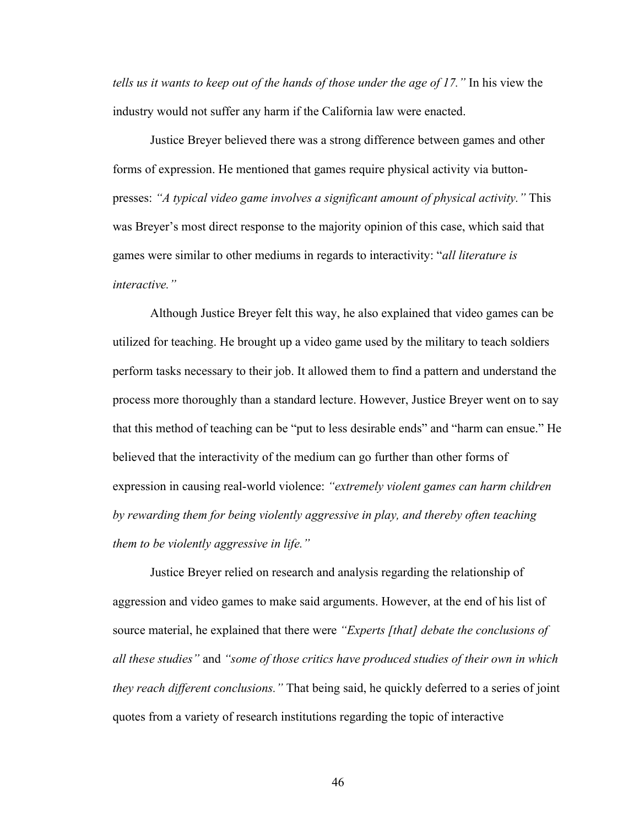*tells us it wants to keep out of the hands of those under the age of 17."* In his view the industry would not suffer any harm if the California law were enacted.

Justice Breyer believed there was a strong difference between games and other forms of expression. He mentioned that games require physical activity via buttonpresses: *"A typical video game involves a significant amount of physical activity."* This was Breyer's most direct response to the majority opinion of this case, which said that games were similar to other mediums in regards to interactivity: "*all literature is interactive."*

Although Justice Breyer felt this way, he also explained that video games can be utilized for teaching. He brought up a video game used by the military to teach soldiers perform tasks necessary to their job. It allowed them to find a pattern and understand the process more thoroughly than a standard lecture. However, Justice Breyer went on to say that this method of teaching can be "put to less desirable ends" and "harm can ensue." He believed that the interactivity of the medium can go further than other forms of expression in causing real-world violence: *"extremely violent games can harm children by rewarding them for being violently aggressive in play, and thereby often teaching them to be violently aggressive in life."*

Justice Breyer relied on research and analysis regarding the relationship of aggression and video games to make said arguments. However, at the end of his list of source material, he explained that there were *"Experts [that] debate the conclusions of all these studies"* and *"some of those critics have produced studies of their own in which they reach different conclusions."* That being said, he quickly deferred to a series of joint quotes from a variety of research institutions regarding the topic of interactive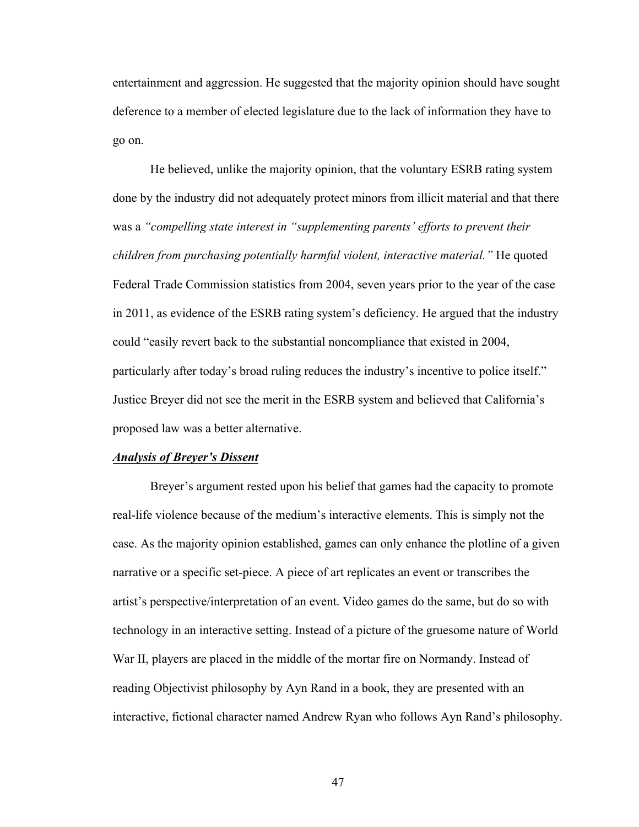entertainment and aggression. He suggested that the majority opinion should have sought deference to a member of elected legislature due to the lack of information they have to go on.

He believed, unlike the majority opinion, that the voluntary ESRB rating system done by the industry did not adequately protect minors from illicit material and that there was a *"compelling state interest in "supplementing parents' efforts to prevent their children from purchasing potentially harmful violent, interactive material."* He quoted Federal Trade Commission statistics from 2004, seven years prior to the year of the case in 2011, as evidence of the ESRB rating system's deficiency. He argued that the industry could "easily revert back to the substantial noncompliance that existed in 2004, particularly after today's broad ruling reduces the industry's incentive to police itself." Justice Breyer did not see the merit in the ESRB system and believed that California's proposed law was a better alternative.

#### *Analysis of Breyer's Dissent*

Breyer's argument rested upon his belief that games had the capacity to promote real-life violence because of the medium's interactive elements. This is simply not the case. As the majority opinion established, games can only enhance the plotline of a given narrative or a specific set-piece. A piece of art replicates an event or transcribes the artist's perspective/interpretation of an event. Video games do the same, but do so with technology in an interactive setting. Instead of a picture of the gruesome nature of World War II, players are placed in the middle of the mortar fire on Normandy. Instead of reading Objectivist philosophy by Ayn Rand in a book, they are presented with an interactive, fictional character named Andrew Ryan who follows Ayn Rand's philosophy.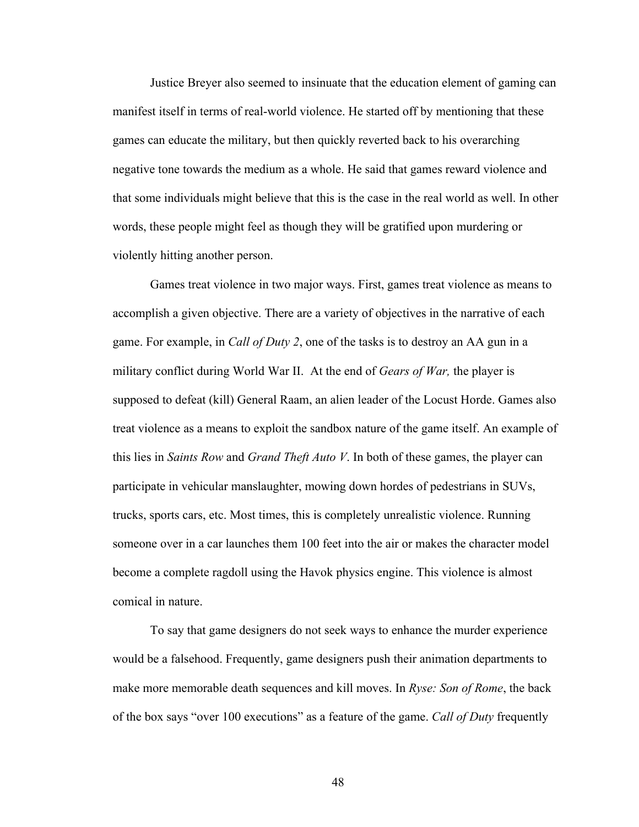Justice Breyer also seemed to insinuate that the education element of gaming can manifest itself in terms of real-world violence. He started off by mentioning that these games can educate the military, but then quickly reverted back to his overarching negative tone towards the medium as a whole. He said that games reward violence and that some individuals might believe that this is the case in the real world as well. In other words, these people might feel as though they will be gratified upon murdering or violently hitting another person.

Games treat violence in two major ways. First, games treat violence as means to accomplish a given objective. There are a variety of objectives in the narrative of each game. For example, in *Call of Duty 2*, one of the tasks is to destroy an AA gun in a military conflict during World War II. At the end of *Gears of War,* the player is supposed to defeat (kill) General Raam, an alien leader of the Locust Horde. Games also treat violence as a means to exploit the sandbox nature of the game itself. An example of this lies in *Saints Row* and *Grand Theft Auto V*. In both of these games, the player can participate in vehicular manslaughter, mowing down hordes of pedestrians in SUVs, trucks, sports cars, etc. Most times, this is completely unrealistic violence. Running someone over in a car launches them 100 feet into the air or makes the character model become a complete ragdoll using the Havok physics engine. This violence is almost comical in nature.

To say that game designers do not seek ways to enhance the murder experience would be a falsehood. Frequently, game designers push their animation departments to make more memorable death sequences and kill moves. In *Ryse: Son of Rome*, the back of the box says "over 100 executions" as a feature of the game. *Call of Duty* frequently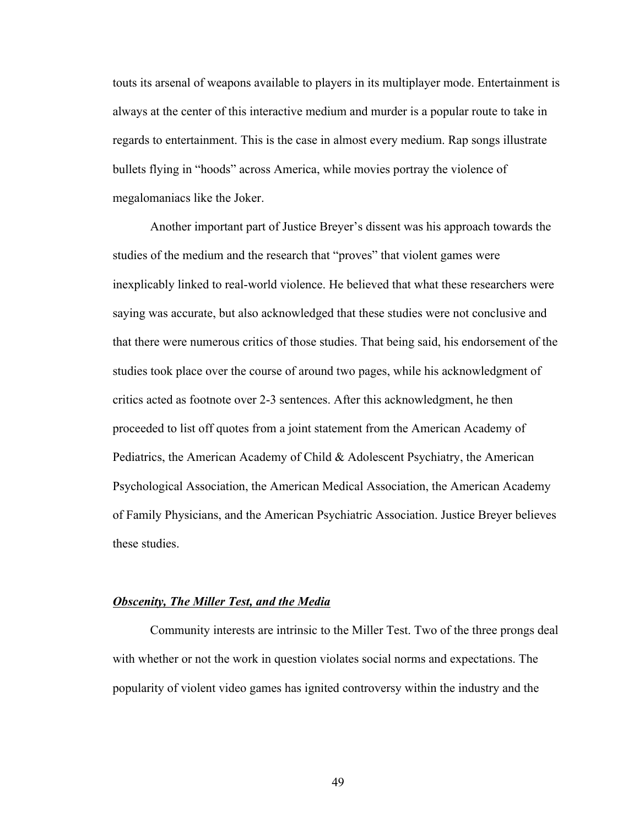touts its arsenal of weapons available to players in its multiplayer mode. Entertainment is always at the center of this interactive medium and murder is a popular route to take in regards to entertainment. This is the case in almost every medium. Rap songs illustrate bullets flying in "hoods" across America, while movies portray the violence of megalomaniacs like the Joker.

Another important part of Justice Breyer's dissent was his approach towards the studies of the medium and the research that "proves" that violent games were inexplicably linked to real-world violence. He believed that what these researchers were saying was accurate, but also acknowledged that these studies were not conclusive and that there were numerous critics of those studies. That being said, his endorsement of the studies took place over the course of around two pages, while his acknowledgment of critics acted as footnote over 2-3 sentences. After this acknowledgment, he then proceeded to list off quotes from a joint statement from the American Academy of Pediatrics, the American Academy of Child & Adolescent Psychiatry, the American Psychological Association, the American Medical Association, the American Academy of Family Physicians, and the American Psychiatric Association. Justice Breyer believes these studies.

#### *Obscenity, The Miller Test, and the Media*

Community interests are intrinsic to the Miller Test. Two of the three prongs deal with whether or not the work in question violates social norms and expectations. The popularity of violent video games has ignited controversy within the industry and the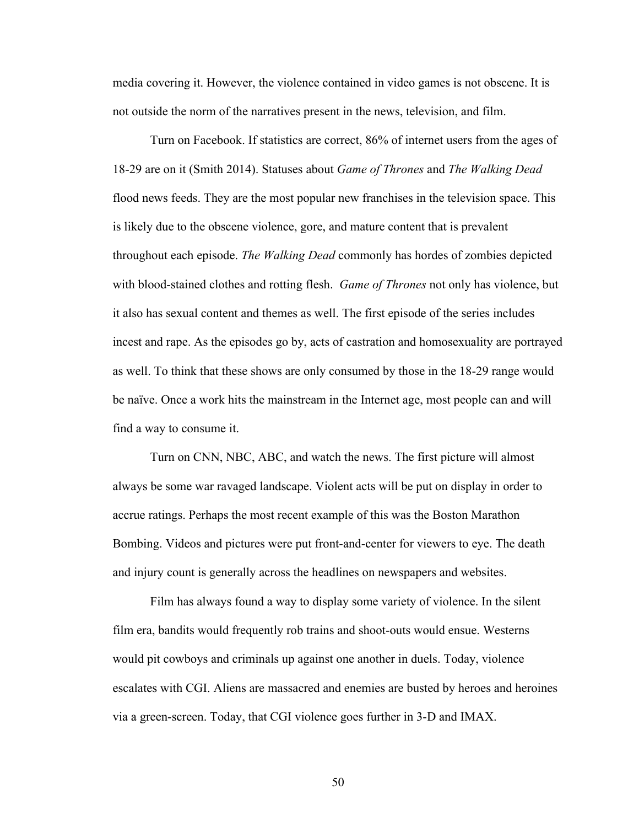media covering it. However, the violence contained in video games is not obscene. It is not outside the norm of the narratives present in the news, television, and film.

Turn on Facebook. If statistics are correct, 86% of internet users from the ages of 18-29 are on it (Smith 2014). Statuses about *Game of Thrones* and *The Walking Dead* flood news feeds. They are the most popular new franchises in the television space. This is likely due to the obscene violence, gore, and mature content that is prevalent throughout each episode. *The Walking Dead* commonly has hordes of zombies depicted with blood-stained clothes and rotting flesh. *Game of Thrones* not only has violence, but it also has sexual content and themes as well. The first episode of the series includes incest and rape. As the episodes go by, acts of castration and homosexuality are portrayed as well. To think that these shows are only consumed by those in the 18-29 range would be naïve. Once a work hits the mainstream in the Internet age, most people can and will find a way to consume it.

Turn on CNN, NBC, ABC, and watch the news. The first picture will almost always be some war ravaged landscape. Violent acts will be put on display in order to accrue ratings. Perhaps the most recent example of this was the Boston Marathon Bombing. Videos and pictures were put front-and-center for viewers to eye. The death and injury count is generally across the headlines on newspapers and websites.

Film has always found a way to display some variety of violence. In the silent film era, bandits would frequently rob trains and shoot-outs would ensue. Westerns would pit cowboys and criminals up against one another in duels. Today, violence escalates with CGI. Aliens are massacred and enemies are busted by heroes and heroines via a green-screen. Today, that CGI violence goes further in 3-D and IMAX.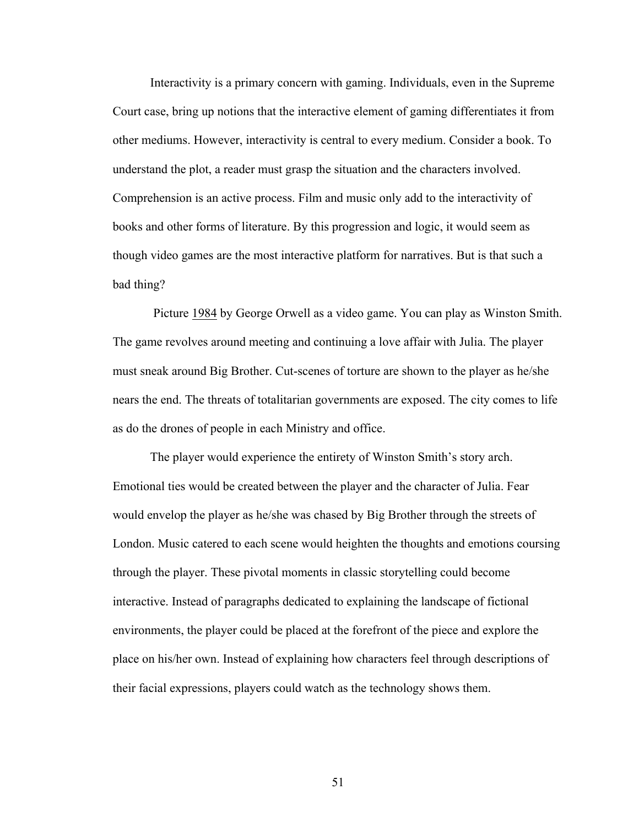Interactivity is a primary concern with gaming. Individuals, even in the Supreme Court case, bring up notions that the interactive element of gaming differentiates it from other mediums. However, interactivity is central to every medium. Consider a book. To understand the plot, a reader must grasp the situation and the characters involved. Comprehension is an active process. Film and music only add to the interactivity of books and other forms of literature. By this progression and logic, it would seem as though video games are the most interactive platform for narratives. But is that such a bad thing?

Picture 1984 by George Orwell as a video game. You can play as Winston Smith. The game revolves around meeting and continuing a love affair with Julia. The player must sneak around Big Brother. Cut-scenes of torture are shown to the player as he/she nears the end. The threats of totalitarian governments are exposed. The city comes to life as do the drones of people in each Ministry and office.

The player would experience the entirety of Winston Smith's story arch. Emotional ties would be created between the player and the character of Julia. Fear would envelop the player as he/she was chased by Big Brother through the streets of London. Music catered to each scene would heighten the thoughts and emotions coursing through the player. These pivotal moments in classic storytelling could become interactive. Instead of paragraphs dedicated to explaining the landscape of fictional environments, the player could be placed at the forefront of the piece and explore the place on his/her own. Instead of explaining how characters feel through descriptions of their facial expressions, players could watch as the technology shows them.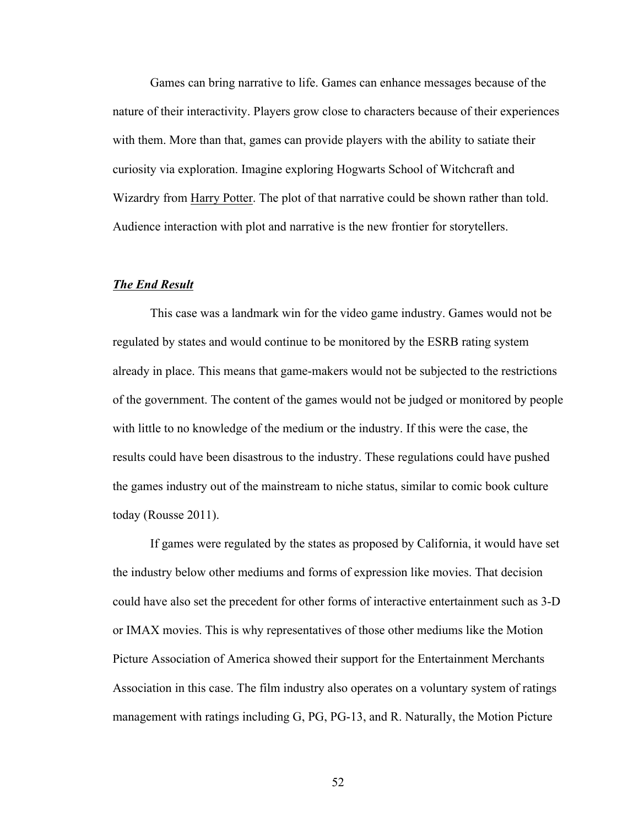Games can bring narrative to life. Games can enhance messages because of the nature of their interactivity. Players grow close to characters because of their experiences with them. More than that, games can provide players with the ability to satiate their curiosity via exploration. Imagine exploring Hogwarts School of Witchcraft and Wizardry from Harry Potter. The plot of that narrative could be shown rather than told. Audience interaction with plot and narrative is the new frontier for storytellers.

## *The End Result*

This case was a landmark win for the video game industry. Games would not be regulated by states and would continue to be monitored by the ESRB rating system already in place. This means that game-makers would not be subjected to the restrictions of the government. The content of the games would not be judged or monitored by people with little to no knowledge of the medium or the industry. If this were the case, the results could have been disastrous to the industry. These regulations could have pushed the games industry out of the mainstream to niche status, similar to comic book culture today (Rousse 2011).

If games were regulated by the states as proposed by California, it would have set the industry below other mediums and forms of expression like movies. That decision could have also set the precedent for other forms of interactive entertainment such as 3-D or IMAX movies. This is why representatives of those other mediums like the Motion Picture Association of America showed their support for the Entertainment Merchants Association in this case. The film industry also operates on a voluntary system of ratings management with ratings including G, PG, PG-13, and R. Naturally, the Motion Picture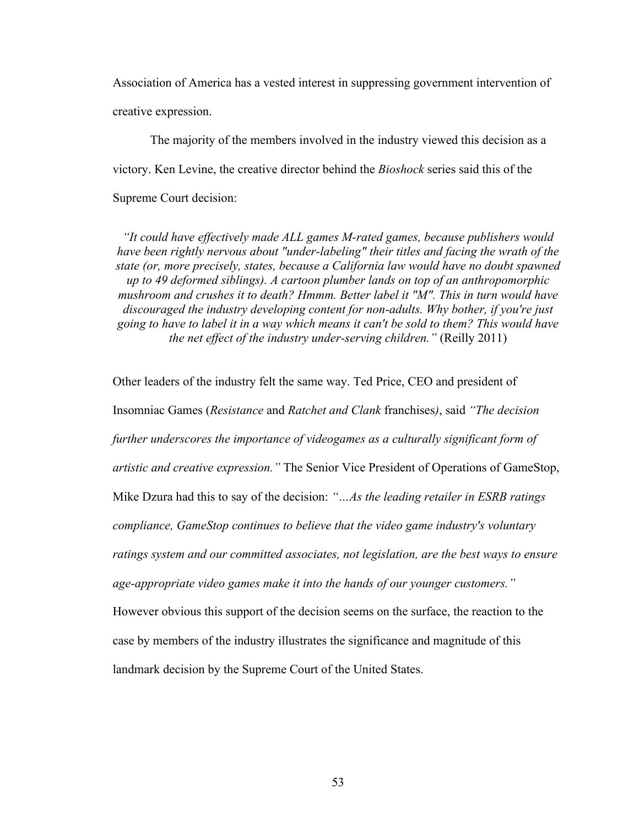Association of America has a vested interest in suppressing government intervention of creative expression.

The majority of the members involved in the industry viewed this decision as a victory. Ken Levine, the creative director behind the *Bioshock* series said this of the Supreme Court decision:

*"It could have effectively made ALL games M-rated games, because publishers would have been rightly nervous about "under-labeling" their titles and facing the wrath of the state (or, more precisely, states, because a California law would have no doubt spawned up to 49 deformed siblings). A cartoon plumber lands on top of an anthropomorphic mushroom and crushes it to death? Hmmm. Better label it "M". This in turn would have discouraged the industry developing content for non-adults. Why bother, if you're just going to have to label it in a way which means it can't be sold to them? This would have the net effect of the industry under-serving children."* (Reilly 2011)

Other leaders of the industry felt the same way. Ted Price, CEO and president of Insomniac Games (*Resistance* and *Ratchet and Clank* franchises*)*, said *"The decision further underscores the importance of videogames as a culturally significant form of artistic and creative expression."* The Senior Vice President of Operations of GameStop, Mike Dzura had this to say of the decision: *"…As the leading retailer in ESRB ratings compliance, GameStop continues to believe that the video game industry's voluntary ratings system and our committed associates, not legislation, are the best ways to ensure age-appropriate video games make it into the hands of our younger customers."*  However obvious this support of the decision seems on the surface, the reaction to the case by members of the industry illustrates the significance and magnitude of this landmark decision by the Supreme Court of the United States.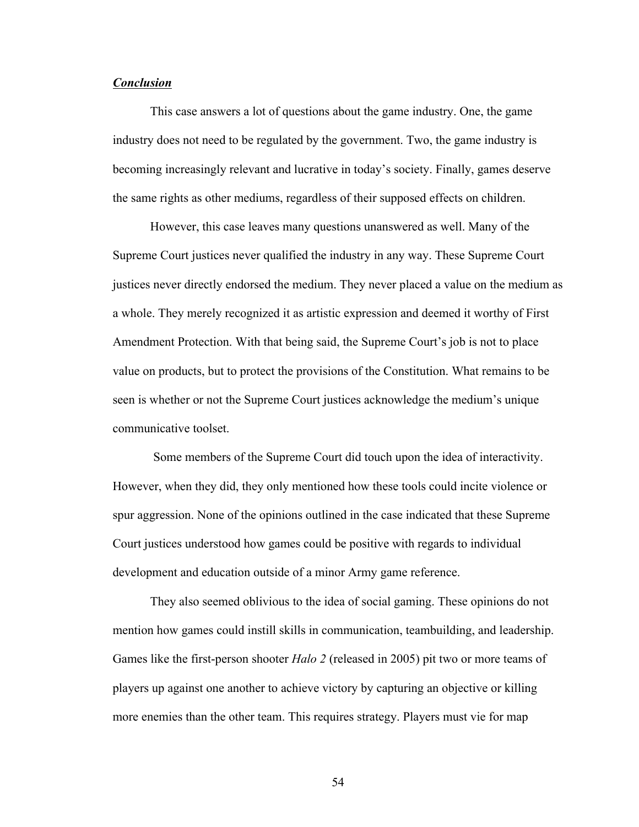## *Conclusion*

This case answers a lot of questions about the game industry. One, the game industry does not need to be regulated by the government. Two, the game industry is becoming increasingly relevant and lucrative in today's society. Finally, games deserve the same rights as other mediums, regardless of their supposed effects on children.

However, this case leaves many questions unanswered as well. Many of the Supreme Court justices never qualified the industry in any way. These Supreme Court justices never directly endorsed the medium. They never placed a value on the medium as a whole. They merely recognized it as artistic expression and deemed it worthy of First Amendment Protection. With that being said, the Supreme Court's job is not to place value on products, but to protect the provisions of the Constitution. What remains to be seen is whether or not the Supreme Court justices acknowledge the medium's unique communicative toolset.

Some members of the Supreme Court did touch upon the idea of interactivity. However, when they did, they only mentioned how these tools could incite violence or spur aggression. None of the opinions outlined in the case indicated that these Supreme Court justices understood how games could be positive with regards to individual development and education outside of a minor Army game reference.

They also seemed oblivious to the idea of social gaming. These opinions do not mention how games could instill skills in communication, teambuilding, and leadership. Games like the first-person shooter *Halo 2* (released in 2005) pit two or more teams of players up against one another to achieve victory by capturing an objective or killing more enemies than the other team. This requires strategy. Players must vie for map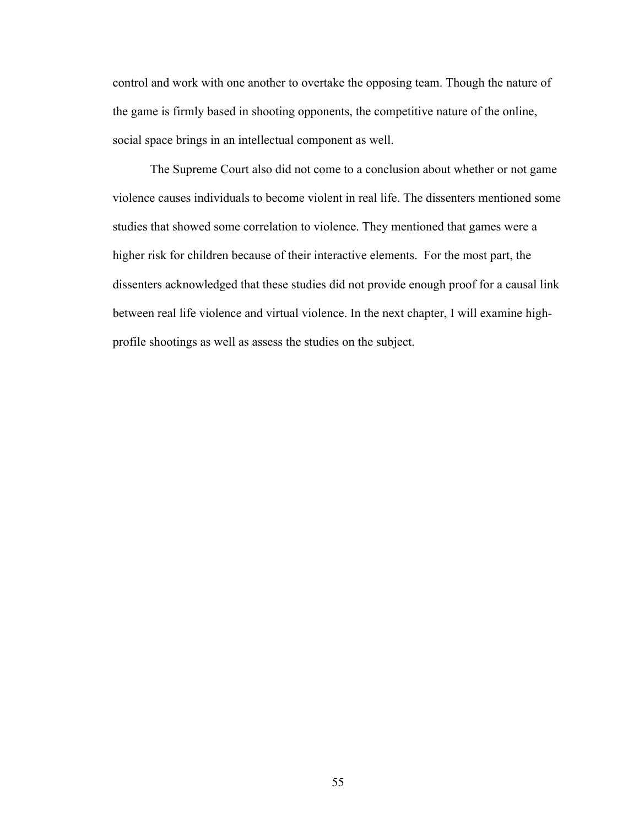control and work with one another to overtake the opposing team. Though the nature of the game is firmly based in shooting opponents, the competitive nature of the online, social space brings in an intellectual component as well.

The Supreme Court also did not come to a conclusion about whether or not game violence causes individuals to become violent in real life. The dissenters mentioned some studies that showed some correlation to violence. They mentioned that games were a higher risk for children because of their interactive elements. For the most part, the dissenters acknowledged that these studies did not provide enough proof for a causal link between real life violence and virtual violence. In the next chapter, I will examine highprofile shootings as well as assess the studies on the subject.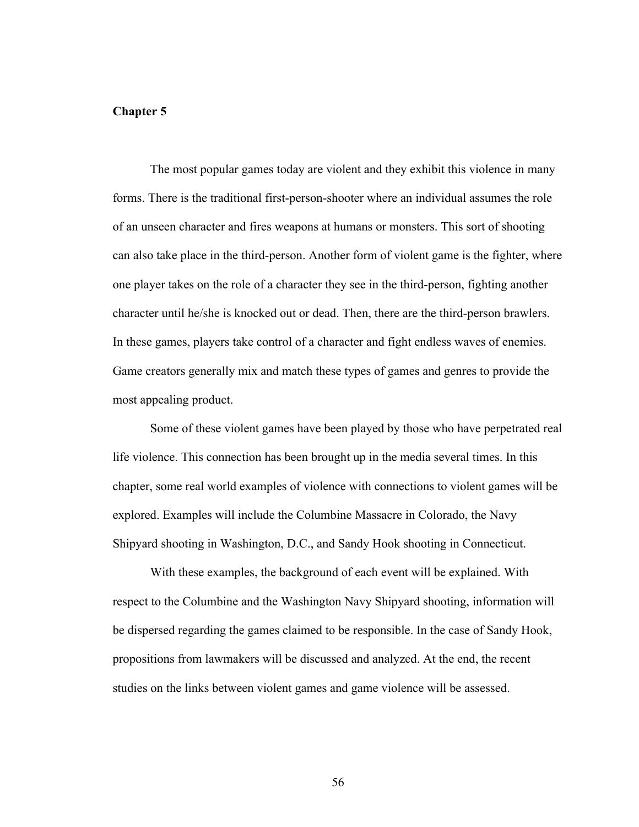# **Chapter 5**

The most popular games today are violent and they exhibit this violence in many forms. There is the traditional first-person-shooter where an individual assumes the role of an unseen character and fires weapons at humans or monsters. This sort of shooting can also take place in the third-person. Another form of violent game is the fighter, where one player takes on the role of a character they see in the third-person, fighting another character until he/she is knocked out or dead. Then, there are the third-person brawlers. In these games, players take control of a character and fight endless waves of enemies. Game creators generally mix and match these types of games and genres to provide the most appealing product.

Some of these violent games have been played by those who have perpetrated real life violence. This connection has been brought up in the media several times. In this chapter, some real world examples of violence with connections to violent games will be explored. Examples will include the Columbine Massacre in Colorado, the Navy Shipyard shooting in Washington, D.C., and Sandy Hook shooting in Connecticut.

With these examples, the background of each event will be explained. With respect to the Columbine and the Washington Navy Shipyard shooting, information will be dispersed regarding the games claimed to be responsible. In the case of Sandy Hook, propositions from lawmakers will be discussed and analyzed. At the end, the recent studies on the links between violent games and game violence will be assessed.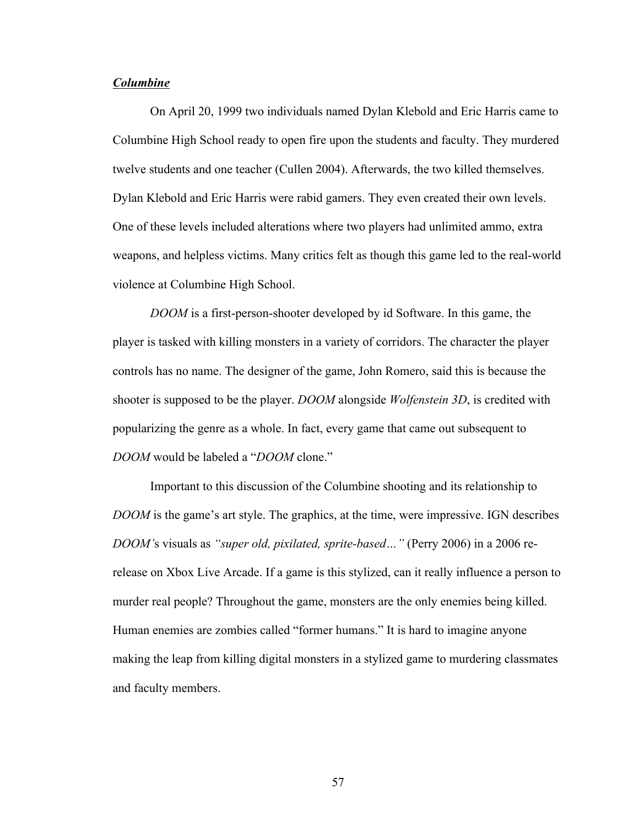# *Columbine*

On April 20, 1999 two individuals named Dylan Klebold and Eric Harris came to Columbine High School ready to open fire upon the students and faculty. They murdered twelve students and one teacher (Cullen 2004). Afterwards, the two killed themselves. Dylan Klebold and Eric Harris were rabid gamers. They even created their own levels. One of these levels included alterations where two players had unlimited ammo, extra weapons, and helpless victims. Many critics felt as though this game led to the real-world violence at Columbine High School.

*DOOM* is a first-person-shooter developed by id Software. In this game, the player is tasked with killing monsters in a variety of corridors. The character the player controls has no name. The designer of the game, John Romero, said this is because the shooter is supposed to be the player. *DOOM* alongside *Wolfenstein 3D*, is credited with popularizing the genre as a whole. In fact, every game that came out subsequent to *DOOM* would be labeled a "*DOOM* clone."

Important to this discussion of the Columbine shooting and its relationship to *DOOM* is the game's art style. The graphics, at the time, were impressive. IGN describes *DOOM'*s visuals as *"super old, pixilated, sprite-based…"* (Perry 2006) in a 2006 rerelease on Xbox Live Arcade. If a game is this stylized, can it really influence a person to murder real people? Throughout the game, monsters are the only enemies being killed. Human enemies are zombies called "former humans." It is hard to imagine anyone making the leap from killing digital monsters in a stylized game to murdering classmates and faculty members.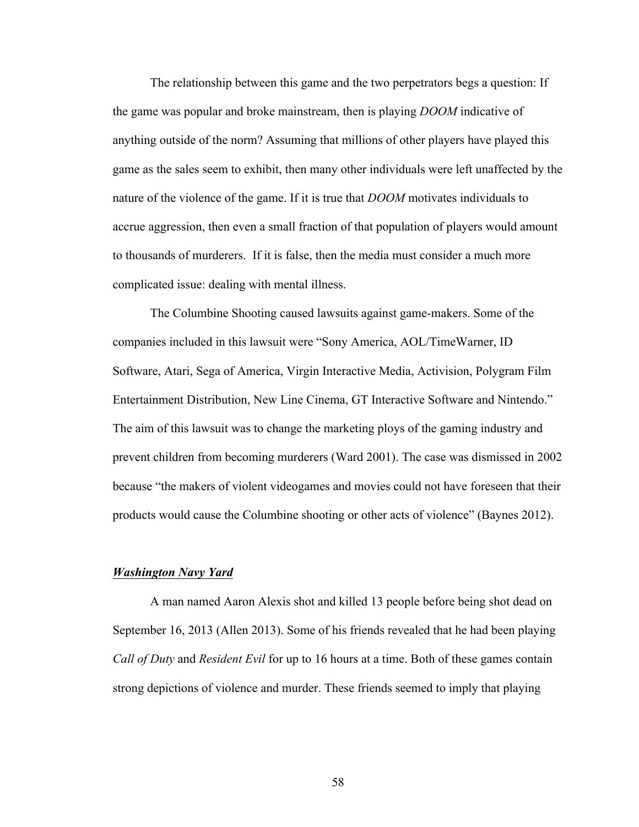The relationship between this game and the two perpetrators begs a question: If the game was popular and broke mainstream, then is playing *DOOM* indicative of anything outside of the norm? Assuming that millions of other players have played this game as the sales seem to exhibit, then many other individuals were left unaffected by the nature of the violence of the game. If it is true that *DOOM* motivates individuals to accrue aggression, then even a small fraction of that population of players would amount to thousands of murderers. If it is false, then the media must consider a much more complicated issue: dealing with mental illness.

The Columbine Shooting caused lawsuits against game-makers. Some of the companies included in this lawsuit were "Sony America, AOL/TimeWarner, ID Software, Atari, Sega of America, Virgin Interactive Media, Activision, Polygram Film Entertainment Distribution, New Line Cinema, GT Interactive Software and Nintendo." The aim of this lawsuit was to change the marketing ploys of the gaming industry and prevent children from becoming murderers (Ward 2001). The case was dismissed in 2002 because "the makers of violent videogames and movies could not have foreseen that their products would cause the Columbine shooting or other acts of violence" (Baynes 2012).

# *Washington Navy Yard*

A man named Aaron Alexis shot and killed 13 people before being shot dead on September 16, 2013 (Allen 2013). Some of his friends revealed that he had been playing *Call of Duty* and *Resident Evil* for up to 16 hours at a time. Both of these games contain strong depictions of violence and murder. These friends seemed to imply that playing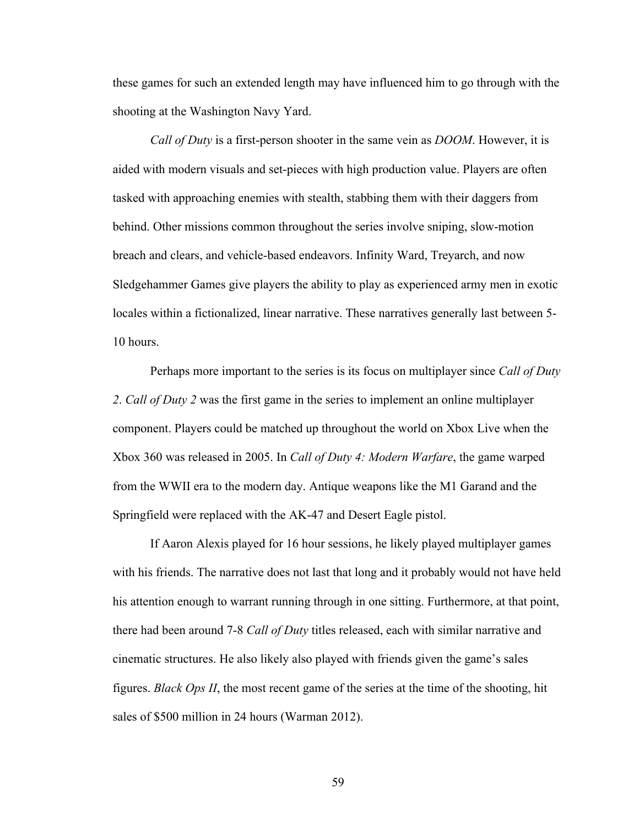these games for such an extended length may have influenced him to go through with the shooting at the Washington Navy Yard.

*Call of Duty* is a first-person shooter in the same vein as *DOOM*. However, it is aided with modern visuals and set-pieces with high production value. Players are often tasked with approaching enemies with stealth, stabbing them with their daggers from behind. Other missions common throughout the series involve sniping, slow-motion breach and clears, and vehicle-based endeavors. Infinity Ward, Treyarch, and now Sledgehammer Games give players the ability to play as experienced army men in exotic locales within a fictionalized, linear narrative. These narratives generally last between 5- 10 hours.

Perhaps more important to the series is its focus on multiplayer since *Call of Duty 2*. *Call of Duty 2* was the first game in the series to implement an online multiplayer component. Players could be matched up throughout the world on Xbox Live when the Xbox 360 was released in 2005. In *Call of Duty 4: Modern Warfare*, the game warped from the WWII era to the modern day. Antique weapons like the M1 Garand and the Springfield were replaced with the AK-47 and Desert Eagle pistol.

If Aaron Alexis played for 16 hour sessions, he likely played multiplayer games with his friends. The narrative does not last that long and it probably would not have held his attention enough to warrant running through in one sitting. Furthermore, at that point, there had been around 7-8 *Call of Duty* titles released, each with similar narrative and cinematic structures. He also likely also played with friends given the game's sales figures. *Black Ops II*, the most recent game of the series at the time of the shooting, hit sales of \$500 million in 24 hours (Warman 2012).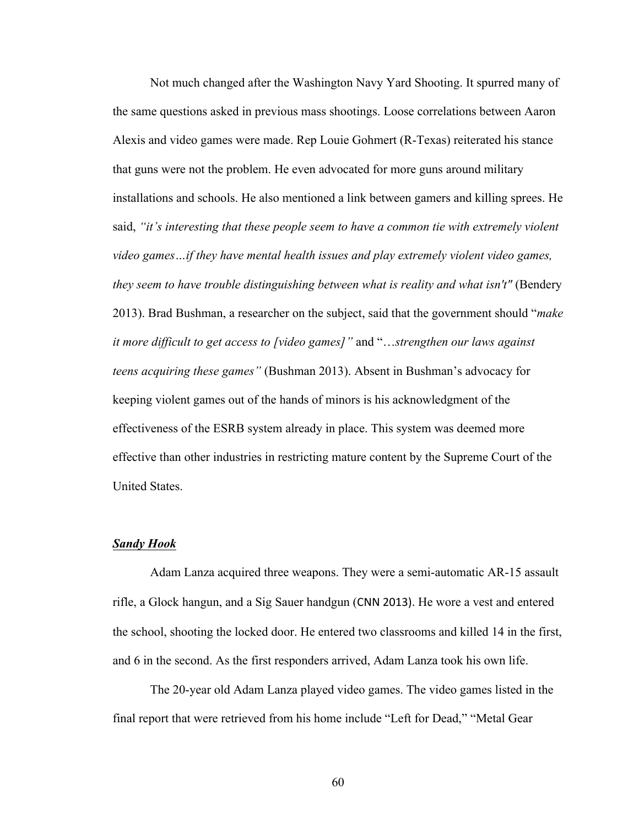Not much changed after the Washington Navy Yard Shooting. It spurred many of the same questions asked in previous mass shootings. Loose correlations between Aaron Alexis and video games were made. Rep Louie Gohmert (R-Texas) reiterated his stance that guns were not the problem. He even advocated for more guns around military installations and schools. He also mentioned a link between gamers and killing sprees. He said, *"it's interesting that these people seem to have a common tie with extremely violent video games…if they have mental health issues and play extremely violent video games, they seem to have trouble distinguishing between what is reality and what isn't"* (Bendery 2013). Brad Bushman, a researcher on the subject, said that the government should "*make it more difficult to get access to [video games]"* and "…*strengthen our laws against teens acquiring these games"* (Bushman 2013). Absent in Bushman's advocacy for keeping violent games out of the hands of minors is his acknowledgment of the effectiveness of the ESRB system already in place. This system was deemed more effective than other industries in restricting mature content by the Supreme Court of the United States.

#### *Sandy Hook*

Adam Lanza acquired three weapons. They were a semi-automatic AR-15 assault rifle, a Glock hangun, and a Sig Sauer handgun (CNN 2013). He wore a vest and entered the school, shooting the locked door. He entered two classrooms and killed 14 in the first, and 6 in the second. As the first responders arrived, Adam Lanza took his own life.

The 20-year old Adam Lanza played video games. The video games listed in the final report that were retrieved from his home include "Left for Dead," "Metal Gear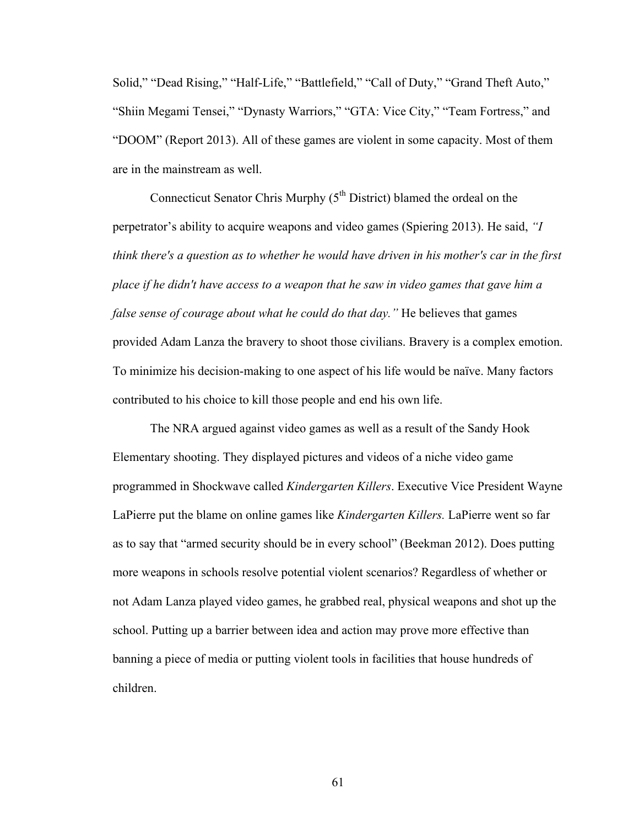Solid," "Dead Rising," "Half-Life," "Battlefield," "Call of Duty," "Grand Theft Auto," "Shiin Megami Tensei," "Dynasty Warriors," "GTA: Vice City," "Team Fortress," and "DOOM" (Report 2013). All of these games are violent in some capacity. Most of them are in the mainstream as well.

Connecticut Senator Chris Murphy  $(5<sup>th</sup> District)$  blamed the ordeal on the perpetrator's ability to acquire weapons and video games (Spiering 2013). He said, *"I think there's a question as to whether he would have driven in his mother's car in the first place if he didn't have access to a weapon that he saw in video games that gave him a false sense of courage about what he could do that day."* He believes that games provided Adam Lanza the bravery to shoot those civilians. Bravery is a complex emotion. To minimize his decision-making to one aspect of his life would be naïve. Many factors contributed to his choice to kill those people and end his own life.

The NRA argued against video games as well as a result of the Sandy Hook Elementary shooting. They displayed pictures and videos of a niche video game programmed in Shockwave called *Kindergarten Killers*. Executive Vice President Wayne LaPierre put the blame on online games like *Kindergarten Killers.* LaPierre went so far as to say that "armed security should be in every school" (Beekman 2012). Does putting more weapons in schools resolve potential violent scenarios? Regardless of whether or not Adam Lanza played video games, he grabbed real, physical weapons and shot up the school. Putting up a barrier between idea and action may prove more effective than banning a piece of media or putting violent tools in facilities that house hundreds of children.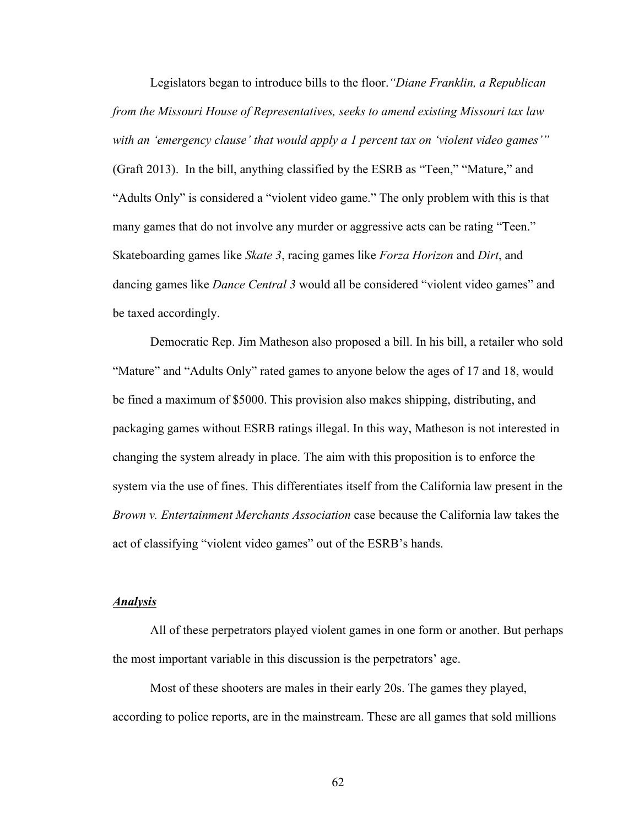Legislators began to introduce bills to the floor.*"Diane Franklin, a Republican from the Missouri House of Representatives, seeks to amend existing Missouri tax law with an 'emergency clause' that would apply a 1 percent tax on 'violent video games'"*  (Graft 2013). In the bill, anything classified by the ESRB as "Teen," "Mature," and "Adults Only" is considered a "violent video game." The only problem with this is that many games that do not involve any murder or aggressive acts can be rating "Teen." Skateboarding games like *Skate 3*, racing games like *Forza Horizon* and *Dirt*, and dancing games like *Dance Central 3* would all be considered "violent video games" and be taxed accordingly.

Democratic Rep. Jim Matheson also proposed a bill. In his bill, a retailer who sold "Mature" and "Adults Only" rated games to anyone below the ages of 17 and 18, would be fined a maximum of \$5000. This provision also makes shipping, distributing, and packaging games without ESRB ratings illegal. In this way, Matheson is not interested in changing the system already in place. The aim with this proposition is to enforce the system via the use of fines. This differentiates itself from the California law present in the *Brown v. Entertainment Merchants Association* case because the California law takes the act of classifying "violent video games" out of the ESRB's hands.

#### *Analysis*

All of these perpetrators played violent games in one form or another. But perhaps the most important variable in this discussion is the perpetrators' age.

Most of these shooters are males in their early 20s. The games they played, according to police reports, are in the mainstream. These are all games that sold millions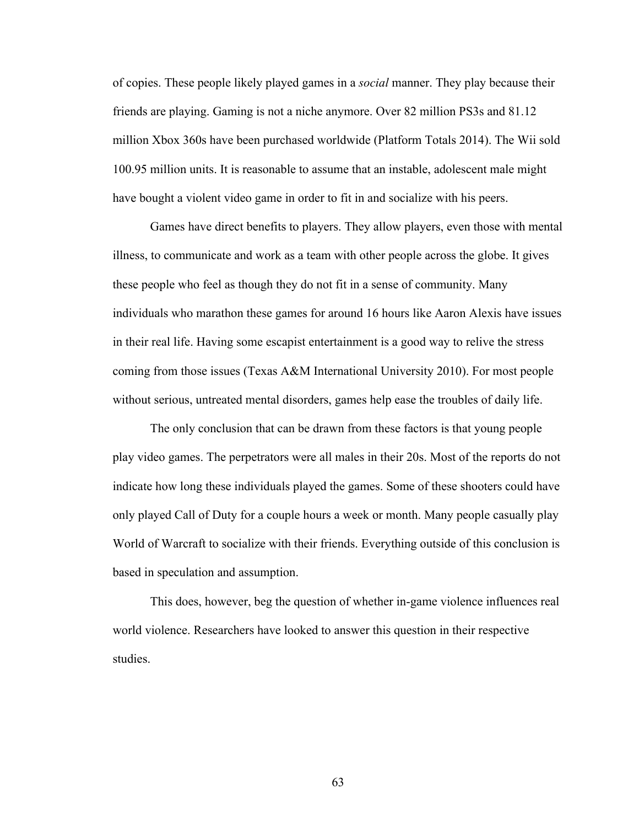of copies. These people likely played games in a *social* manner. They play because their friends are playing. Gaming is not a niche anymore. Over 82 million PS3s and 81.12 million Xbox 360s have been purchased worldwide (Platform Totals 2014). The Wii sold 100.95 million units. It is reasonable to assume that an instable, adolescent male might have bought a violent video game in order to fit in and socialize with his peers.

Games have direct benefits to players. They allow players, even those with mental illness, to communicate and work as a team with other people across the globe. It gives these people who feel as though they do not fit in a sense of community. Many individuals who marathon these games for around 16 hours like Aaron Alexis have issues in their real life. Having some escapist entertainment is a good way to relive the stress coming from those issues (Texas A&M International University 2010). For most people without serious, untreated mental disorders, games help ease the troubles of daily life.

The only conclusion that can be drawn from these factors is that young people play video games. The perpetrators were all males in their 20s. Most of the reports do not indicate how long these individuals played the games. Some of these shooters could have only played Call of Duty for a couple hours a week or month. Many people casually play World of Warcraft to socialize with their friends. Everything outside of this conclusion is based in speculation and assumption.

This does, however, beg the question of whether in-game violence influences real world violence. Researchers have looked to answer this question in their respective studies.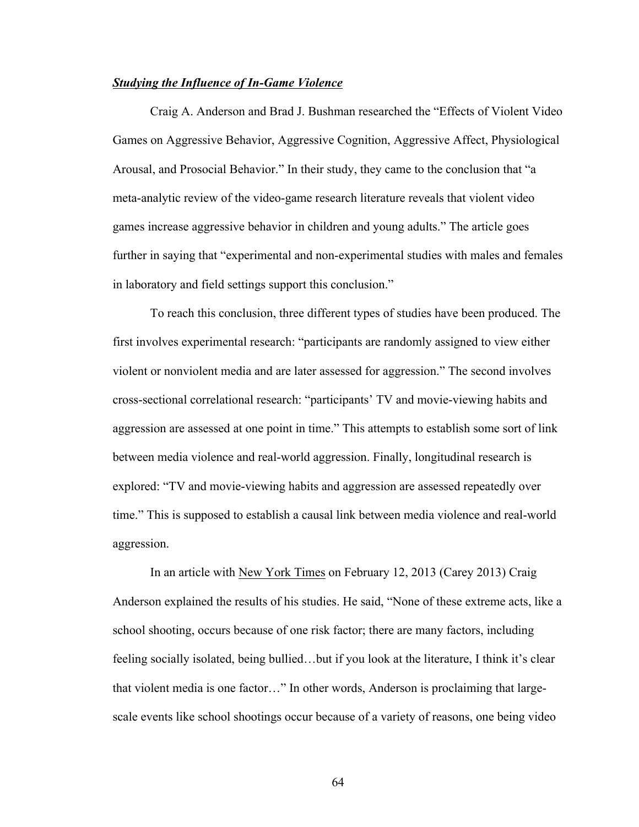# *Studying the Influence of In-Game Violence*

Craig A. Anderson and Brad J. Bushman researched the "Effects of Violent Video Games on Aggressive Behavior, Aggressive Cognition, Aggressive Affect, Physiological Arousal, and Prosocial Behavior." In their study, they came to the conclusion that "a meta-analytic review of the video-game research literature reveals that violent video games increase aggressive behavior in children and young adults." The article goes further in saying that "experimental and non-experimental studies with males and females in laboratory and field settings support this conclusion."

To reach this conclusion, three different types of studies have been produced. The first involves experimental research: "participants are randomly assigned to view either violent or nonviolent media and are later assessed for aggression." The second involves cross-sectional correlational research: "participants' TV and movie-viewing habits and aggression are assessed at one point in time." This attempts to establish some sort of link between media violence and real-world aggression. Finally, longitudinal research is explored: "TV and movie-viewing habits and aggression are assessed repeatedly over time." This is supposed to establish a causal link between media violence and real-world aggression.

In an article with New York Times on February 12, 2013 (Carey 2013) Craig Anderson explained the results of his studies. He said, "None of these extreme acts, like a school shooting, occurs because of one risk factor; there are many factors, including feeling socially isolated, being bullied…but if you look at the literature, I think it's clear that violent media is one factor…" In other words, Anderson is proclaiming that largescale events like school shootings occur because of a variety of reasons, one being video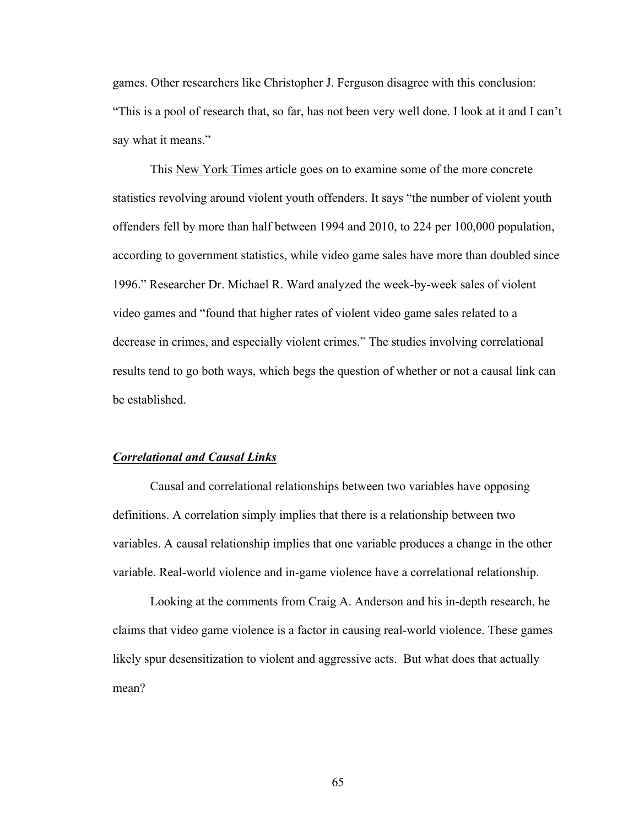games. Other researchers like Christopher J. Ferguson disagree with this conclusion: "This is a pool of research that, so far, has not been very well done. I look at it and I can't say what it means."

This New York Times article goes on to examine some of the more concrete statistics revolving around violent youth offenders. It says "the number of violent youth offenders fell by more than half between 1994 and 2010, to 224 per 100,000 population, according to government statistics, while video game sales have more than doubled since 1996." Researcher Dr. Michael R. Ward analyzed the week-by-week sales of violent video games and "found that higher rates of violent video game sales related to a decrease in crimes, and especially violent crimes." The studies involving correlational results tend to go both ways, which begs the question of whether or not a causal link can be established.

#### *Correlational and Causal Links*

Causal and correlational relationships between two variables have opposing definitions. A correlation simply implies that there is a relationship between two variables. A causal relationship implies that one variable produces a change in the other variable. Real-world violence and in-game violence have a correlational relationship.

Looking at the comments from Craig A. Anderson and his in-depth research, he claims that video game violence is a factor in causing real-world violence. These games likely spur desensitization to violent and aggressive acts. But what does that actually mean?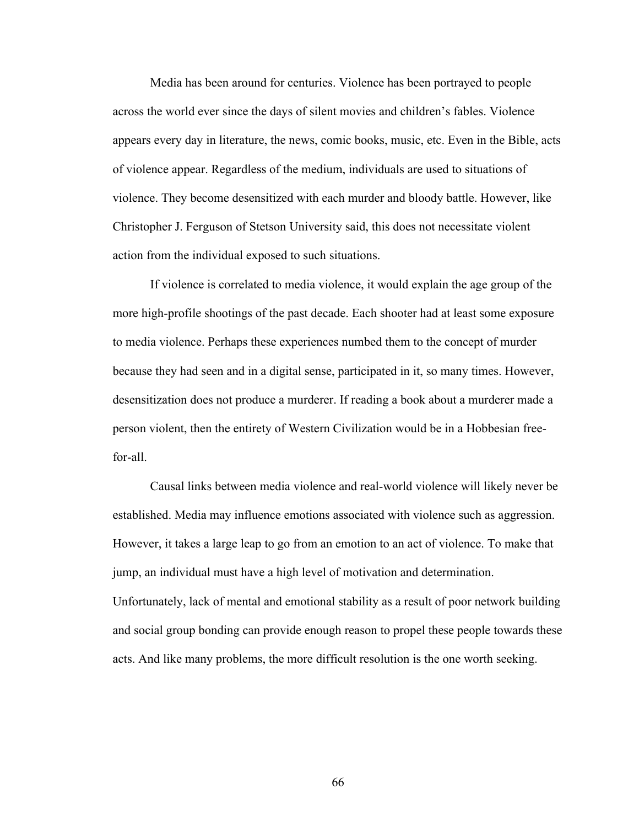Media has been around for centuries. Violence has been portrayed to people across the world ever since the days of silent movies and children's fables. Violence appears every day in literature, the news, comic books, music, etc. Even in the Bible, acts of violence appear. Regardless of the medium, individuals are used to situations of violence. They become desensitized with each murder and bloody battle. However, like Christopher J. Ferguson of Stetson University said, this does not necessitate violent action from the individual exposed to such situations.

If violence is correlated to media violence, it would explain the age group of the more high-profile shootings of the past decade. Each shooter had at least some exposure to media violence. Perhaps these experiences numbed them to the concept of murder because they had seen and in a digital sense, participated in it, so many times. However, desensitization does not produce a murderer. If reading a book about a murderer made a person violent, then the entirety of Western Civilization would be in a Hobbesian freefor-all.

Causal links between media violence and real-world violence will likely never be established. Media may influence emotions associated with violence such as aggression. However, it takes a large leap to go from an emotion to an act of violence. To make that jump, an individual must have a high level of motivation and determination. Unfortunately, lack of mental and emotional stability as a result of poor network building and social group bonding can provide enough reason to propel these people towards these acts. And like many problems, the more difficult resolution is the one worth seeking.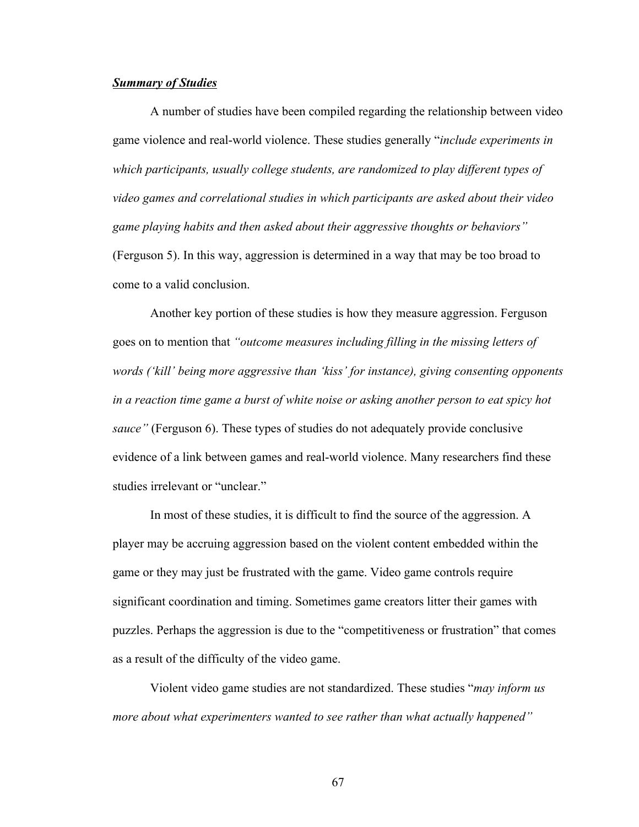# *Summary of Studies*

A number of studies have been compiled regarding the relationship between video game violence and real-world violence. These studies generally "*include experiments in which participants, usually college students, are randomized to play different types of video games and correlational studies in which participants are asked about their video game playing habits and then asked about their aggressive thoughts or behaviors"*  (Ferguson 5). In this way, aggression is determined in a way that may be too broad to come to a valid conclusion.

Another key portion of these studies is how they measure aggression. Ferguson goes on to mention that *"outcome measures including filling in the missing letters of words ('kill' being more aggressive than 'kiss' for instance), giving consenting opponents in a reaction time game a burst of white noise or asking another person to eat spicy hot sauce"* (Ferguson 6). These types of studies do not adequately provide conclusive evidence of a link between games and real-world violence. Many researchers find these studies irrelevant or "unclear."

In most of these studies, it is difficult to find the source of the aggression. A player may be accruing aggression based on the violent content embedded within the game or they may just be frustrated with the game. Video game controls require significant coordination and timing. Sometimes game creators litter their games with puzzles. Perhaps the aggression is due to the "competitiveness or frustration" that comes as a result of the difficulty of the video game.

Violent video game studies are not standardized. These studies "*may inform us more about what experimenters wanted to see rather than what actually happened"*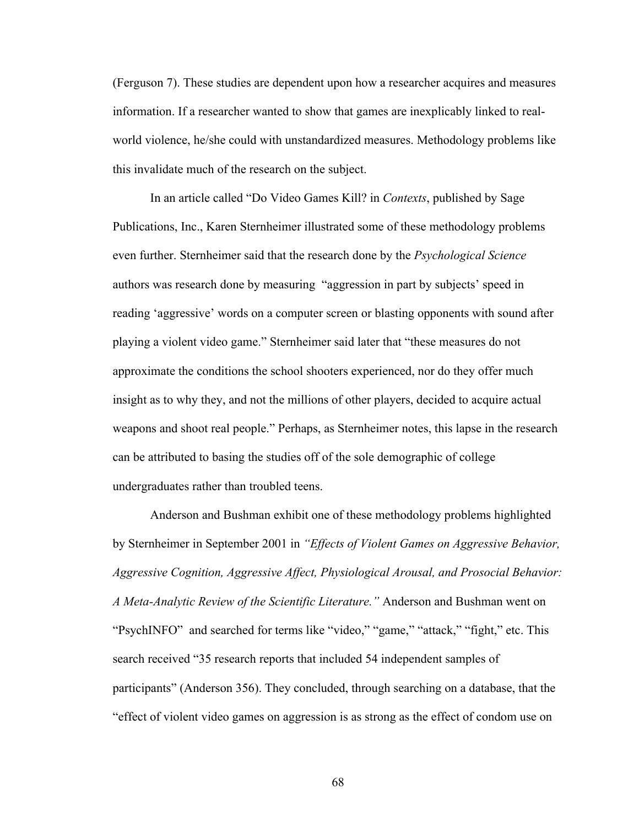(Ferguson 7). These studies are dependent upon how a researcher acquires and measures information. If a researcher wanted to show that games are inexplicably linked to realworld violence, he/she could with unstandardized measures. Methodology problems like this invalidate much of the research on the subject.

In an article called "Do Video Games Kill? in *Contexts*, published by Sage Publications, Inc., Karen Sternheimer illustrated some of these methodology problems even further. Sternheimer said that the research done by the *Psychological Science*  authors was research done by measuring "aggression in part by subjects' speed in reading 'aggressive' words on a computer screen or blasting opponents with sound after playing a violent video game." Sternheimer said later that "these measures do not approximate the conditions the school shooters experienced, nor do they offer much insight as to why they, and not the millions of other players, decided to acquire actual weapons and shoot real people." Perhaps, as Sternheimer notes, this lapse in the research can be attributed to basing the studies off of the sole demographic of college undergraduates rather than troubled teens.

Anderson and Bushman exhibit one of these methodology problems highlighted by Sternheimer in September 2001 in *"Effects of Violent Games on Aggressive Behavior, Aggressive Cognition, Aggressive Affect, Physiological Arousal, and Prosocial Behavior: A Meta-Analytic Review of the Scientific Literature."* Anderson and Bushman went on "PsychINFO" and searched for terms like "video," "game," "attack," "fight," etc. This search received "35 research reports that included 54 independent samples of participants" (Anderson 356). They concluded, through searching on a database, that the "effect of violent video games on aggression is as strong as the effect of condom use on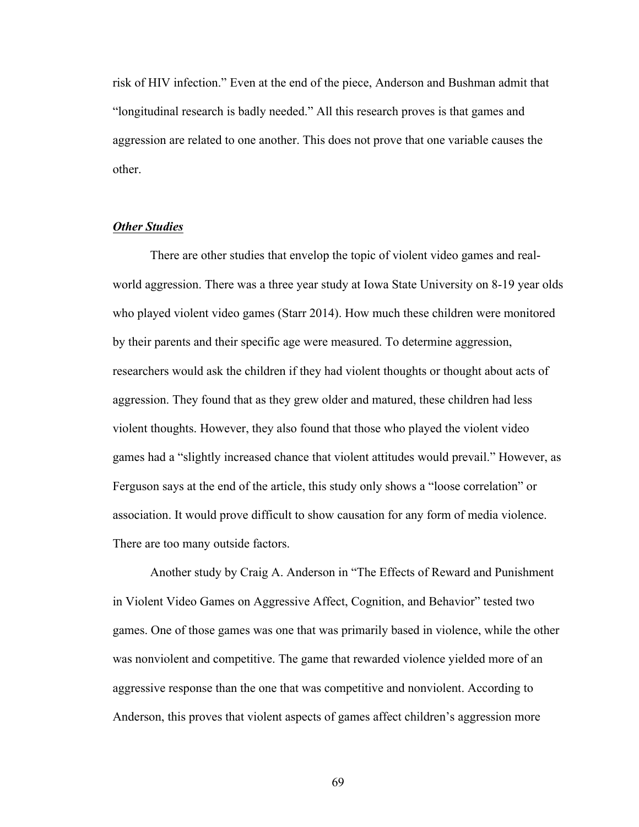risk of HIV infection." Even at the end of the piece, Anderson and Bushman admit that "longitudinal research is badly needed." All this research proves is that games and aggression are related to one another. This does not prove that one variable causes the other.

## *Other Studies*

There are other studies that envelop the topic of violent video games and realworld aggression. There was a three year study at Iowa State University on 8-19 year olds who played violent video games (Starr 2014). How much these children were monitored by their parents and their specific age were measured. To determine aggression, researchers would ask the children if they had violent thoughts or thought about acts of aggression. They found that as they grew older and matured, these children had less violent thoughts. However, they also found that those who played the violent video games had a "slightly increased chance that violent attitudes would prevail." However, as Ferguson says at the end of the article, this study only shows a "loose correlation" or association. It would prove difficult to show causation for any form of media violence. There are too many outside factors.

Another study by Craig A. Anderson in "The Effects of Reward and Punishment in Violent Video Games on Aggressive Affect, Cognition, and Behavior" tested two games. One of those games was one that was primarily based in violence, while the other was nonviolent and competitive. The game that rewarded violence yielded more of an aggressive response than the one that was competitive and nonviolent. According to Anderson, this proves that violent aspects of games affect children's aggression more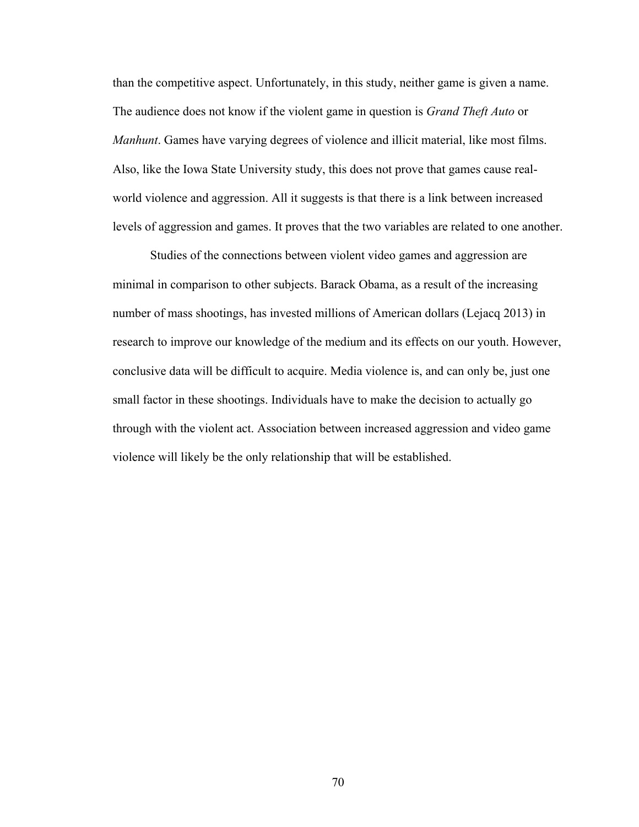than the competitive aspect. Unfortunately, in this study, neither game is given a name. The audience does not know if the violent game in question is *Grand Theft Auto* or *Manhunt*. Games have varying degrees of violence and illicit material, like most films. Also, like the Iowa State University study, this does not prove that games cause realworld violence and aggression. All it suggests is that there is a link between increased levels of aggression and games. It proves that the two variables are related to one another.

Studies of the connections between violent video games and aggression are minimal in comparison to other subjects. Barack Obama, as a result of the increasing number of mass shootings, has invested millions of American dollars (Lejacq 2013) in research to improve our knowledge of the medium and its effects on our youth. However, conclusive data will be difficult to acquire. Media violence is, and can only be, just one small factor in these shootings. Individuals have to make the decision to actually go through with the violent act. Association between increased aggression and video game violence will likely be the only relationship that will be established.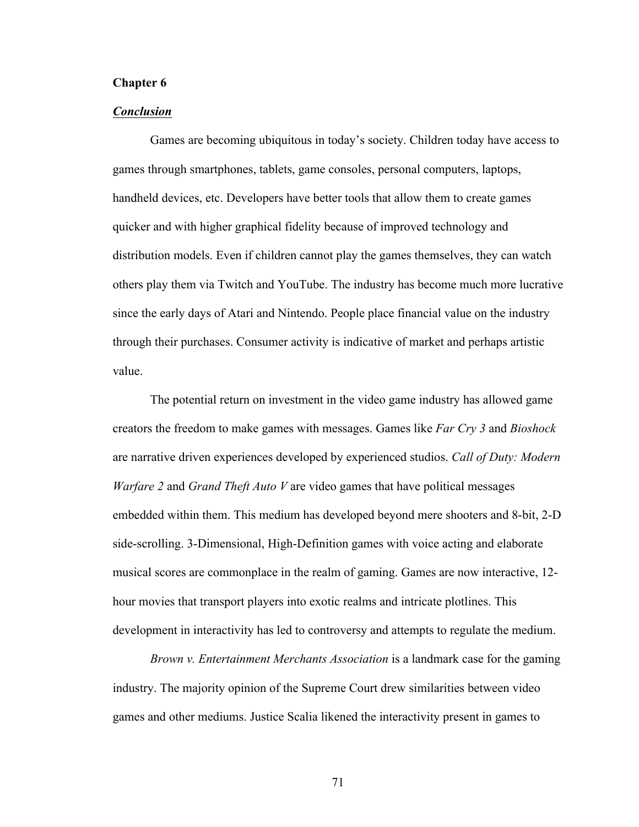## **Chapter 6**

### *Conclusion*

Games are becoming ubiquitous in today's society. Children today have access to games through smartphones, tablets, game consoles, personal computers, laptops, handheld devices, etc. Developers have better tools that allow them to create games quicker and with higher graphical fidelity because of improved technology and distribution models. Even if children cannot play the games themselves, they can watch others play them via Twitch and YouTube. The industry has become much more lucrative since the early days of Atari and Nintendo. People place financial value on the industry through their purchases. Consumer activity is indicative of market and perhaps artistic value.

The potential return on investment in the video game industry has allowed game creators the freedom to make games with messages. Games like *Far Cry 3* and *Bioshock*  are narrative driven experiences developed by experienced studios. *Call of Duty: Modern Warfare 2* and *Grand Theft Auto V* are video games that have political messages embedded within them. This medium has developed beyond mere shooters and 8-bit, 2-D side-scrolling. 3-Dimensional, High-Definition games with voice acting and elaborate musical scores are commonplace in the realm of gaming. Games are now interactive, 12 hour movies that transport players into exotic realms and intricate plotlines. This development in interactivity has led to controversy and attempts to regulate the medium.

*Brown v. Entertainment Merchants Association* is a landmark case for the gaming industry. The majority opinion of the Supreme Court drew similarities between video games and other mediums. Justice Scalia likened the interactivity present in games to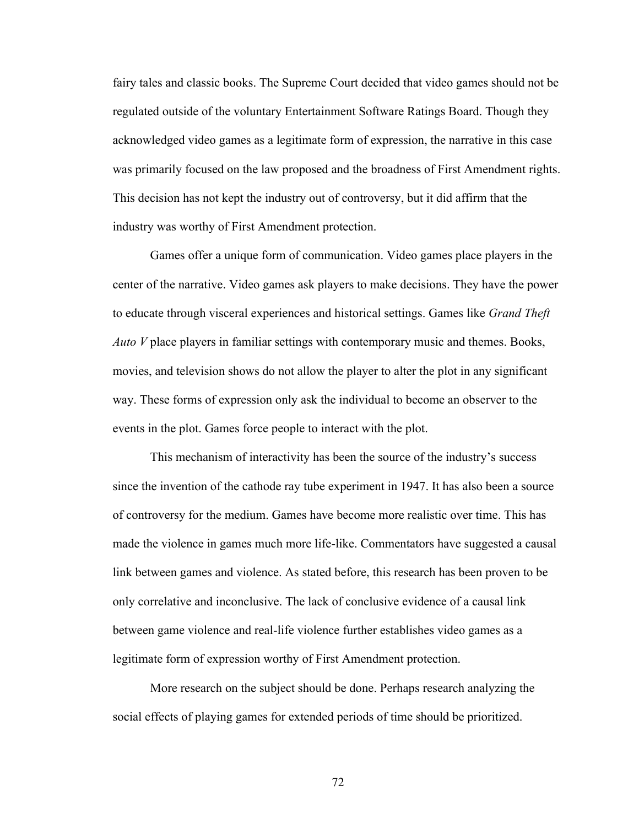fairy tales and classic books. The Supreme Court decided that video games should not be regulated outside of the voluntary Entertainment Software Ratings Board. Though they acknowledged video games as a legitimate form of expression, the narrative in this case was primarily focused on the law proposed and the broadness of First Amendment rights. This decision has not kept the industry out of controversy, but it did affirm that the industry was worthy of First Amendment protection.

Games offer a unique form of communication. Video games place players in the center of the narrative. Video games ask players to make decisions. They have the power to educate through visceral experiences and historical settings. Games like *Grand Theft Auto V* place players in familiar settings with contemporary music and themes. Books, movies, and television shows do not allow the player to alter the plot in any significant way. These forms of expression only ask the individual to become an observer to the events in the plot. Games force people to interact with the plot.

This mechanism of interactivity has been the source of the industry's success since the invention of the cathode ray tube experiment in 1947. It has also been a source of controversy for the medium. Games have become more realistic over time. This has made the violence in games much more life-like. Commentators have suggested a causal link between games and violence. As stated before, this research has been proven to be only correlative and inconclusive. The lack of conclusive evidence of a causal link between game violence and real-life violence further establishes video games as a legitimate form of expression worthy of First Amendment protection.

More research on the subject should be done. Perhaps research analyzing the social effects of playing games for extended periods of time should be prioritized.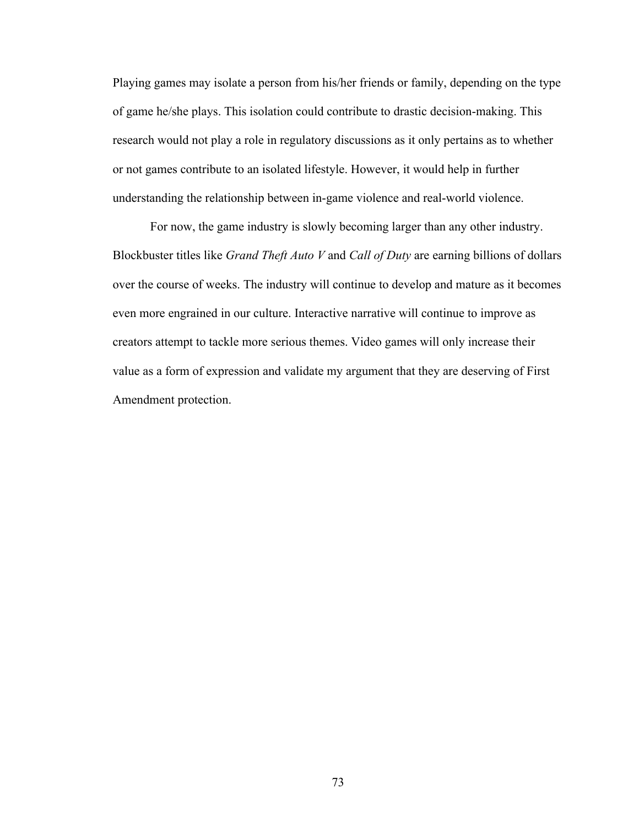Playing games may isolate a person from his/her friends or family, depending on the type of game he/she plays. This isolation could contribute to drastic decision-making. This research would not play a role in regulatory discussions as it only pertains as to whether or not games contribute to an isolated lifestyle. However, it would help in further understanding the relationship between in-game violence and real-world violence.

For now, the game industry is slowly becoming larger than any other industry. Blockbuster titles like *Grand Theft Auto V* and *Call of Duty* are earning billions of dollars over the course of weeks. The industry will continue to develop and mature as it becomes even more engrained in our culture. Interactive narrative will continue to improve as creators attempt to tackle more serious themes. Video games will only increase their value as a form of expression and validate my argument that they are deserving of First Amendment protection.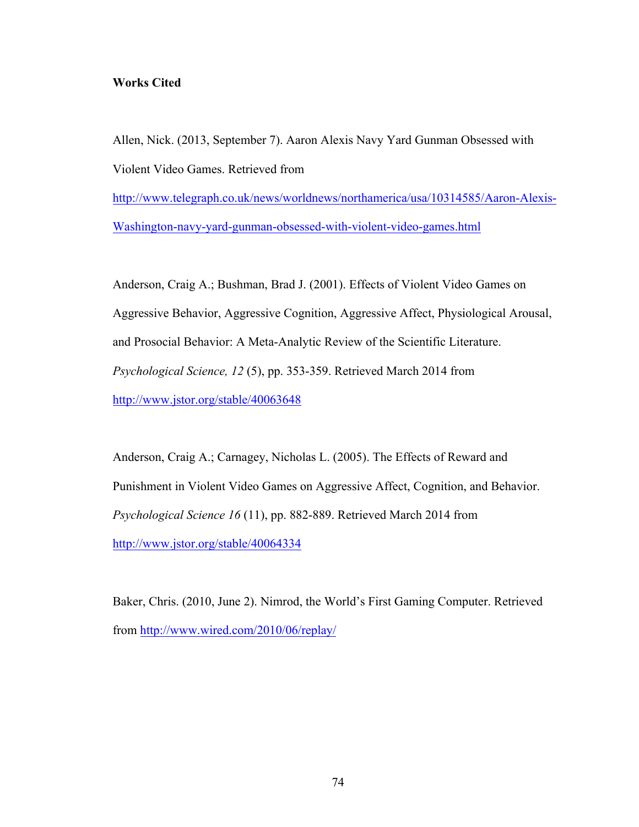# **Works Cited**

Allen, Nick. (2013, September 7). Aaron Alexis Navy Yard Gunman Obsessed with Violent Video Games. Retrieved from

http://www.telegraph.co.uk/news/worldnews/northamerica/usa/10314585/Aaron-Alexis-Washington-navy-yard-gunman-obsessed-with-violent-video-games.html

Anderson, Craig A.; Bushman, Brad J. (2001). Effects of Violent Video Games on Aggressive Behavior, Aggressive Cognition, Aggressive Affect, Physiological Arousal, and Prosocial Behavior: A Meta-Analytic Review of the Scientific Literature. *Psychological Science, 12* (5), pp. 353-359. Retrieved March 2014 from http://www.jstor.org/stable/40063648

Anderson, Craig A.; Carnagey, Nicholas L. (2005). The Effects of Reward and Punishment in Violent Video Games on Aggressive Affect, Cognition, and Behavior. *Psychological Science 16* (11), pp. 882-889. Retrieved March 2014 from http://www.jstor.org/stable/40064334

Baker, Chris. (2010, June 2). Nimrod, the World's First Gaming Computer. Retrieved from http://www.wired.com/2010/06/replay/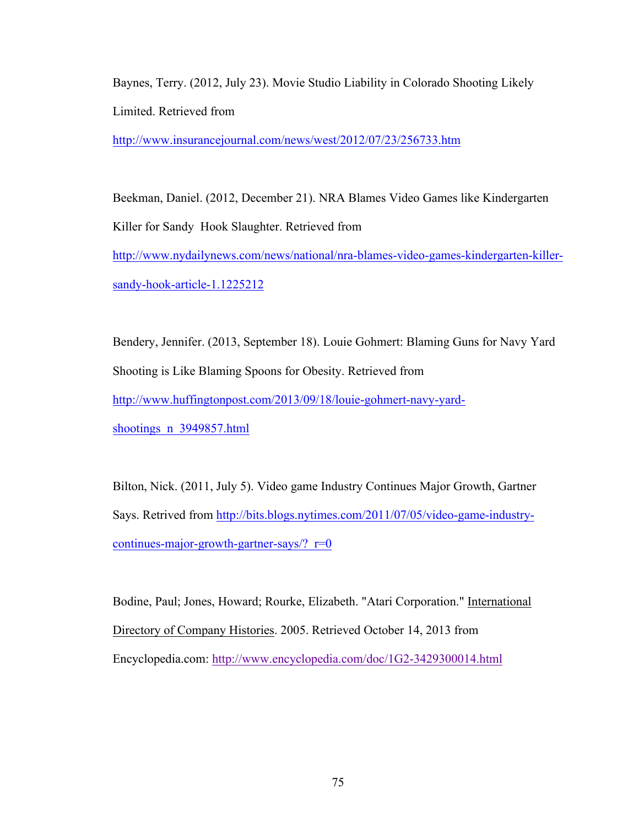Baynes, Terry. (2012, July 23). Movie Studio Liability in Colorado Shooting Likely Limited. Retrieved from

http://www.insurancejournal.com/news/west/2012/07/23/256733.htm

Beekman, Daniel. (2012, December 21). NRA Blames Video Games like Kindergarten Killer for Sandy Hook Slaughter. Retrieved from http://www.nydailynews.com/news/national/nra-blames-video-games-kindergarten-killersandy-hook-article-1.1225212

Bendery, Jennifer. (2013, September 18). Louie Gohmert: Blaming Guns for Navy Yard Shooting is Like Blaming Spoons for Obesity. Retrieved from http://www.huffingtonpost.com/2013/09/18/louie-gohmert-navy-yardshootings\_n\_3949857.html

Bilton, Nick. (2011, July 5). Video game Industry Continues Major Growth, Gartner Says. Retrived from http://bits.blogs.nytimes.com/2011/07/05/video-game-industrycontinues-major-growth-gartner-says/?  $r=0$ 

Bodine, Paul; Jones, Howard; Rourke, Elizabeth. "Atari Corporation." International Directory of Company Histories. 2005. Retrieved October 14, 2013 from Encyclopedia.com: http://www.encyclopedia.com/doc/1G2-3429300014.html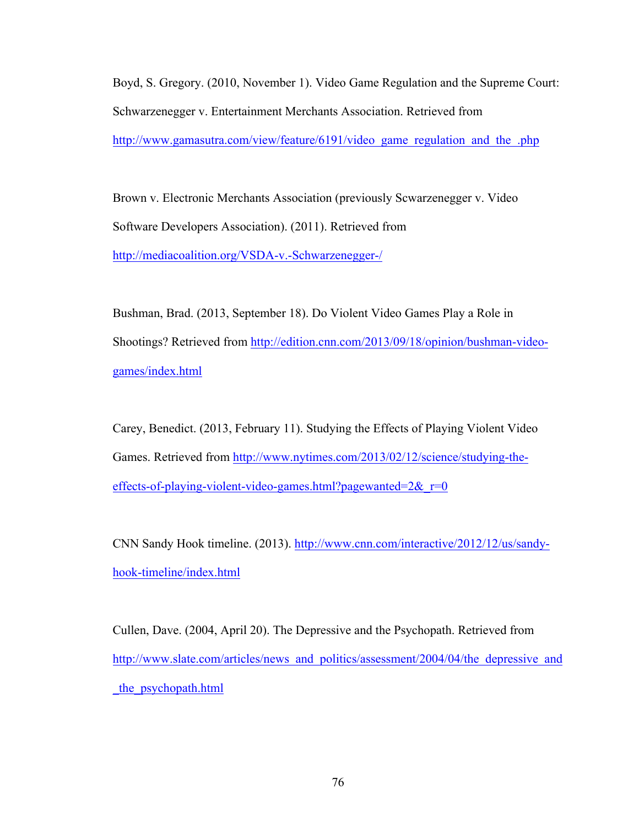Boyd, S. Gregory. (2010, November 1). Video Game Regulation and the Supreme Court: Schwarzenegger v. Entertainment Merchants Association. Retrieved from http://www.gamasutra.com/view/feature/6191/video\_game\_regulation\_and\_the\_.php

Brown v. Electronic Merchants Association (previously Scwarzenegger v. Video Software Developers Association). (2011). Retrieved from http://mediacoalition.org/VSDA-v.-Schwarzenegger-/

Bushman, Brad. (2013, September 18). Do Violent Video Games Play a Role in Shootings? Retrieved from http://edition.cnn.com/2013/09/18/opinion/bushman-videogames/index.html

Carey, Benedict. (2013, February 11). Studying the Effects of Playing Violent Video Games. Retrieved from http://www.nytimes.com/2013/02/12/science/studying-theeffects-of-playing-violent-video-games.html?pagewanted= $2& 0$ 

CNN Sandy Hook timeline. (2013). http://www.cnn.com/interactive/2012/12/us/sandyhook-timeline/index.html

Cullen, Dave. (2004, April 20). The Depressive and the Psychopath. Retrieved from http://www.slate.com/articles/news\_and\_politics/assessment/2004/04/the\_depressive\_and \_the\_psychopath.html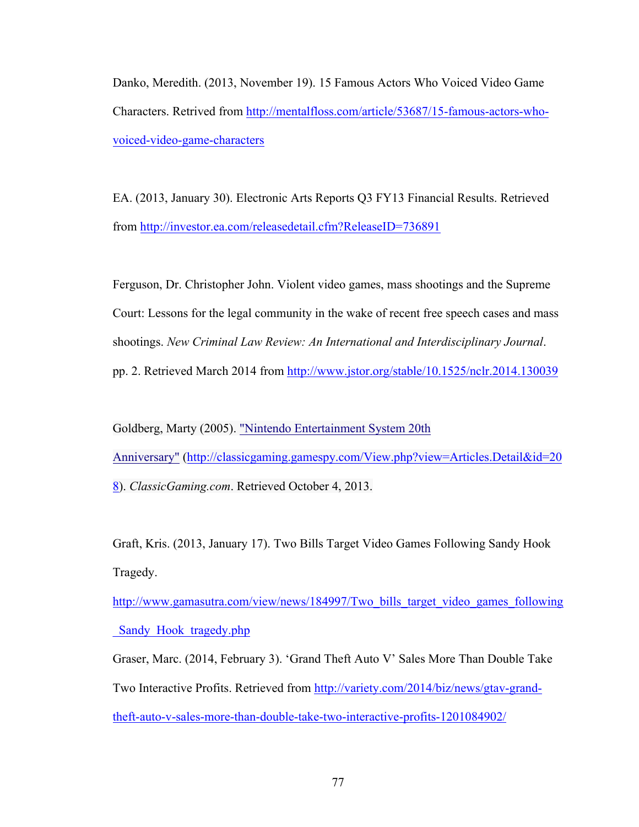Danko, Meredith. (2013, November 19). 15 Famous Actors Who Voiced Video Game Characters. Retrived from http://mentalfloss.com/article/53687/15-famous-actors-whovoiced-video-game-characters

EA. (2013, January 30). Electronic Arts Reports Q3 FY13 Financial Results. Retrieved from http://investor.ea.com/releasedetail.cfm?ReleaseID=736891

Ferguson, Dr. Christopher John. Violent video games, mass shootings and the Supreme Court: Lessons for the legal community in the wake of recent free speech cases and mass shootings. *New Criminal Law Review: An International and Interdisciplinary Journal*. pp. 2. Retrieved March 2014 from http://www.jstor.org/stable/10.1525/nclr.2014.130039

Goldberg, Marty (2005). "Nintendo Entertainment System 20th Anniversary" (http://classicgaming.gamespy.com/View.php?view=Articles.Detail&id=20 8). *ClassicGaming.com*. Retrieved October 4, 2013.

Graft, Kris. (2013, January 17). Two Bills Target Video Games Following Sandy Hook Tragedy.

http://www.gamasutra.com/view/news/184997/Two\_bills\_target\_video\_games\_following Sandy Hook tragedy.php

Graser, Marc. (2014, February 3). 'Grand Theft Auto V' Sales More Than Double Take Two Interactive Profits. Retrieved from http://variety.com/2014/biz/news/gtav-grandtheft-auto-v-sales-more-than-double-take-two-interactive-profits-1201084902/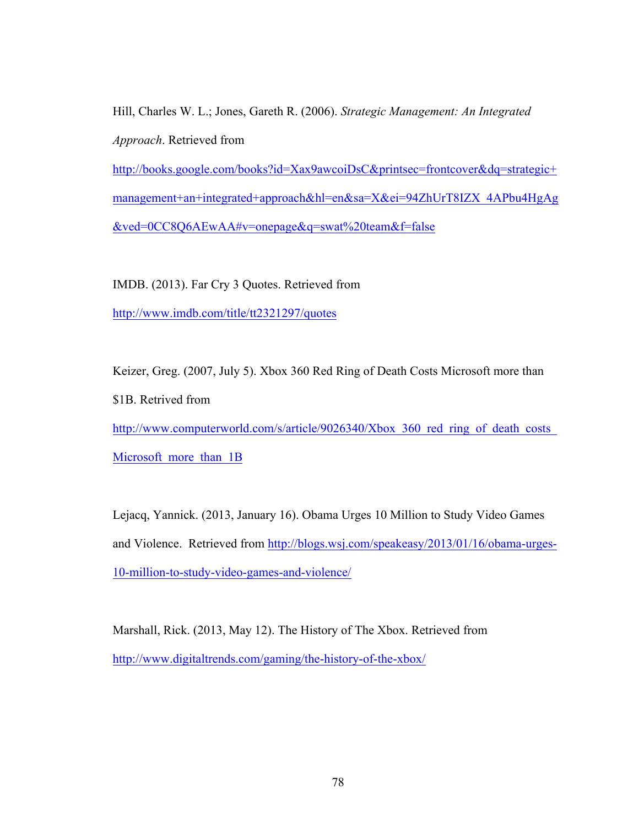Hill, Charles W. L.; Jones, Gareth R. (2006). *Strategic Management: An Integrated Approach*. Retrieved from

http://books.google.com/books?id=Xax9awcoiDsC&printsec=frontcover&dq=strategic+ management+an+integrated+approach&hl=en&sa=X&ei=94ZhUrT8IZX\_4APbu4HgAg &ved=0CC8Q6AEwAA#v=onepage&q=swat%20team&f=false

IMDB. (2013). Far Cry 3 Quotes. Retrieved from

http://www.imdb.com/title/tt2321297/quotes

Keizer, Greg. (2007, July 5). Xbox 360 Red Ring of Death Costs Microsoft more than

\$1B. Retrived from

http://www.computerworld.com/s/article/9026340/Xbox 360 red ring of death costs Microsoft more than 1B

Lejacq, Yannick. (2013, January 16). Obama Urges 10 Million to Study Video Games and Violence. Retrieved from http://blogs.wsj.com/speakeasy/2013/01/16/obama-urges-10-million-to-study-video-games-and-violence/

Marshall, Rick. (2013, May 12). The History of The Xbox. Retrieved from http://www.digitaltrends.com/gaming/the-history-of-the-xbox/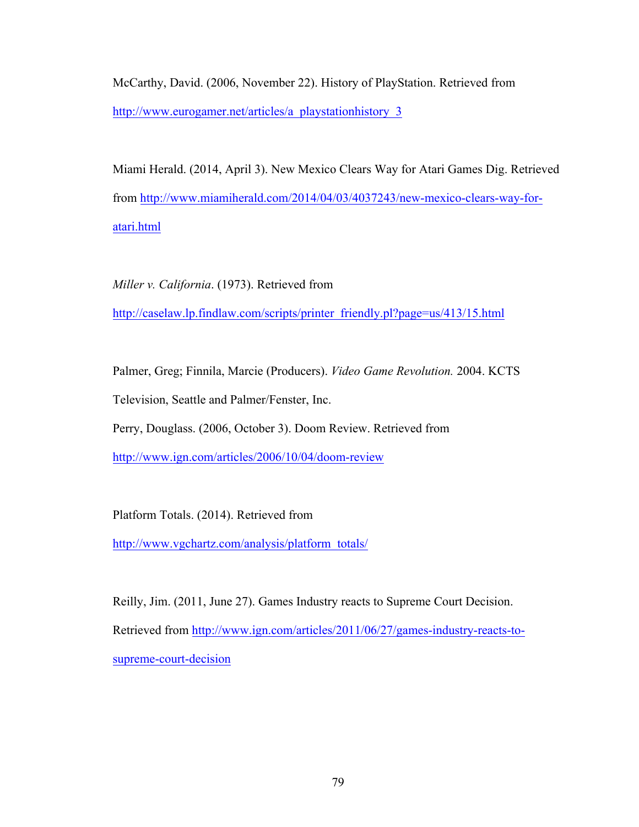McCarthy, David. (2006, November 22). History of PlayStation. Retrieved from http://www.eurogamer.net/articles/a\_playstationhistory\_3

Miami Herald. (2014, April 3). New Mexico Clears Way for Atari Games Dig. Retrieved from http://www.miamiherald.com/2014/04/03/4037243/new-mexico-clears-way-foratari.html

*Miller v. California*. (1973). Retrieved from http://caselaw.lp.findlaw.com/scripts/printer\_friendly.pl?page=us/413/15.html

Palmer, Greg; Finnila, Marcie (Producers). *Video Game Revolution.* 2004. KCTS Television, Seattle and Palmer/Fenster, Inc.

Perry, Douglass. (2006, October 3). Doom Review. Retrieved from

http://www.ign.com/articles/2006/10/04/doom-review

Platform Totals. (2014). Retrieved from

http://www.vgchartz.com/analysis/platform\_totals/

Reilly, Jim. (2011, June 27). Games Industry reacts to Supreme Court Decision. Retrieved from http://www.ign.com/articles/2011/06/27/games-industry-reacts-tosupreme-court-decision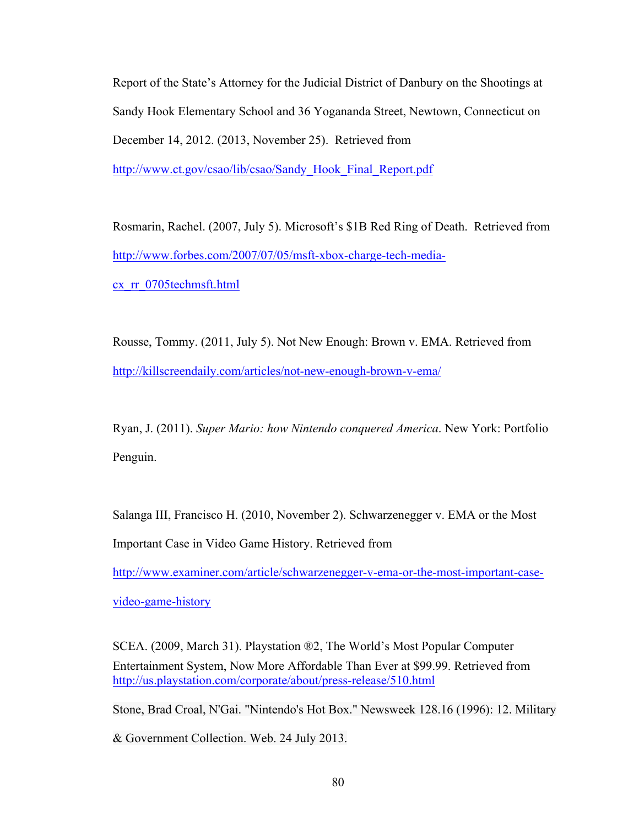Report of the State's Attorney for the Judicial District of Danbury on the Shootings at Sandy Hook Elementary School and 36 Yogananda Street, Newtown, Connecticut on December 14, 2012. (2013, November 25). Retrieved from http://www.ct.gov/csao/lib/csao/Sandy\_Hook\_Final\_Report.pdf

Rosmarin, Rachel. (2007, July 5). Microsoft's \$1B Red Ring of Death. Retrieved from http://www.forbes.com/2007/07/05/msft-xbox-charge-tech-mediacx\_rr\_0705techmsft.html

Rousse, Tommy. (2011, July 5). Not New Enough: Brown v. EMA. Retrieved from http://killscreendaily.com/articles/not-new-enough-brown-v-ema/

Ryan, J. (2011). *Super Mario: how Nintendo conquered America*. New York: Portfolio Penguin.

Salanga III, Francisco H. (2010, November 2). Schwarzenegger v. EMA or the Most Important Case in Video Game History. Retrieved from

http://www.examiner.com/article/schwarzenegger-v-ema-or-the-most-important-case-

video-game-history

SCEA. (2009, March 31). Playstation ®2, The World's Most Popular Computer Entertainment System, Now More Affordable Than Ever at \$99.99. Retrieved from http://us.playstation.com/corporate/about/press-release/510.html

Stone, Brad Croal, N'Gai. "Nintendo's Hot Box." Newsweek 128.16 (1996): 12. Military

& Government Collection. Web. 24 July 2013.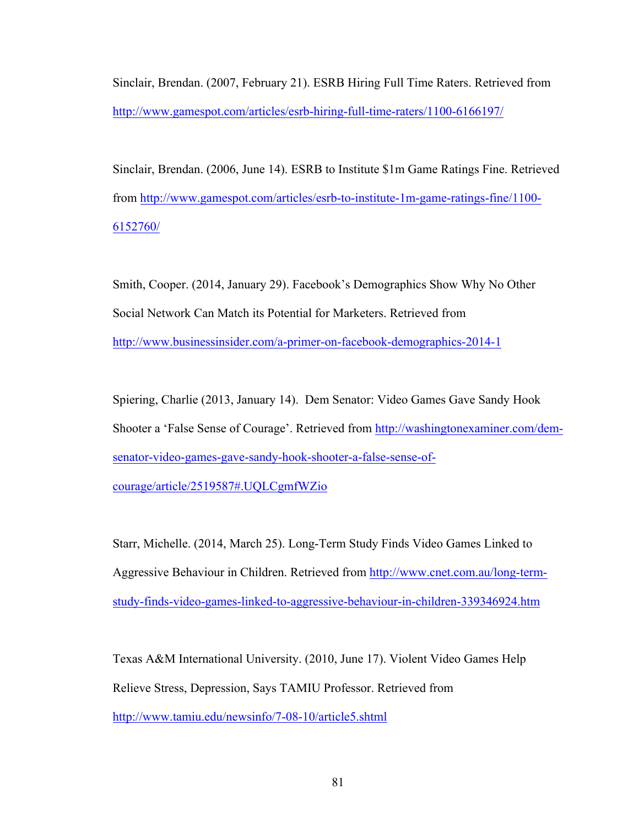Sinclair, Brendan. (2007, February 21). ESRB Hiring Full Time Raters. Retrieved from http://www.gamespot.com/articles/esrb-hiring-full-time-raters/1100-6166197/

Sinclair, Brendan. (2006, June 14). ESRB to Institute \$1m Game Ratings Fine. Retrieved from http://www.gamespot.com/articles/esrb-to-institute-1m-game-ratings-fine/1100- 6152760/

Smith, Cooper. (2014, January 29). Facebook's Demographics Show Why No Other Social Network Can Match its Potential for Marketers. Retrieved from http://www.businessinsider.com/a-primer-on-facebook-demographics-2014-1

Spiering, Charlie (2013, January 14). Dem Senator: Video Games Gave Sandy Hook Shooter a 'False Sense of Courage'. Retrieved from http://washingtonexaminer.com/demsenator-video-games-gave-sandy-hook-shooter-a-false-sense-ofcourage/article/2519587#.UQLCgmfWZio

Starr, Michelle. (2014, March 25). Long-Term Study Finds Video Games Linked to Aggressive Behaviour in Children. Retrieved from http://www.cnet.com.au/long-termstudy-finds-video-games-linked-to-aggressive-behaviour-in-children-339346924.htm

Texas A&M International University. (2010, June 17). Violent Video Games Help Relieve Stress, Depression, Says TAMIU Professor. Retrieved from http://www.tamiu.edu/newsinfo/7-08-10/article5.shtml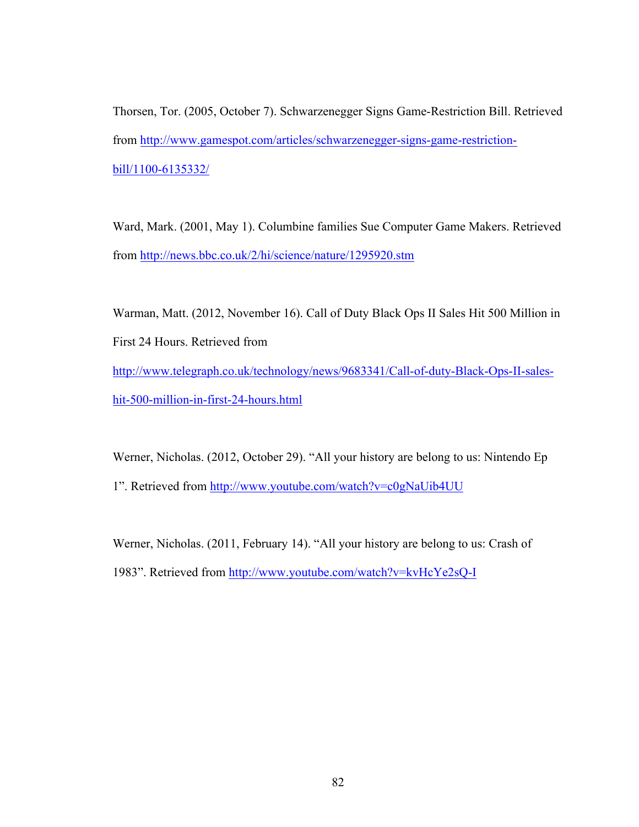Thorsen, Tor. (2005, October 7). Schwarzenegger Signs Game-Restriction Bill. Retrieved from http://www.gamespot.com/articles/schwarzenegger-signs-game-restrictionbill/1100-6135332/

Ward, Mark. (2001, May 1). Columbine families Sue Computer Game Makers. Retrieved from http://news.bbc.co.uk/2/hi/science/nature/1295920.stm

Warman, Matt. (2012, November 16). Call of Duty Black Ops II Sales Hit 500 Million in First 24 Hours. Retrieved from http://www.telegraph.co.uk/technology/news/9683341/Call-of-duty-Black-Ops-II-saleshit-500-million-in-first-24-hours.html

Werner, Nicholas. (2012, October 29). "All your history are belong to us: Nintendo Ep 1". Retrieved from http://www.youtube.com/watch?v=c0gNaUib4UU

Werner, Nicholas. (2011, February 14). "All your history are belong to us: Crash of 1983". Retrieved from http://www.youtube.com/watch?v=kvHcYe2sQ-I